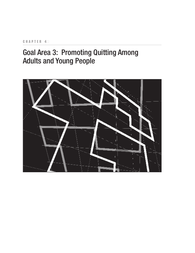## CHAPTER 4<sup>D</sup>

# Goal Area 3: Promoting Quitting Among Adults and Young People

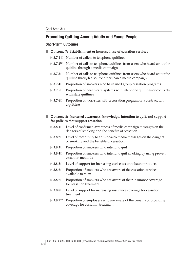## **Promoting Quitting Among Adults and Young People**

## **Short-term Outcomes**

## ■ **Outcome 7: Establishment or increased use of cessation services**

- **► 3.7.1** Number of callers to telephone quitlines
- $> 3.7.2<sup>NR</sup>$  Number of calls to telephone quitlines from users who heard about the quitline through a media campaign
- $\blacktriangleright$ **3.7.3**� Number of calls to telephone quitlines from users who heard about the quitline through a source other than a media campaign
- **► 3.7.4** $□$  Proportion of smokers who have used group cessation programs
- **→ 3.7.5** $□$  Proportion of health care systems with telephone quitlines or contracts with state quitlines
- $\blacktriangleright$ Proportion of worksites with a cessation program or a contract with a quitline

### ■ **Outcome 8: Increased awareness, knowledge, intention to quit, and support for policies that support cessation**

- **► 3.8.1**<sup> $□$ </sup> Level of confirmed awareness of media campaign messages on the dangers of smoking and the benefits of cessation
- $\blacktriangleright$ Level of receptivity to anti-tobacco media messages on the dangers of smoking and the benefits of cessation
- **► 3.8.3** $\Box$  Proportion of smokers who intend to quit
- **► 3.8.4** $□$  Proportion of smokers who intend to quit smoking by using proven cessation methods
- **► 3.8.5** $\Box$  Level of support for increasing excise tax on tobacco products
- **► 3.8.6** $\Box$  Proportion of smokers who are aware of the cessation services available to them
- **► 3.8.7** $\Box$  Proportion of smokers who are aware of their insurance coverage for cessation treatment
- **► 3.8.8** Level of support for increasing insurance coverage for cessation treatment
- **3.8.9**NR Proportion of employers who are aware of the benefits of providing coverage for cessation treatment

**194**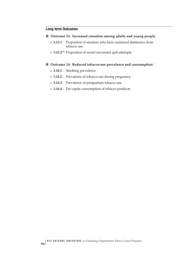## **Long-term Outcomes**

- Outcome 13: Increased cessation among adults and young people
	- **► 3.13.1** Proportion of smokers who have sustained abstinence from tobacco use
	- > 3.13.2<sup>NR</sup> Proportion of recent successful quit attempts
- Outcome 14: Reduced tobacco-use prevalence and consumption**□** 
	- ▶ 3.14.1□ Smoking prevalence
	- **► 3.14.2** $□$  Prevalence of tobacco use during pregnancy
	- **► 3.14.3** $□$  Prevalence of postpartum tobacco use
	- ▶ 3.14.4□ Per capita consumption of tobacco products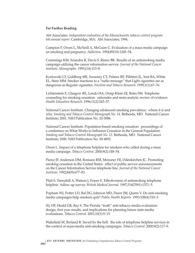### **For Further Reading**

Abt Associates. *Independent evaluation of the Massachusetts tobacco control program. 6th annual report*. Cambridge, MA: Abt Associates; 1994.

Campion P, Owen L, McNeill A, McGuire C. Evaluation of a mass media campaign on smoking and pregnancy. *Addiction.* 1994;89(10):1245–54.

Cummings KM, Sciandra R, Davis S, Rimer BK. Results of an antismoking media campaign utilizing the cancer information service. *Journal of the National Cancer Institute. Monographs.* 1993;(14):113–8.

Kozlowski LT, Goldberg ME, Sweeney CT, Palmer RF, Pillitteri JL, Yost BA, White EL, Stine MM. Smoker reactions to a "radio message" that Light cigarettes are as dangerous as Regular cigarettes. *Nicotine and Tobacco Research.* 1999;1(1):67–76.

Lichtenstein E, Glasgow RE, Lando HA, Ossip-Klein DJ, Boles SM. Telephone counseling for smoking cessation: rationales and meta-analytic review of evidence. *Health Education Research.* 1996;11(2):243–57.

National Cancer Institute. Changing adolescent smoking prevalence: where it is and why. *Smoking and Tobacco Control Monograph No. 14.* Bethesda, MD: National Cancer Institute; 2001. NIH Publication No. 02-5086.

National Cancer Institute. Population-based smoking cessation: proceedings of a conference on What Works to Influence Cessation in the General Population. *Smoking and Tobacco Control Monograph No. 12.* Bethesda, MD: National Cancer Institute; 2000. NIH Publication No. 00-4892.

Owen L. Impact of a telephone helpline for smokers who called during a mass media campaign. *Tobacco Control.* 2000;9(2):148–54.

Pierce JP, Anderson DM, Romano RM, Meissner HI, Odenkirchen JC. Promoting smoking cessation in the United States: effect of public service announcements on the Cancer Information Service telephone line. *Journal of the National Cancer Institute.* 1992;84(9):677–83.

Platt S, Tannahill A, Watson J, Fraser E. Effectiveness of antismoking telephone helpline: follow up survey. *British Medical Journal.* 1997;314(7091):1371–5.

Popham WJ, Potter LD, Bal DG, Johnson MD, Duerr JM, Quinn V. Do anti-smoking media campaigns help smokers quit? *Public Health Reports.* 1993;108(4):510–3.

Sly DF, Heald GR, Ray S. The Florida "truth" anti-tobacco media evaluation: design, first year results, and implications for planning future state media evaluations. *Tobacco Control.* 2001;10(1):9–15.

Wakefield M, Borland R. Saved by the bell: the role of telephone helpline services in the context of mass-media anti-smoking campaigns. *Tobacco Control.* 2000;9(2):117–9.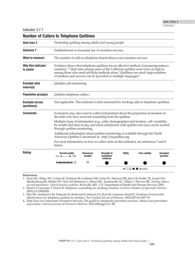| Goal area 3                                         |                                                                                                                                                                                                                     | Promoting quitting among adults and young people                                                                                                                                                                                                                                                                                                                          |                                              |                |                                                             |                             |  |  |
|-----------------------------------------------------|---------------------------------------------------------------------------------------------------------------------------------------------------------------------------------------------------------------------|---------------------------------------------------------------------------------------------------------------------------------------------------------------------------------------------------------------------------------------------------------------------------------------------------------------------------------------------------------------------------|----------------------------------------------|----------------|-------------------------------------------------------------|-----------------------------|--|--|
| <b>Outcome 7</b>                                    | Establishment or increased use of cessation services                                                                                                                                                                |                                                                                                                                                                                                                                                                                                                                                                           |                                              |                |                                                             |                             |  |  |
| What to measure                                     | The number of calls to telephone-based tobacco use cessation services                                                                                                                                               |                                                                                                                                                                                                                                                                                                                                                                           |                                              |                |                                                             |                             |  |  |
| Why this indicator $\square$<br>is useful $\square$ |                                                                                                                                                                                                                     | Evidence shows that telephone quitlines are an effective method of increasing tobacco<br>cessation. <sup>1-5</sup> Quit rates among users of the California quitline were twice as high as<br>among those who used self-help methods alone. <sup>3</sup> Quitlines can reach large numbers<br>of smokers and services can be provided in multiple languages. <sup>6</sup> |                                              |                |                                                             |                             |  |  |
| <b>Example data</b><br>source(s)                    | Quitline call monitoring                                                                                                                                                                                            |                                                                                                                                                                                                                                                                                                                                                                           |                                              |                |                                                             |                             |  |  |
| <b>Population group(s)</b>                          | Quitline telephone callers                                                                                                                                                                                          |                                                                                                                                                                                                                                                                                                                                                                           |                                              |                |                                                             |                             |  |  |
| <b>Example survey</b><br>question(s)                | Not applicable. This indicator is best measured by tracking calls to telephone quitlines.                                                                                                                           |                                                                                                                                                                                                                                                                                                                                                                           |                                              |                |                                                             |                             |  |  |
| <b>Comments</b>                                     | Evaluators may also want to collect information about the proportion of smokers in<br>the state who have received counseling from the quitline.                                                                     |                                                                                                                                                                                                                                                                                                                                                                           |                                              |                |                                                             |                             |  |  |
|                                                     | Multiple types of information (e.g., caller demographics and location, call variability<br>by month and time of day, and client satisfaction with quitline services) can be tracked<br>through quitline monitoring. |                                                                                                                                                                                                                                                                                                                                                                           |                                              |                |                                                             |                             |  |  |
|                                                     | Additional information about quitline monitoring is available through the North<br>American Quitline Consortium at: http://naquitline.org.                                                                          |                                                                                                                                                                                                                                                                                                                                                                           |                                              |                |                                                             |                             |  |  |
|                                                     | For more information on how to collect data on this indicator, see references 7 and 8<br>below.                                                                                                                     |                                                                                                                                                                                                                                                                                                                                                                           |                                              |                |                                                             |                             |  |  |
| <b>Rating</b>                                       | <b>Overall quality</b><br>$low \leftarrow \rightarrow high$                                                                                                                                                         | <b>Resources</b><br>needed                                                                                                                                                                                                                                                                                                                                                | <b>Strength of</b><br>evaluation<br>evidence | <b>Utility</b> | <b>Face validity</b>                                        | <b>Accepted</b><br>practice |  |  |
|                                                     |                                                                                                                                                                                                                     | \$\$                                                                                                                                                                                                                                                                                                                                                                      |                                              |                |                                                             |                             |  |  |
|                                                     |                                                                                                                                                                                                                     |                                                                                                                                                                                                                                                                                                                                                                           |                                              |                | $\leftarrow$ $\circ$ $\circ$ $\bullet$ $\rightarrow$ better |                             |  |  |

## **Number of Callers to Telephone Quitlines**

**References**

1. �Fiore MC, Bailey WC, Cohen SJ, Dorfman SF, Goldstein MG, Gritz EG, Heyman RB, Jaén CR, Kottke TE, Lando HA, Mecklenburg RE, Mullen PD, Nett LM, Robinson L, Stitzer ML, Tommasello AC, Villejo L, Wewers ME. *Treating tobacco use and dependence: clinical practice guideline.* Rockville, MD: U.S. Department of Health and Human Services; 2000.

- 2. �Stead LF, Lancaster T, Perera R. Telephone counselling for smoking cessation. *Cochrane Database of Systematic Reviews.* 2003;(1):CD002850.
- 3. �Zhu SH, Anderson CM, Tedeschi GJ, Rosbrook B, Johnson CE, Byrd M, Gutierrez-Terrell E. Evidence of real-world effectiveness of a telephone quitline for smokers. *New England Journal of Medicine.* 2002;347(14):1087–93.
- 4. �Task Force on Community Preventive Services. The guide to community preventive services: tobacco use prevention and control. *American Journal of Preventive Medicine.* 2001;20(Suppl 2):1–88.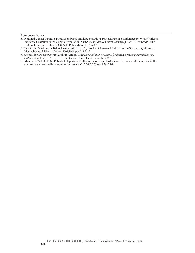#### **References (cont.)**

- 5. �National Cancer Institute. Population-based smoking cessation: proceedings of a conference on What Works to Influence Cessation in the General Population. *Smoking and Tobacco Control Monograph No. 12.* Bethesda, MD: National Cancer Institute; 2000. NIH Publication No. 00-4892.
- 6. �Prout MN, Martinez O, Ballas J, Geller AC, Lash TL, Brooks D, Heeren T. Who uses the Smoker's Quitline in Massachusetts? *Tobacco Control.* 2002;11(Suppl 2):ii74–5.
- 7. �Centers for Disease Control and Prevention. *Telephone quitlines: a resource for development, implementation, and evaluation.* Atlanta, GA: Centers for Disease Control and Prevention; 2004.
- 8. [Miller CL, Wakefield M, Roberts L. Uptake and effectiveness of the Australian telephone quitline service in the context of a mass media campaign. *Tobacco Control.* 2003;12(Suppl 2):ii53–8.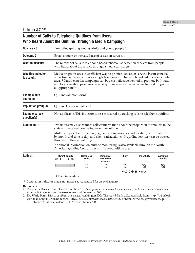Indicator 3.7.2<sup>NR</sup>

# **Number of Calls to Telephone Quitlines from Users Who Heard About the Quitline Through a Media Campaign**

| Goal area 3                                      |                                                                                                                                                                                                                     | Promoting quitting among adults and young people□                                                                                                                                                                                                                                                                                                                           |                                                     |                |                                                                   |                              |  |  |
|--------------------------------------------------|---------------------------------------------------------------------------------------------------------------------------------------------------------------------------------------------------------------------|-----------------------------------------------------------------------------------------------------------------------------------------------------------------------------------------------------------------------------------------------------------------------------------------------------------------------------------------------------------------------------|-----------------------------------------------------|----------------|-------------------------------------------------------------------|------------------------------|--|--|
| <b>Outcome 7</b>                                 | Establishment or increased use of cessation services                                                                                                                                                                |                                                                                                                                                                                                                                                                                                                                                                             |                                                     |                |                                                                   |                              |  |  |
| What to measure                                  |                                                                                                                                                                                                                     | The number of calls to telephone-based tobacco use cessation services from people<br>who heard about the service through a media campaign                                                                                                                                                                                                                                   |                                                     |                |                                                                   |                              |  |  |
| Why this indicator $\square$<br>is useful $\Box$ | as appropriate. $1,2$                                                                                                                                                                                               | Media programs are a cost efficient way to promote cessation services because media<br>advertisements can promote a single telephone number and broadcast it across a wide<br>area. <sup>1,2</sup> Quitline media campaigns can be a cost-effective method to promote both state<br>and local cessation programs because quitlines can also refer callers to local programs |                                                     |                |                                                                   |                              |  |  |
| <b>Example data</b><br>source(s)                 | Quitline call monitoring                                                                                                                                                                                            |                                                                                                                                                                                                                                                                                                                                                                             |                                                     |                |                                                                   |                              |  |  |
| <b>Population group(s)</b>                       | Quitline telephone callers                                                                                                                                                                                          |                                                                                                                                                                                                                                                                                                                                                                             |                                                     |                |                                                                   |                              |  |  |
| <b>Example survey</b><br>question(s)             | Not applicable. This indicator is best measured by tracking calls to telephone quitlines.                                                                                                                           |                                                                                                                                                                                                                                                                                                                                                                             |                                                     |                |                                                                   |                              |  |  |
| Commonents                                       | Evaluators may also want to collect information about the proportion of smokers in the<br>state who received counseling from the quitline.                                                                          |                                                                                                                                                                                                                                                                                                                                                                             |                                                     |                |                                                                   |                              |  |  |
|                                                  | Multiple types of information (e.g., caller demographics and location, call variability<br>by month and time of day, and client satisfaction with quitline services) can be tracked<br>through quitline monitoring. |                                                                                                                                                                                                                                                                                                                                                                             |                                                     |                |                                                                   |                              |  |  |
|                                                  | Additional information on quitline monitoring is also available through the North<br>American Quitline Consortium at: http://naquitline.org.                                                                        |                                                                                                                                                                                                                                                                                                                                                                             |                                                     |                |                                                                   |                              |  |  |
| Rating $\Box$                                    | <b>Overall quality</b><br>$low \longrightarrow high$                                                                                                                                                                | <b>Resources</b><br>needed                                                                                                                                                                                                                                                                                                                                                  | <b>Strength of</b><br>evaluation $\Box$<br>evidence | <b>Utility</b> | <b>Face validity</b>                                              | <b>Accepted</b><br>practice  |  |  |
|                                                  |                                                                                                                                                                                                                     | N                                                                                                                                                                                                                                                                                                                                                                           |                                                     |                |                                                                   | $\mathbin{\curvearrowright}$ |  |  |
|                                                  |                                                                                                                                                                                                                     |                                                                                                                                                                                                                                                                                                                                                                             |                                                     |                | $\leftarrow$ $\bigcirc$ $\bigcirc$ $\bullet$ $\rightarrow$ better |                              |  |  |
|                                                  | Q Denotes no data.                                                                                                                                                                                                  |                                                                                                                                                                                                                                                                                                                                                                             |                                                     |                |                                                                   |                              |  |  |

<sup>NR</sup> Denotes an indicator that is not rated (see Appendix B for an explanation).

#### **References**

1. �Centers for Disease Control and Prevention. *Telephone quitlines: a resource for development, implementation, and evaluation.*  Atlanta, GA: Centers for Disease Control and Prevention; 2004.

2. �The World Bank. *Tobacco quitlines: at a glance.* Washington, DC: The World Bank; 2002. Available from: http://wbln0018. worldbank.org/HDNet/hddocs.nsf/vtlw/7de69862c4402da485256ea1004e73b2 or http://www.cdc.gov/tobacco/quit/ CRC/TobaccoQuitlineataGlance.pdf. Accessed March 2005.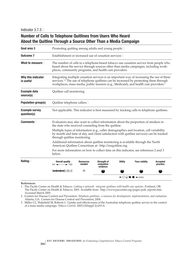# **Number of Calls to Telephone Quitlines from Users Who Heard About the Quitline Through a Source Other Than a Media Campaign**

| Goal area 3                          | Promoting quitting among adults and young people□                                                                                                                                                                   |                                                                                                                                                                                                                                                                                                       |                                              |                |                                                                   |                             |  |  |
|--------------------------------------|---------------------------------------------------------------------------------------------------------------------------------------------------------------------------------------------------------------------|-------------------------------------------------------------------------------------------------------------------------------------------------------------------------------------------------------------------------------------------------------------------------------------------------------|----------------------------------------------|----------------|-------------------------------------------------------------------|-----------------------------|--|--|
| <b>Outcome 7</b>                     | Establishment or increased use of cessation services                                                                                                                                                                |                                                                                                                                                                                                                                                                                                       |                                              |                |                                                                   |                             |  |  |
| What to measure $\square$            |                                                                                                                                                                                                                     | The number of calls to a telephone-based tobacco use cessation service from people who<br>heard about the service through sources other than media campaigns, including work-<br>places, community programs, and health care providers                                                                |                                              |                |                                                                   |                             |  |  |
| Why this indicator<br>is useful      |                                                                                                                                                                                                                     | Integrating multiple cessation services is an important way of increasing the use of these<br>services. <sup>1,2</sup> The use of telephone quitlines can be increased by promoting them through<br>workplaces, mass media, public insurers (e.g., Medicaid), and health care providers. <sup>2</sup> |                                              |                |                                                                   |                             |  |  |
| <b>Example data</b><br>source(s)     | Quitline call monitoring                                                                                                                                                                                            |                                                                                                                                                                                                                                                                                                       |                                              |                |                                                                   |                             |  |  |
| <b>Population group(s)</b>           | Quitline telephone callers                                                                                                                                                                                          |                                                                                                                                                                                                                                                                                                       |                                              |                |                                                                   |                             |  |  |
| <b>Example survey</b><br>question(s) | Not applicable. This indicator is best measured by tracking calls to telephone quitlines.                                                                                                                           |                                                                                                                                                                                                                                                                                                       |                                              |                |                                                                   |                             |  |  |
| $Comments$                           | Evaluators may also want to collect information about the proportion of smokers in<br>the state who received counseling from the quitline.                                                                          |                                                                                                                                                                                                                                                                                                       |                                              |                |                                                                   |                             |  |  |
|                                      | Multiple types of information (e.g., caller demographics and location, call variability<br>by month and time of day, and client satisfaction with quitline services) can be tracked<br>through quitline monitoring. |                                                                                                                                                                                                                                                                                                       |                                              |                |                                                                   |                             |  |  |
|                                      | Additional information about quitline monitoring is available through the North<br>American Quitline Consortium at: http://naquitline.org.                                                                          |                                                                                                                                                                                                                                                                                                       |                                              |                |                                                                   |                             |  |  |
|                                      | For more information on how to collect data on this indicator, see references 2 and 3<br>below.                                                                                                                     |                                                                                                                                                                                                                                                                                                       |                                              |                |                                                                   |                             |  |  |
| Rating $\Box$                        | <b>Overall quality</b><br>$low \leftarrow \rightarrow high$                                                                                                                                                         | <b>Resources</b><br>needed                                                                                                                                                                                                                                                                            | Strength of<br>evaluation $\Box$<br>evidence | <b>Utility</b> | <b>Face validity</b>                                              | <b>Accepted</b><br>practice |  |  |
|                                      |                                                                                                                                                                                                                     | \$\$                                                                                                                                                                                                                                                                                                  |                                              |                |                                                                   |                             |  |  |
|                                      |                                                                                                                                                                                                                     |                                                                                                                                                                                                                                                                                                       |                                              |                | $\leftarrow$ $\bigcirc$ $\bigcirc$ $\bullet$ $\rightarrow$ better |                             |  |  |

#### **References**

1. �The Pacific Center on Health & Tobacco. *Linking a network: integrate quitlines with health care systems.* Portland, OR: The Pacific Center on Health & Tobacco; 2003. Available from: http://www.paccenter.org/pages/pub\_reports.htm. Accessed March 2005.

- 2. �Centers for Disease Control and Prevention. *Telephone quitlines: a resource for development, implementation, and evaluation.*  Atlanta, GA: Centers for Disease Control and Prevention; 2004.
- 3. �Miller CL, Wakefield M, Roberts L. Uptake and effectiveness of the Australian telephone quitline service in the context of a mass media campaign. *Tobacco Control.* 2003;12(Suppl 2):ii53–8.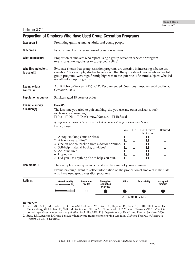| <b>Proportion of Smokers Who Have Used Group Cessation Programs</b> |                                                                                                                                                                                                                                                                                                                                   |                            |                                                        |                                                             |                                                     |                                                       |                                                     |
|---------------------------------------------------------------------|-----------------------------------------------------------------------------------------------------------------------------------------------------------------------------------------------------------------------------------------------------------------------------------------------------------------------------------|----------------------------|--------------------------------------------------------|-------------------------------------------------------------|-----------------------------------------------------|-------------------------------------------------------|-----------------------------------------------------|
| Goal area 3                                                         | Promoting quitting among adults and young people                                                                                                                                                                                                                                                                                  |                            |                                                        |                                                             |                                                     |                                                       |                                                     |
| <b>Outcome 7</b>                                                    | Establishment or increased use of cessation services                                                                                                                                                                                                                                                                              |                            |                                                        |                                                             |                                                     |                                                       |                                                     |
| What to measure                                                     | Proportion of smokers who report using a group cessation service or program<br>(e.g., stop-smoking classes or group counseling)                                                                                                                                                                                                   |                            |                                                        |                                                             |                                                     |                                                       |                                                     |
| Why this indicator<br>is useful <sup>[1]</sup>                      | Evidence shows that group cessation programs are effective in increasing tobacco use<br>cessation. <sup>1</sup> For example, studies have shown that the quit rates of people who attended<br>group programs were significantly higher than the quit rates of control subjects who did<br>not attend group programs. <sup>2</sup> |                            |                                                        |                                                             |                                                     |                                                       |                                                     |
| <b>Example data</b><br>source(s)                                    | Adult Tobacco Survey (ATS): CDC Recommended Questions: Supplemental Section C:<br>Cessation, 2003                                                                                                                                                                                                                                 |                            |                                                        |                                                             |                                                     |                                                       |                                                     |
| <b>Population group(s)</b>                                          | Smokers aged 18 years or older                                                                                                                                                                                                                                                                                                    |                            |                                                        |                                                             |                                                     |                                                       |                                                     |
| <b>Example survey</b><br>question(s)                                | <b>From ATS</b><br>The last time you tried to quit smoking, did you use any other assistance such<br>as classes or counseling?<br>$\Box$ Yes $\Box$ No $\Box$ Don't know/Not sure $\Box$ Refused                                                                                                                                  |                            |                                                        |                                                             |                                                     |                                                       |                                                     |
|                                                                     | If respondent answers "yes," ask the following question for each option below:<br>Did you use:                                                                                                                                                                                                                                    |                            |                                                        | Yes                                                         | No                                                  | Don't know                                            | Refused                                             |
|                                                                     | 1. A stop-smoking clinic or class?<br>2. A telephone quitline?<br>3. One-on-one counseling from a doctor or nurse?<br>4. Self-help material, books, or videos?<br>5. Acupuncture?<br>6. Hypnosis?<br>7. Did you use anything else to help you quit?                                                                               |                            |                                                        | $\blacksquare$<br>П<br>$\Box$<br>П<br>П<br>$\Box$<br>П      | ப<br>$\Box$<br>$\Box$<br>$\Box$<br>П<br>$\Box$<br>П | Not sure<br>⊔<br>$\Box$<br>$\Box$<br>⊔<br>П<br>$\Box$ | ⊔<br>$\Box$<br>$\Box$<br>$\Box$<br>$\Box$<br>$\Box$ |
| <b>Comments</b>                                                     | The example survey questions could also be asked of young smokers.<br>Evaluators might want to collect information on the proportion of smokers in the state<br>who have used group cessation programs.                                                                                                                           |                            |                                                        |                                                             |                                                     |                                                       |                                                     |
| Rating $\Box$                                                       | <b>Overall quality</b><br>$low \leftarrow \rightarrow high$                                                                                                                                                                                                                                                                       | <b>Resources</b><br>needed | <b>Strength of</b><br>evaluation $\square$<br>evidence | <b>Utility</b>                                              |                                                     | <b>Face validity</b>                                  | <b>Accepted</b><br>practice                         |
|                                                                     |                                                                                                                                                                                                                                                                                                                                   | \$\$                       |                                                        |                                                             |                                                     |                                                       |                                                     |
|                                                                     |                                                                                                                                                                                                                                                                                                                                   |                            |                                                        | $\leftarrow$ $\circ$ $\circ$ $\bullet$ $\rightarrow$ better |                                                     |                                                       |                                                     |

#### **References**

1. �Fiore MC, Bailey WC, Cohen SJ, Dorfman SF, Goldstein MG, Gritz EG, Heyman RB, Jaén CR, Kottke TE, Lando HA, Mecklenburg RE, Mullen PD, Nett LM, Robinson L, Stitzer ML, Tommasello AC, Villejo L, Wewers ME. *Treating tobacco use and dependence: clinical practice guideline.* Rockville, MD: U.S. Department of Health and Human Services; 2000.

2. �Stead LF, Lancaster T. Group behavior therapy programmes for smoking cessation. *Cochrane Database of Systematic Reviews.* 2002;(3):CD001007.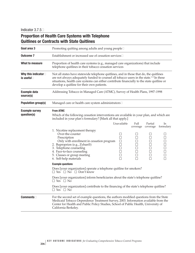# **Proportion of Health Care Systems with Telephone Quitlines or Contracts with State Quitlines**

| Goal area 3                                         | Promoting quitting among adults and young people $\square$                                                                                                                                                                                                                                                                                |                                                |                                                                     |                                                                               |                           |  |  |  |
|-----------------------------------------------------|-------------------------------------------------------------------------------------------------------------------------------------------------------------------------------------------------------------------------------------------------------------------------------------------------------------------------------------------|------------------------------------------------|---------------------------------------------------------------------|-------------------------------------------------------------------------------|---------------------------|--|--|--|
| <b>Outcome 7</b>                                    | Establishment or increased use of cessation services <sup>[1]</sup>                                                                                                                                                                                                                                                                       |                                                |                                                                     |                                                                               |                           |  |  |  |
| What to measure                                     | Proportion of health care systems (e.g., managed care organizations) that include<br>telephone quitlines in their tobacco cessation services                                                                                                                                                                                              |                                                |                                                                     |                                                                               |                           |  |  |  |
| Why this indicator $\square$<br>is useful $\square$ | Not all states have statewide telephone quitlines, and in those that do, the quitlines<br>are not always adequately funded to counsel all tobacco users in the state. <sup>1-4</sup> In these<br>situations, health care systems can either contribute financially to the state quitline or<br>develop a quitline for their own patients. |                                                |                                                                     |                                                                               |                           |  |  |  |
| <b>Example data</b><br>source(s)                    | Addressing Tobacco in Managed Care (ATMC), Survey of Health Plans, 1997-1998                                                                                                                                                                                                                                                              |                                                |                                                                     |                                                                               |                           |  |  |  |
| <b>Population group(s)</b>                          | Managed care or health care system administrators□                                                                                                                                                                                                                                                                                        |                                                |                                                                     |                                                                               |                           |  |  |  |
| <b>Example survey</b><br>question(s)                | <b>From ATMC</b><br>Which of the following cessation interventions are available in your plan, and which are<br>included in your plan's formulary? [Mark all that apply.]                                                                                                                                                                 |                                                |                                                                     |                                                                               |                           |  |  |  |
|                                                     |                                                                                                                                                                                                                                                                                                                                           | Unavailable                                    | Full                                                                | Partial                                                                       | In                        |  |  |  |
|                                                     | 1. Nicotine replacement therapy<br>Over-the-counter<br>Prescription<br>Only with enrollment in cessation program<br>2. Buproprion (e.g., Zyban®)<br>3. Telephone counseling<br>4. Face-to-face counseling<br>5. Classes or group meeting<br>6. Self-help materials                                                                        | $\Box$<br>□<br>$\Box$<br>$\Box$<br>$\Box$<br>П | $\vert \ \ \vert$<br>$\Box$<br>$\Box$<br>$\Box$<br>$\Box$<br>$\Box$ | coverage coverage<br>⊔<br>$\Box$<br>$\Box$<br>$\Box$<br>⊔<br>$\Box$<br>$\Box$ | formulary<br>$\mathbf{L}$ |  |  |  |
|                                                     | <b>Example questions</b><br>Does [your organization] operate a telephone quitline for smokers?                                                                                                                                                                                                                                            |                                                |                                                                     |                                                                               |                           |  |  |  |
|                                                     | $\Box$ Yes $\Box$ No $\Box$ Don't know<br>Does [your organization] inform beneficiaries about the state's telephone quitline?<br>$\Box$ Yes $\Box$ No                                                                                                                                                                                     |                                                |                                                                     |                                                                               |                           |  |  |  |
|                                                     | Does [your organization] contribute to the financing of the state's telephone quitline?<br>$\Box$ Yes $\Box$ No                                                                                                                                                                                                                           |                                                |                                                                     |                                                                               |                           |  |  |  |
| <b>Comments</b>                                     | For the second set of example questions, the authors modified questions from the State<br>Medicaid Tobacco Dependence Treatment Survey, 2003. Information available from the<br>Center for Health and Public Policy Studies, School of Public Health, University of<br>California Berkeley.                                               |                                                |                                                                     |                                                                               |                           |  |  |  |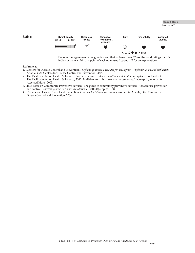## GOAL AREA 3

▶ Outcome 7



#### **References**

- 1. �Centers for Disease Control and Prevention. *Telephone quitlines: a resource for development, implementation, and evaluation.*  Atlanta, GA: Centers for Disease Control and Prevention; 2004.
- 2. �The Pacific Center on Health & Tobacco. *Linking a network: integrate quitlines with health care systems.* Portland, OR: The Pacific Center on Health & Tobacco; 2003. Available from: http://www.paccenter.org/pages/pub\_reports.htm. Accessed March 2005.
- 3. �Task Force on Community Preventive Services. The guide to community preventive services: tobacco use prevention and control. *American Journal of Preventive Medicine.* 2001;20(Suppl 2):1–88.
- 4. �Centers for Disease Control and Prevention. *Coverage for tobacco use cessation treatments.* Atlanta, GA: Centers for Disease Control and Prevention; 2004.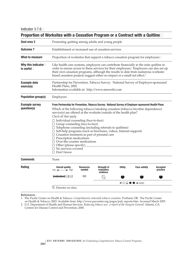| Goal area 3                                      | Promoting quitting among adults and young people                                                                                                                                                                                                                                                                                                                                                                                                                                                                                            |                            |                                                                                |                |                      |                             |  |  |  |
|--------------------------------------------------|---------------------------------------------------------------------------------------------------------------------------------------------------------------------------------------------------------------------------------------------------------------------------------------------------------------------------------------------------------------------------------------------------------------------------------------------------------------------------------------------------------------------------------------------|----------------------------|--------------------------------------------------------------------------------|----------------|----------------------|-----------------------------|--|--|--|
| <b>Outcome 7</b>                                 | Establishment or increased use of cessation services                                                                                                                                                                                                                                                                                                                                                                                                                                                                                        |                            |                                                                                |                |                      |                             |  |  |  |
| What to measure                                  | Proportion of worksites that support a tobacco cessation program for employees□                                                                                                                                                                                                                                                                                                                                                                                                                                                             |                            |                                                                                |                |                      |                             |  |  |  |
| Why this indicator $\square$<br>is useful $\Box$ | Like health care systems, employers can contribute financially to the state quitline in<br>order to ensure access to these services for their employees. <sup>1</sup> Employers can also set up<br>their own cessation programs, although the results to date from numerous worksite-<br>based cessation projects suggest either no impact or a small net effect. <sup>2</sup>                                                                                                                                                              |                            |                                                                                |                |                      |                             |  |  |  |
| <b>Example data</b><br>source(s)                 | Partnership for Prevention, Tobacco Survey: National Survey of Employer-sponsored<br>Health Plans, 2002<br>Information available at: http://www.mercerhr.com                                                                                                                                                                                                                                                                                                                                                                                |                            |                                                                                |                |                      |                             |  |  |  |
| <b>Population group(s)</b>                       | Employers                                                                                                                                                                                                                                                                                                                                                                                                                                                                                                                                   |                            |                                                                                |                |                      |                             |  |  |  |
| <b>Example survey</b>                            | From Partnership for Prevention, Tobacco Survey: National Survey of Employer-sponsored Health Plans                                                                                                                                                                                                                                                                                                                                                                                                                                         |                            |                                                                                |                |                      |                             |  |  |  |
|                                                  | service(s) are offered at the worksite/outside of the health plan?<br>Check all that apply<br>□ Individual counseling (face-to-face)<br>□ Group counseling (face-to-face)<br>$\Box$ Telephone counseling (including referrals to quitlines)<br>$\Box$ Self-help programs (such as brochures, videos, Internet support)<br>$\Box$ Cessation treatment as part of prenatal care<br>$\Box$ Prescription medications<br>$\Box$ Over-the-counter medications<br>$\Box$ Other (please specify)<br>$\Box$ No services covered<br>$\Box$ Don't know |                            | Which of the following tobacco/smoking cessation (tobacco/nicotine dependence) |                |                      |                             |  |  |  |
|                                                  | None                                                                                                                                                                                                                                                                                                                                                                                                                                                                                                                                        |                            |                                                                                |                |                      |                             |  |  |  |
|                                                  | <b>Overall quality</b><br>$\rightarrow$ high<br>$low \leftarrow$                                                                                                                                                                                                                                                                                                                                                                                                                                                                            | <b>Resources</b><br>needed | <b>Strength of</b><br>evaluation<br>evidence                                   | <b>Utility</b> | <b>Face validity</b> | <b>Accepted</b><br>practice |  |  |  |
| question(s)<br><b>Comments</b><br>Rating         |                                                                                                                                                                                                                                                                                                                                                                                                                                                                                                                                             | \$\$\$                     | $\bigcirc$                                                                     |                |                      |                             |  |  |  |

# **Proportion of Worksites with a Cessation Program or a Contract with a Quitline**�

**References**

1. �The Pacific Center on Health & Tobacco. *Comprehensive statewide tobacco cessation.* Portland, OR: The Pacific Center on Health & Tobacco; 2003. Available from: http://www.paccenter.org/pages/pub\_reports.htm. Accessed March 2005.

2. �U.S. Department of Health and Human Services. *Reducing tobacco use: a report of the Surgeon General.* Atlanta, GA: Centers for Disease Control and Prevention; 2000.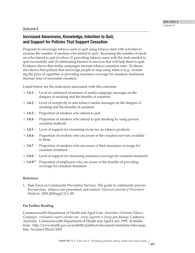## Outcome 8

## **Increased Awareness, Knowledge, Intention to Quit, and Support for Policies That Support Cessation**

Programs to encourage tobacco users to quit using tobacco start with activities to increase the number of smokers who intend to quit.<sup>1</sup> Increasing the number of smokers who intend to quit involves (1) providing tobacco users with the tools needed to quit successfully and (2) eliminating barriers to services that will help them to quit. Evidence shows that media campaigns increase tobacco cessation rates.<sup>1</sup> Evidence also shows that policies that encourage people to stop using tobacco (e.g., increasing the price of cigarettes or providing insurance coverage for cessation treatment) increase rates of successful cessation.<sup>1</sup>

Listed below are the indicators associated with this outcome:

- **► 3.8.1**<sup> $□$ </sup> Level of confirmed awareness of media campaign messages on the dangers of smoking and the benefits of cessation
- **→ 3.8.2**□ Level of receptivity to anti-tobacco media messages on the dangers of smoking and the benefits of cessation
- **► 3.8.3** $\Box$  Proportion of smokers who intend to quit
- **► 3.8.4 □** Proportion of smokers who intend to quit smoking by using proven cessation methods
- **► 3.8.5** □ Level of support for increasing excise tax on tobacco products
- **► 3.8.6** $□$  Proportion of smokers who are aware of the cessation services available to them
- **→ 3.8.7** Proportion of smokers who are aware of their insurance coverage for cessation treatment
- **► 3.8.8 □** Level of support for increasing insurance coverage for cessation treatment
- **3.8.9**NR Proportion of employers who are aware of the benefits of providing coverage for cessation treatment

## **Reference**

1. �Task Force on Community Preventive Services. The guide to community preventive services: tobacco use prevention and control. *American Journal of Preventive Medicine.* 2001;20(Suppl 2):1–88.

## **For Further Reading**

Commonwealth Department of Health and Aged Care. *Australia's National Tobacco Campaign: evaluation report volume one: every cigarette is doing you damage.* Canberra, Australia: Commonwealth Department of Health and Aged Care; 1999. Available from: http://www.health.gov.au/pubhlth/publicat/document/metadata/tobccamp. htm. Accessed March 2005.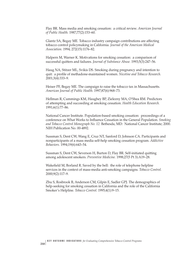Flay BR. Mass media and smoking cessation: a critical review. *American Journal of Public Health.* 1987;77(2):153–60.

Glantz SA, Begay ME. Tobacco industry campaign contributions are affecting tobacco control policymaking in California. *Journal of the American Medical Association.* 1994; 272(15):1176–82.

Halpern M, Warner K. Motivations for smoking cessation: a comparison of successful quitters and failures. *Journal of Substance Abuse.* 1993;5(3):247–56.

Haug NA, Stitzer ML, Svikis DS. Smoking during pregnancy and intention to quit: a profile of methadone-maintained women. *Nicotine and Tobacco Research.*  2001;3(4):333–9.

Heiser PF, Begay ME. The campaign to raise the tobacco tax in Massachusetts. *American Journal of Public Health.* 1997;87(6):968–73.

Hellman R, Cummings KM, Haughey BP, Zielezny MA, O'Shea RM. Predictors of attempting and succeeding at smoking cessation. *Health Education Research.* 1991;6(1):77–86.

National Cancer Institute. Population-based smoking cessation: proceedings of a conference on What Works to Influence Cessation in the General Population. *Smoking and Tobacco Control Monograph No. 12.* Bethesda, MD: National Cancer Institute; 2000. NIH Publication No. 00-4892.

Sussman S, Dent CW, Wang E, Cruz NT, Sanford D, Johnson CA. Participants and nonparticipants of a mass media self-help smoking cessation program. *Addictive Behaviors.* 1994;19(6):643–54.

Sussman S, Dent CW, Severson H, Burton D, Flay BR. Self-initiated quitting among adolescent smokers. *Preventive Medicine.* 1998;27(5 Pt 3):A19–28.

Wakefield M, Borland R. Saved by the bell: the role of telephone helpline services in the context of mass-media anti-smoking campaigns. *Tobacco Control.* 2000;9(2):117–9.

Zhu S, Rosbrook B, Anderson CM, Gilpin E, Sadler GPJ. The demographics of help-seeking for smoking cessation in California and the role of the California Smoker's Helpline. *Tobacco Control.* 1995;4(1):9–15.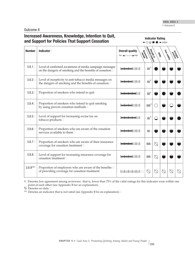Outcome 8

# **Increased Awareness, Knowledge, Intention to Quit, Support Support for Policies That Support Cessation and Support for Policies That Support Cessation**

| <b>Number</b>       | <b>Indicator</b>                                                                                                   | <b>Overall quality</b><br>Resources<br>$\blacktriangleright$ high<br>$low \leftarrow$ | extendance diverse | <b>CASE</b> | Face values | probation |  |
|---------------------|--------------------------------------------------------------------------------------------------------------------|---------------------------------------------------------------------------------------|--------------------|-------------|-------------|-----------|--|
| $3.8.1 \square$     | Level of confirmed awareness of media campaign messages<br>on the dangers of smoking and the benefits of cessation |                                                                                       | $ss^+$             |             |             |           |  |
| $3.8.2\square$      | Level of receptivity to anti-tobacco media messages on<br>the dangers of smoking and the benefits of cessation     |                                                                                       | $ss^+$             |             |             |           |  |
| $3.8.3\square$      | Proportion of smokers who intend to quit                                                                           |                                                                                       | \$ <sup>4</sup>    |             |             |           |  |
| $3.8.4 \square$     | Proportion of smokers who intend to quit smoking<br>by using proven cessation methods                              |                                                                                       | $$$ \$\$ $^1$      |             |             |           |  |
| $3.8.5\Box$         | Level of support for increasing excise tax on<br>tobacco products□                                                 |                                                                                       | $ss^+$             |             |             |           |  |
| $3.8.6 \square$     | Proportion of smokers who are aware of the cessation<br>services available to them□                                |                                                                                       | \$\$⊡              |             |             |           |  |
| $3.8.7 \square$     | Proportion of smokers who are aware of their insurance<br>coverage for cessation treatment□                        |                                                                                       | <b>\$\$\$</b>      |             |             |           |  |
| $3.8.8 \square$     | Level of support for increasing insurance coverage for<br>cessation treatment□                                     |                                                                                       | <b>\$\$\$</b>      | $\oslash$   |             |           |  |
| 3.8.9 <sup>NR</sup> | Proportion of employers who are aware of the benefits $\square$<br>of providing coverage for cessation treatment   |                                                                                       | $\bigcirc$         |             |             |           |  |

†�Denotes low agreement among reviewers: that is, fewer than 75% of the valid ratings for this indicator were within one point of each other (see Appendix B for an explanation).

 $\oslash$  Denotes no data. $\square$ 

 $N\mathbb{R}$  Denotes an indicator that is not rated (see Appendix B for an explanation). $\square$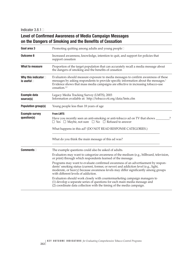Indicator  $3.8.1\Box$ 

# **Level of Confirmed Awareness of Media Campaign Messages on the Dangers of Smoking and the Benefits of Cessation**

| Goal area 3                                         | Promoting quitting among adults and young people□                                                                                                                                                                                                                                                         |  |  |  |  |
|-----------------------------------------------------|-----------------------------------------------------------------------------------------------------------------------------------------------------------------------------------------------------------------------------------------------------------------------------------------------------------|--|--|--|--|
| <b>Outcome 8</b>                                    | Increased awareness, knowledge, intention to quit, and support for policies that<br>support cessation                                                                                                                                                                                                     |  |  |  |  |
| What to measure                                     | Proportion of the target population that can accurately recall a media message about<br>the dangers of smoking and the benefits of cessation                                                                                                                                                              |  |  |  |  |
| Why this indicator $\square$<br>is useful $\square$ | Evaluators should measure exposure to media messages to confirm awareness of these<br>messages by asking respondents to provide specific information about the messages. <sup>1</sup><br>Evidence shows that mass media campaigns are effective in increasing tobacco-use<br>$c$ essation. <sup>1,2</sup> |  |  |  |  |
| <b>Example data</b><br>source(s)                    | Legacy Media Tracking Survey (LMTS), 2003<br>Information available at: http://tobacco.rti.org/data/lmts.cfm                                                                                                                                                                                               |  |  |  |  |
| <b>Population group(s)</b>                          | Young people less than 18 years of age                                                                                                                                                                                                                                                                    |  |  |  |  |
| <b>Example survey</b><br>question(s)                | <b>From LMTS</b><br>Have you recently seen an anti-smoking or anti-tobacco ad on TV that shows _<br>$\Box$ Yes $\Box$ Maybe, not sure $\Box$ No $\Box$ Refused to answer<br>What happens in this ad? (DO NOT READ RESPONSE CATEGORIES.)                                                                   |  |  |  |  |
|                                                     | What do you think the main message of this ad was?                                                                                                                                                                                                                                                        |  |  |  |  |
| <b>Comments</b>                                     | The example questions could also be asked of adults.                                                                                                                                                                                                                                                      |  |  |  |  |
|                                                     | Evaluators may want to categorize awareness of the medium (e.g., billboard, television,<br>or print) through which respondents learned of the message.                                                                                                                                                    |  |  |  |  |
|                                                     | Programs may want to evaluate confirmed awareness of an advertisement by respon-<br>dents' smoking status (current, former, or never) and addiction level (e.g., light,<br>moderate, or heavy) because awareness levels may differ significantly among groups<br>with different levels of addiction.      |  |  |  |  |
|                                                     | Evaluators should work closely with countermarketing campaign managers to<br>(1) develop a separate series of questions for each main media message and<br>(2) coordinate data collection with the timing of the media campaign.                                                                          |  |  |  |  |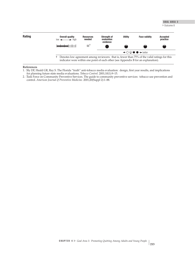# GOAL AREA 3

▶ Outcome 8



#### **References**

1. �Sly DF, Heald GR, Ray S. The Florida "truth" anti-tobacco media evaluation: design, first year results, and implications for planning future state media evaluations. *Tobacco Control.* 2001;10(1):9–15.

<sup>2.</sup> Task Force on Community Preventive Services. The guide to community preventive services: tobacco use prevention and control. *American Journal of Preventive Medicine.* 2001;20(Suppl 2):1–88.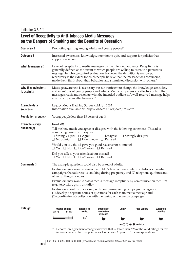# **Level of Receptivity to Anti-tobacco Media Messages on the Dangers of Smoking and the Benefits of Cessation**

| Goal area 3                                         | Promoting quitting among adults and young people□                                                                                                                                                                                                                                                                                                                                                                                                                                                                                                                                                                                 |                                                                                                                                                                                                                                                                                                                                                                                                                                             |                                                     |                |                                                             |                      |  |
|-----------------------------------------------------|-----------------------------------------------------------------------------------------------------------------------------------------------------------------------------------------------------------------------------------------------------------------------------------------------------------------------------------------------------------------------------------------------------------------------------------------------------------------------------------------------------------------------------------------------------------------------------------------------------------------------------------|---------------------------------------------------------------------------------------------------------------------------------------------------------------------------------------------------------------------------------------------------------------------------------------------------------------------------------------------------------------------------------------------------------------------------------------------|-----------------------------------------------------|----------------|-------------------------------------------------------------|----------------------|--|
| <b>Outcome 8</b>                                    | Increased awareness, knowledge, intention to quit, and support for policies that<br>support cessation                                                                                                                                                                                                                                                                                                                                                                                                                                                                                                                             |                                                                                                                                                                                                                                                                                                                                                                                                                                             |                                                     |                |                                                             |                      |  |
| What to measure                                     |                                                                                                                                                                                                                                                                                                                                                                                                                                                                                                                                                                                                                                   | Level of receptivity to media messages by the intended audience. Receptivity is<br>generally defined as the extent to which people are willing to listen to a persuasive<br>message. In tobacco control evaluation, however, the definition is narrower;<br>receptivity is the extent to which people believe that the message was convincing,<br>made them think about their behavior, and stimulated discussion with others. <sup>1</sup> |                                                     |                |                                                             |                      |  |
| Why this indicator $\square$<br>is useful $\square$ |                                                                                                                                                                                                                                                                                                                                                                                                                                                                                                                                                                                                                                   | Message awareness is necessary but not sufficient to change the knowledge, attitudes,<br>and intentions of young people and adults. Media campaigns are effective only if their<br>messages reach and resonate with the intended audience. A well-received message helps<br>ensure campaign effectiveness. <sup>2-5</sup>                                                                                                                   |                                                     |                |                                                             |                      |  |
| <b>Example data</b><br>source(s)                    | Legacy Media Tracking Survey (LMTS), 2003<br>Information available at: http://tobacco.rti.org/data/lmts.cfm                                                                                                                                                                                                                                                                                                                                                                                                                                                                                                                       |                                                                                                                                                                                                                                                                                                                                                                                                                                             |                                                     |                |                                                             |                      |  |
| <b>Population group(s)</b>                          | Young people less than 18 years of age□                                                                                                                                                                                                                                                                                                                                                                                                                                                                                                                                                                                           |                                                                                                                                                                                                                                                                                                                                                                                                                                             |                                                     |                |                                                             |                      |  |
| <b>Example survey</b><br>question(s)                | <b>From LMTS</b><br>Tell me how much you agree or disagree with the following statement: This ad is<br>convincing. Would you say you:<br>$\Box$ Strongly agree $\Box$ Agree<br>$\Box$ No opinion<br>Would you say the ad gave you good reasons not to smoke?<br>$\Box$ Yes $\Box$ No $\Box$ Don't know $\Box$ Refused<br>Did you talk to your friends about this ad?<br>$\Box$ Yes $\Box$ No $\Box$ Don't know $\Box$ Refused                                                                                                                                                                                                     |                                                                                                                                                                                                                                                                                                                                                                                                                                             | $\Box$ Disagree<br>$\Box$ Don't know $\Box$ Refused |                | $\Box$ Strongly disagree                                    |                      |  |
| <b>Comments</b>                                     | The example questions could also be asked of adults.<br>Evaluators may want to assess the public's level of receptivity to anti-tobacco media<br>campaigns that address (1) smoking during pregnancy and (2) telephone quitlines and<br>other quitting strategies.<br>Evaluators may want to assess media message receptivity by communication medium<br>(e.g., television, print, or radio).<br>Evaluators should work closely with countermarketing campaign managers to<br>(1) develop a separate series of questions for each main media message and<br>(2) coordinate data collection with the timing of the media campaign. |                                                                                                                                                                                                                                                                                                                                                                                                                                             |                                                     |                |                                                             |                      |  |
| Rating $\Box$                                       | <b>Overall quality</b><br>$low \leftarrow \rightarrow high$                                                                                                                                                                                                                                                                                                                                                                                                                                                                                                                                                                       | <b>Resources</b><br>needed                                                                                                                                                                                                                                                                                                                                                                                                                  | Strength of<br>evaluation $\square$<br>evidence     | <b>Utility</b> | <b>Face validity</b>                                        | Accepted<br>practice |  |
|                                                     |                                                                                                                                                                                                                                                                                                                                                                                                                                                                                                                                                                                                                                   | $\mathfrak{s}\mathfrak{s}^+$                                                                                                                                                                                                                                                                                                                                                                                                                |                                                     |                |                                                             |                      |  |
|                                                     |                                                                                                                                                                                                                                                                                                                                                                                                                                                                                                                                                                                                                                   |                                                                                                                                                                                                                                                                                                                                                                                                                                             |                                                     |                | $\leftarrow$ $\circ$ $\circ$ $\bullet$ $\rightarrow$ better |                      |  |

† Denotes low agreement among reviewers: that is, fewer than 75% of the valid ratings for this indicator were within one point of each other (see Appendix B for an explanation).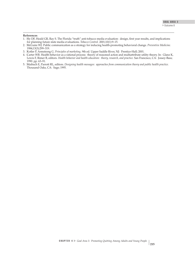#### **References**

- 1. �Sly DF, Heald GR, Ray S. The Florida "truth" anti-tobacco media evaluation: design, first year results, and implications for planning future state media evaluations. *Tobacco Control.* 2001;10(1):9–15.
- 2. �McGuire WJ. Public communication as a strategy for inducing health-promoting behavioral change. *Preventive Medicine.*  1984;13(3):299–319.
- 3. �Kotler P, Armstrong G. *Principles of marketing,* 9th ed. Upper Saddle River, NJ: Prentice-Hall; 2001.
- 4. �Carter WB. Health behavior as a rational process: theory of reasoned action and multiattribute utility theory. In: Glanz K, Lewis F, Rimer B, editors. *Health behavior and health education: theory, research, and practice.* San Francisco, CA: Jossey-Bass; 1990. pp. 63–91.
- 5. �Maibach E, Parrott RL, editors. *Designing health messages: approaches from communication theory and public health practice.* Thousand Oaks, CA: Sage; 1995.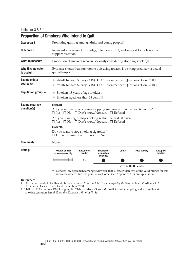| <b>Proportion of Smokers Who Intend to Quit</b> |                                                                                                                                                                                                                            |                                                                                                                                           |                                                 |                |                                                                   |                      |  |
|-------------------------------------------------|----------------------------------------------------------------------------------------------------------------------------------------------------------------------------------------------------------------------------|-------------------------------------------------------------------------------------------------------------------------------------------|-------------------------------------------------|----------------|-------------------------------------------------------------------|----------------------|--|
| Goal area 3                                     | Promoting quitting among adults and young people□                                                                                                                                                                          |                                                                                                                                           |                                                 |                |                                                                   |                      |  |
| <b>Outcome 8</b>                                | Increased awareness, knowledge, intention to quit, and support for policies that<br>support cessation                                                                                                                      |                                                                                                                                           |                                                 |                |                                                                   |                      |  |
| <b>What to measure</b>                          | Proportion of smokers who are seriously considering stopping smoking□                                                                                                                                                      |                                                                                                                                           |                                                 |                |                                                                   |                      |  |
| Why this indicator<br>is useful                 | Evidence shows that intention to quit using tobacco is a strong predictor of actual<br>quit attempts. <sup>1,2</sup>                                                                                                       |                                                                                                                                           |                                                 |                |                                                                   |                      |  |
| <b>Example data</b><br>source(s)                |                                                                                                                                                                                                                            | Adult Tobacco Survey (ATS): CDC Recommended Questions: Core, 2003□<br>Youth Tobacco Survey (YTS): CDC Recommended Questions: Core, 2004 □ |                                                 |                |                                                                   |                      |  |
| Population group(s) $\Box$                      | Smokers 18 years of age or older $\square$<br>▶<br>Smokers aged less than 18 years $\Box$                                                                                                                                  |                                                                                                                                           |                                                 |                |                                                                   |                      |  |
| <b>Example survey</b><br>question(s)            | <b>From ATS</b><br>Are you seriously considering stopping smoking within the next 6 months?<br>$\Box$ Yes $\Box$ No $\Box$ Don't know/Not sure $\Box$ Refused<br>Are you planning to stop smoking within the next 30 days? |                                                                                                                                           |                                                 |                |                                                                   |                      |  |
|                                                 | $\Box$ Yes $\Box$ No $\Box$ Don't know/Not sure $\Box$ Refused<br><b>From YTS</b><br>Do you want to stop smoking cigarettes?<br>$\Box$ I do not smoke now $\Box$ Yes $\Box$ No                                             |                                                                                                                                           |                                                 |                |                                                                   |                      |  |
| <b>Comments</b>                                 | None                                                                                                                                                                                                                       |                                                                                                                                           |                                                 |                |                                                                   |                      |  |
| Rating $\Box$                                   | <b>Overall quality</b><br>$low \leftarrow \rightarrow high$                                                                                                                                                                | <b>Resources</b><br>needed                                                                                                                | Strength of<br>evaluation $\square$<br>evidence | <b>Utility</b> | <b>Face validity</b>                                              | Accepted<br>practice |  |
|                                                 |                                                                                                                                                                                                                            | $\frac{1}{2}$                                                                                                                             |                                                 |                | $\leftarrow \bigcirc \bigcirc \bullet \bullet \rightarrow$ better |                      |  |
|                                                 | Denotes low agreement among reviewers: that is, fewer than 75% of the valid ratings for this<br>ŧ.<br>indicator were within one point of each other (see Appendix B for an explanation).                                   |                                                                                                                                           |                                                 |                |                                                                   |                      |  |

#### **References**

1. �U.S. Department of Health and Human Services. *Reducing tobacco use: a report of the Surgeon General.* Atlanta, GA: Centers for Disease Control and Prevention; 2000.

2. �Hellman R, Cummings KM, Haughey BP, Zielezny MA, O'Shea RM. Predictors of attempting and succeeding at smoking cessation. *Health Education Research.* 1991;6(1):77–86.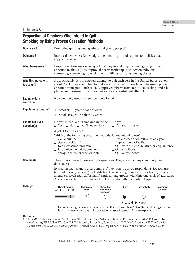# **Proportion of Smokers Who Intend to Quit Smoking by Using Proven Cessation Methods**

| Goal area 3                                         | Promoting quitting among adults and young people□                                                                                                                                                                                                                                                                                                                       |                                          |                                                 |                                                 |                                                                                                                                                                                    |                      |  |  |
|-----------------------------------------------------|-------------------------------------------------------------------------------------------------------------------------------------------------------------------------------------------------------------------------------------------------------------------------------------------------------------------------------------------------------------------------|------------------------------------------|-------------------------------------------------|-------------------------------------------------|------------------------------------------------------------------------------------------------------------------------------------------------------------------------------------|----------------------|--|--|
| <b>Outcome 8</b>                                    | Increased awareness, knowledge, intention to quit, and support for policies that<br>support cessation                                                                                                                                                                                                                                                                   |                                          |                                                 |                                                 |                                                                                                                                                                                    |                      |  |  |
| What to measure                                     | Proportion of smokers who report that they intend to quit smoking using proven<br>cessation methods (FDA-approved pharmacotherapies, in-person individual<br>counseling, counseling from telephone quitlines, or stop-smoking classes)                                                                                                                                  |                                          |                                                 |                                                 |                                                                                                                                                                                    |                      |  |  |
| Why this indicator $\square$<br>is useful $\square$ | Approximately 46% of smokers attempt to quit each year in the United States, but only<br>about 5% of those attempting to quit are still abstinent 1 year later. <sup>1</sup> The use of proven<br>cessation strategies—such as FDA-approved pharmacotherapies, counseling, and tele-<br>phone quitlines—improves the chances of a successful quit attempt. <sup>1</sup> |                                          |                                                 |                                                 |                                                                                                                                                                                    |                      |  |  |
| <b>Example data</b><br>source(s)                    |                                                                                                                                                                                                                                                                                                                                                                         | No commonly used data sources were found |                                                 |                                                 |                                                                                                                                                                                    |                      |  |  |
| Population group(s) $\Box$                          | Smokers 18 years of age or older□<br>▶                                                                                                                                                                                                                                                                                                                                  |                                          |                                                 |                                                 |                                                                                                                                                                                    |                      |  |  |
|                                                     | Smokers aged less than 18 years□                                                                                                                                                                                                                                                                                                                                        |                                          |                                                 |                                                 |                                                                                                                                                                                    |                      |  |  |
| <b>Example survey</b><br>question(s)                | Do you intend to quit smoking in the next 30 days?<br>$\Box$ Yes $\Box$ No $\Box$ Don't know/Not sure $\Box$ Refused to answer                                                                                                                                                                                                                                          |                                          |                                                 |                                                 |                                                                                                                                                                                    |                      |  |  |
|                                                     | If yes to above, then ask:<br>Which of the following cessation methods do you intend to use?<br>$\Box$ Call a quitline<br>$\Box$ See a physician $\Box$<br>$\Box$ Join a cessation program<br>$\square$ Use a nicotine patch, gum, nasal<br>spray, inhaler, lozenge, or tablet                                                                                          |                                          |                                                 | $\Box$ Other methods<br>$\Box$ Quit on your own | $\Box$ Use a prescription pill, such as Zyban,<br>Buproprion, or Wellbutrin<br>$\Box$ Quit with a friend, relative, or acquaintance                                                |                      |  |  |
| <b>Comments</b>                                     | The authors created these example questions. They are not in any commonly used<br>data source.                                                                                                                                                                                                                                                                          |                                          |                                                 |                                                 |                                                                                                                                                                                    |                      |  |  |
|                                                     | Evaluators may want to assess smokers' intention to quit by respondents' tobacco use<br>(current, former, or never) and addiction level (e.g., light, moderate, or heavy) because<br>awareness levels may differ significantly among groups with different levels of addiction.<br>Addiction levels are often inversely related to strength of intention to quit.       |                                          |                                                 |                                                 |                                                                                                                                                                                    |                      |  |  |
| Rating $\square$                                    | <b>Overall quality</b><br>$low \leftarrow$<br>$\rightarrow$ high                                                                                                                                                                                                                                                                                                        | <b>Resources</b><br>needed               | Strength of<br>evaluation $\square$<br>evidence | Utility                                         | <b>Face validity</b>                                                                                                                                                               | Accepted<br>practice |  |  |
|                                                     |                                                                                                                                                                                                                                                                                                                                                                         | $$$ \$\$ $^+$                            |                                                 |                                                 |                                                                                                                                                                                    |                      |  |  |
|                                                     |                                                                                                                                                                                                                                                                                                                                                                         |                                          |                                                 |                                                 | $\leftarrow$ $\circ$ $\circ$ $\bullet$ $\rightarrow$ better                                                                                                                        |                      |  |  |
|                                                     | t.                                                                                                                                                                                                                                                                                                                                                                      |                                          |                                                 |                                                 | Denotes low agreement among reviewers: that is, fewer than 75% of the valid ratings for this<br>indicator were within one point of each other (see Appendix B for an explanation). |                      |  |  |

**Reference**

<sup>1.</sup> �Fiore MC, Bailey WC, Cohen SJ, Dorfman SF, Goldstein MG, Gritz EG, Heyman RB, Jaén CR, Kottke TE, Lando HA, Mecklenburg RE, Mullen PD, Nett LM, Robinson L, Stitzer ML, Tommasello AC, Villejo L, Wewers ME. *Treating tobacco use and dependence: clinical practice guideline.* Rockville, MD: U.S. Department of Health and Human Services; 2000.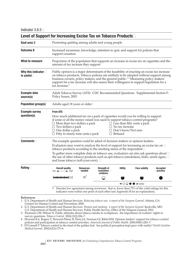| Level of Support for Increasing Excise Tax on Tobacco Products□ |                                                                                                                                                                                                                                                                                                                                                                                                                                                                                            |                                                                                                                                                                                                                                                                                                                                                                                        |                                                                                                                                                                                    |                                                                        |                                                                   |                             |  |
|-----------------------------------------------------------------|--------------------------------------------------------------------------------------------------------------------------------------------------------------------------------------------------------------------------------------------------------------------------------------------------------------------------------------------------------------------------------------------------------------------------------------------------------------------------------------------|----------------------------------------------------------------------------------------------------------------------------------------------------------------------------------------------------------------------------------------------------------------------------------------------------------------------------------------------------------------------------------------|------------------------------------------------------------------------------------------------------------------------------------------------------------------------------------|------------------------------------------------------------------------|-------------------------------------------------------------------|-----------------------------|--|
| Goal area 3                                                     | Promoting quitting among adults and young people                                                                                                                                                                                                                                                                                                                                                                                                                                           |                                                                                                                                                                                                                                                                                                                                                                                        |                                                                                                                                                                                    |                                                                        |                                                                   |                             |  |
| <b>Outcome 8</b>                                                | Increased awareness, knowledge, intention to quit, and support for policies that<br>support cessation                                                                                                                                                                                                                                                                                                                                                                                      |                                                                                                                                                                                                                                                                                                                                                                                        |                                                                                                                                                                                    |                                                                        |                                                                   |                             |  |
| What to measure                                                 | Proportion of the population that supports an increase in excise tax on cigarettes and the<br>amount of tax increase they support                                                                                                                                                                                                                                                                                                                                                          |                                                                                                                                                                                                                                                                                                                                                                                        |                                                                                                                                                                                    |                                                                        |                                                                   |                             |  |
| Why this indicator $\square$<br>is useful $\Box$                | tax increase. <sup>5</sup>                                                                                                                                                                                                                                                                                                                                                                                                                                                                 | Public opinion is a major determinant of the feasibility of enacting an excise tax increase<br>on tobacco products. Tobacco policies are unlikely to be adopted without support among<br>business owners, policy makers, and the general public. <sup>1-4</sup> Measuring policy makers'<br>support for a tax increase will also assess their willingness to support legislation for a |                                                                                                                                                                                    |                                                                        |                                                                   |                             |  |
| <b>Example data</b><br>source(s)                                | Adult Tobacco Survey (ATS): CDC Recommended Questions: Supplemental Section F:<br>Policy Issues, 2003                                                                                                                                                                                                                                                                                                                                                                                      |                                                                                                                                                                                                                                                                                                                                                                                        |                                                                                                                                                                                    |                                                                        |                                                                   |                             |  |
| <b>Population group(s)</b>                                      | Adults aged 18 years or older□                                                                                                                                                                                                                                                                                                                                                                                                                                                             |                                                                                                                                                                                                                                                                                                                                                                                        |                                                                                                                                                                                    |                                                                        |                                                                   |                             |  |
| <b>Example survey</b><br>question(s)                            | <b>From ATS</b><br>How much additional tax on a pack of cigarettes would you be willing to support<br>if some or all the money raised was used to support tobacco control programs?<br>$\Box$ More than two dollars a pack<br>$\Box$ Two dollars a pack<br>$\Box$ One dollar a pack<br>$\Box$ Fifty to ninety-nine cents a pack                                                                                                                                                            |                                                                                                                                                                                                                                                                                                                                                                                        |                                                                                                                                                                                    | $\Box$ No tax increase<br>$\Box$ Don't know/Not sure<br>$\Box$ Refused | $\Box$ Less than fifty cents a pack                               |                             |  |
| $Comments$                                                      | The example question could be asked of decision makers or opinion leaders.<br>Evaluators may want to analyze the level of support for increasing an excise tax on $\Box$<br>tobacco products according to the smoking status of the respondent.□<br>To gather more complete data on tobacco use, evaluators can also ask questions about $\Box$<br>the use of other tobacco products such as spit tobacco (smokeless), bidis, small cigars, $\Box$<br>and loose tobacco (roll-your-own). □ |                                                                                                                                                                                                                                                                                                                                                                                        |                                                                                                                                                                                    |                                                                        |                                                                   |                             |  |
| Rating $\Box$                                                   | <b>Overall quality</b><br>$\rightarrow$ high<br>$low \leftarrow$                                                                                                                                                                                                                                                                                                                                                                                                                           | <b>Resources</b><br>needed                                                                                                                                                                                                                                                                                                                                                             | Strength of<br>evaluation $\square$<br>evidence                                                                                                                                    | <b>Utility</b>                                                         | <b>Face validity</b>                                              | <b>Accepted</b><br>practice |  |
|                                                                 |                                                                                                                                                                                                                                                                                                                                                                                                                                                                                            | $ss^+$                                                                                                                                                                                                                                                                                                                                                                                 |                                                                                                                                                                                    |                                                                        |                                                                   |                             |  |
|                                                                 |                                                                                                                                                                                                                                                                                                                                                                                                                                                                                            |                                                                                                                                                                                                                                                                                                                                                                                        |                                                                                                                                                                                    |                                                                        | $\leftarrow$ $\bigcirc$ $\bigcirc$ $\bullet$ $\rightarrow$ better |                             |  |
|                                                                 | $^{+}$                                                                                                                                                                                                                                                                                                                                                                                                                                                                                     |                                                                                                                                                                                                                                                                                                                                                                                        | Denotes low agreement among reviewers: that is, fewer than 75% of the valid ratings for this<br>indicator were within one point of each other (see Appendix B for an explanation). |                                                                        |                                                                   |                             |  |
| References                                                      |                                                                                                                                                                                                                                                                                                                                                                                                                                                                                            |                                                                                                                                                                                                                                                                                                                                                                                        |                                                                                                                                                                                    |                                                                        |                                                                   |                             |  |

- 1. �U.S. Department of Health and Human Services. *Reducing tobacco use: a report of the Surgeon General.* Atlanta, GA: Centers for Disease Control and Prevention; 2000.
- 2. �U.S. Department of Health and Human Services. *Women and smoking: a report of the Surgeon General.* Rockville, MD:
- U.S. Department of Health and Human Services, Public Health Service, Office of the Surgeon General; 2001. 3. �Thomson GW, Wilson N. Public attitudes about tobacco smoke in workplaces: the importance of workers' rights in survey questions. *Tobacco Control.* 2004;13(2):206–7.
- 4. Howard KA, Rogers T, Howard-Pitney B, Flora JA, Norman GJ, Ribisl KM. Opinion leaders' support for tobacco control policies and participation in tobacco control activities. *American Journal of Public Health.* 2000;90(8):1283–7.
- 5. �O'Connell P. Tobacco control in the land of the golden leaf: has political perception kept pace with reality? *North Carolina Medical Journal.* 2002;63(3):175–6.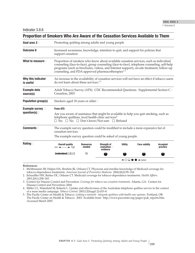| Proportion of Smokers Who Are Aware of the Cessation Services Available to Them |                                                                                                                                                                                                                                                                                                                                                   |                            |                                                 |                |                                                             |                             |  |
|---------------------------------------------------------------------------------|---------------------------------------------------------------------------------------------------------------------------------------------------------------------------------------------------------------------------------------------------------------------------------------------------------------------------------------------------|----------------------------|-------------------------------------------------|----------------|-------------------------------------------------------------|-----------------------------|--|
| Goal area 3                                                                     | Promoting quitting among adults and young people                                                                                                                                                                                                                                                                                                  |                            |                                                 |                |                                                             |                             |  |
| <b>Outcome 8</b>                                                                | Increased awareness, knowledge, intention to quit, and support for policies that<br>support cessation                                                                                                                                                                                                                                             |                            |                                                 |                |                                                             |                             |  |
| What to measure $\Box$                                                          | Proportion of smokers who know about available cessation services, such as individual<br>counseling (face-to-face), group counseling (face-to-face), telephone counseling, self-help<br>programs (such as brochures, videos, and Internet support), on-site treatment, follow-up<br>counseling, and FDA-approved pharmacotherapies <sup>1-3</sup> |                            |                                                 |                |                                                             |                             |  |
| Why this indicator<br>is useful                                                 | An increase in the availability of cessation services will not have an effect if tobacco users<br>do not learn about these services. <sup>2-5</sup>                                                                                                                                                                                               |                            |                                                 |                |                                                             |                             |  |
| <b>Example data</b><br>source(s)                                                | Adult Tobacco Survey (ATS): CDC Recommended Questions: Supplemental Section C:<br>Cessation, 2003                                                                                                                                                                                                                                                 |                            |                                                 |                |                                                             |                             |  |
| <b>Population group(s)</b>                                                      | Smokers aged 18 years or older $\square$                                                                                                                                                                                                                                                                                                          |                            |                                                 |                |                                                             |                             |  |
| Example survey<br>question(s) $\Box$                                            | <b>From ATS</b><br>Are you aware of assistance that might be available to help you quit smoking, such as<br>telephone quitlines, local health clinic services?<br>$\Box$ Yes $\Box$ No $\Box$ Don't know/Not sure $\Box$ Refused                                                                                                                  |                            |                                                 |                |                                                             |                             |  |
| Commonents                                                                      | The example survey question could be modified to include a more expansive list of<br>cessation services.                                                                                                                                                                                                                                          |                            |                                                 |                |                                                             |                             |  |
|                                                                                 | The example survey question could be asked of young people.                                                                                                                                                                                                                                                                                       |                            |                                                 |                |                                                             |                             |  |
| Rating $\Box$                                                                   | <b>Overall quality</b><br>$low \leftarrow \rightarrow high$                                                                                                                                                                                                                                                                                       | <b>Resources</b><br>needed | Strength of<br>evaluation $\square$<br>evidence | <b>Utility</b> | <b>Face validity</b>                                        | <b>Accepted</b><br>practice |  |
|                                                                                 |                                                                                                                                                                                                                                                                                                                                                   | \$\$                       |                                                 |                |                                                             |                             |  |
|                                                                                 |                                                                                                                                                                                                                                                                                                                                                   |                            |                                                 |                | $\leftarrow$ $\circ$ $\circ$ $\bullet$ $\rightarrow$ better |                             |  |

#### **References**

1. �McMenamin SB, Halpin HA, Ibrahim JK, Orleans CT. Physician and enrollee knowledge of Medicaid coverage for tobacco-dependence treatments. *American Journal of Preventive Medicine.* 2004;26(2):99–104.

- 2. �Schauffler HH, Barker DC, Orleans CT. Medicaid coverage for tobacco-dependence treatments. *Health Affairs.* 2001;20(1):298–303.
- 3. �Centers for Disease Control and Prevention. *Coverage for tobacco use cessation treatments.* Atlanta, GA: Centers for Disease Control and Prevention; 2004.
- 4. �Miller CL, Wakefield M, Roberts L. Uptake and effectiveness of the Australian telephone quitline service in the context of a mass media campaign. *Tobacco Control.* 2003;12(Suppl 2):ii53–8.
- 5. �The Pacific Center on Health & Tobacco. *Linking a network: integrate quitlines with health care systems.* Portland, OR: The Pacific Center on Health & Tobacco: 2003. Available from: http://www.paccenter.org/pages/pub\_reports.htm. Accessed March 2005.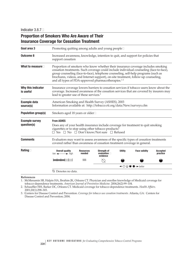# **Proportion of Smokers Who Are Aware of Their Insurance Coverage for Cessation Treatment**

| Goal area 3                          | Promoting quitting among adults and young people□                                                                                                                                                                                                                                                                                                                                                                          |                            |                                                 |                |                                                             |                             |  |
|--------------------------------------|----------------------------------------------------------------------------------------------------------------------------------------------------------------------------------------------------------------------------------------------------------------------------------------------------------------------------------------------------------------------------------------------------------------------------|----------------------------|-------------------------------------------------|----------------|-------------------------------------------------------------|-----------------------------|--|
| Outcome 8                            | Increased awareness, knowledge, intention to quit, and support for policies that<br>support cessation                                                                                                                                                                                                                                                                                                                      |                            |                                                 |                |                                                             |                             |  |
| What to measure $\Box$               | Proportion of smokers who know whether their insurance coverage includes smoking<br>cessation treatments. Such coverage could include individual counseling (face-to-face),<br>group counseling (face-to-face), telephone counseling, self-help programs (such as<br>brochures, videos, and Internet support), on-site treatment, follow-up counseling,<br>and all types of FDA-approved pharmacotherapies. <sup>1-3</sup> |                            |                                                 |                |                                                             |                             |  |
| Why this indicator<br>is useful      | Insurance coverage lowers barriers to cessation services if tobacco users know about the<br>coverage. Increased awareness of the cessation services that are covered by insurers may<br>lead to greater use of these services. <sup>3</sup>                                                                                                                                                                                |                            |                                                 |                |                                                             |                             |  |
| <b>Example data</b><br>source(s)     | American Smoking and Health Survey (ASHES), 2003<br>Information available at: http://tobacco.rti.org/data/New/surveys.cfm                                                                                                                                                                                                                                                                                                  |                            |                                                 |                |                                                             |                             |  |
| <b>Population group(s)</b>           | Smokers aged 18 years or older $\square$                                                                                                                                                                                                                                                                                                                                                                                   |                            |                                                 |                |                                                             |                             |  |
| <b>Example survey</b><br>question(s) | <b>From ASHES</b><br>Does any of your health insurance include coverage for treatment to quit smoking<br>cigarettes or to stop using other tobacco products?<br>$\Box$ Yes $\Box$ No $\Box$ Don't know/Not sure $\Box$ Refused                                                                                                                                                                                             |                            |                                                 |                |                                                             |                             |  |
| <b>Comments</b>                      | Evaluators may want to assess awareness of the specific types of cessation treatments<br>covered rather than awareness of cessation treatment coverage in general.                                                                                                                                                                                                                                                         |                            |                                                 |                |                                                             |                             |  |
| Rating $\Box$                        | <b>Overall quality</b><br>$low \leftarrow \rightarrow high$                                                                                                                                                                                                                                                                                                                                                                | <b>Resources</b><br>needed | Strength of<br>evaluation $\square$<br>evidence | <b>Utility</b> | <b>Face validity</b>                                        | <b>Accepted</b><br>practice |  |
|                                      |                                                                                                                                                                                                                                                                                                                                                                                                                            | \$\$\$                     |                                                 |                |                                                             |                             |  |
|                                      |                                                                                                                                                                                                                                                                                                                                                                                                                            |                            |                                                 |                | $\leftarrow$ $\circ$ $\circ$ $\bullet$ $\rightarrow$ better |                             |  |
|                                      | Q Denotes no data.                                                                                                                                                                                                                                                                                                                                                                                                         |                            |                                                 |                |                                                             |                             |  |

**References**

1. �McMenamin SB, Halpin HA, Ibrahim JK, Orleans CT. Physician and enrollee knowledge of Medicaid coverage for tobacco-dependence treatments. *American Journal of Preventive Medicine.* 2004;26(2):99–104.

2. �Schauffler HH, Barker DC, Orleans CT. Medicaid coverage for tobacco-dependence treatments. *Health Affairs.*  2001;20(1):298–303.

3. �Centers for Disease Control and Prevention. *Coverage for tobacco use cessation treatments.* Atlanta, GA: Centers for Disease Control and Prevention; 2004.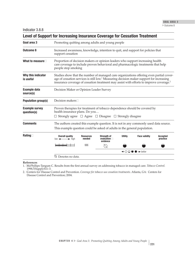| Goal area 3                          | Promoting quitting among adults and young people                                                                                                                                                                                                                                                       |                            |                                                       |                |                      |                             |  |  |
|--------------------------------------|--------------------------------------------------------------------------------------------------------------------------------------------------------------------------------------------------------------------------------------------------------------------------------------------------------|----------------------------|-------------------------------------------------------|----------------|----------------------|-----------------------------|--|--|
| <b>Outcome 8</b>                     | Increased awareness, knowledge, intention to quit, and support for policies that<br>support cessation                                                                                                                                                                                                  |                            |                                                       |                |                      |                             |  |  |
| What to measure $\Box$               | Proportion of decision makers or opinion leaders who support increasing health<br>care coverage to include proven behavioral and pharmacologic treatments that help<br>people stop smoking                                                                                                             |                            |                                                       |                |                      |                             |  |  |
| Why this indicator<br>is useful      | Studies show that the number of managed care organizations offering even partial cover-<br>age of cessation services is still low. <sup>1</sup> Measuring decision maker support for increasing<br>insurance coverage of cessation treatment may assist with efforts to improve coverage. <sup>2</sup> |                            |                                                       |                |                      |                             |  |  |
| <b>Example data</b><br>source(s)     | Decision Maker or Opinion Leader Survey                                                                                                                                                                                                                                                                |                            |                                                       |                |                      |                             |  |  |
| <b>Population group(s)</b>           | <b>Decision makers</b> □                                                                                                                                                                                                                                                                               |                            |                                                       |                |                      |                             |  |  |
| <b>Example survey</b><br>question(s) | Proven therapies for treatment of tobacco dependence should be covered by<br>health insurance plans. Do you<br>$\Box$ Strongly agree $\Box$ Agree $\Box$ Disagree $\Box$ Strongly disagree                                                                                                             |                            |                                                       |                |                      |                             |  |  |
| <b>Comments</b>                      | The authors created this example question. It is not in any commonly used data source.<br>This example question could be asked of adults in the general population.                                                                                                                                    |                            |                                                       |                |                      |                             |  |  |
| Rating $\Box$                        | <b>Overall quality</b><br>$low \leftarrow \rightarrow high$                                                                                                                                                                                                                                            | <b>Resources</b><br>needed | <b>Strength of</b><br>evaluation <b>D</b><br>evidence | <b>Utility</b> | <b>Face validity</b> | <b>Accepted</b><br>practice |  |  |
|                                      |                                                                                                                                                                                                                                                                                                        | \$\$\$                     |                                                       |                |                      |                             |  |  |
|                                      | $\leftarrow$ $\bigcirc$ $\bigcirc$ $\bullet$ $\rightarrow$ better                                                                                                                                                                                                                                      |                            |                                                       |                |                      |                             |  |  |
|                                      | $\oslash$ Denotes no data.                                                                                                                                                                                                                                                                             |                            |                                                       |                |                      |                             |  |  |

**References**

1. �McPhillips-Tangum C. Results from the first annual survey on addressing tobacco in managed care. *Tobacco Control.*  1998;7(Suppl):S11–3.

2. �Centers for Disease Control and Prevention. *Coverage for tobacco use cessation treatments.* Atlanta, GA: Centers for Disease Control and Prevention; 2004.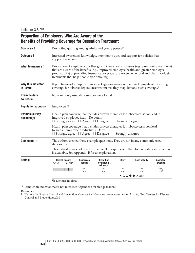Indicator 3.8.9<sup>NR</sup>

|                                      | <b>Benefits of Providing Coverage for Cessation Treatment</b>                                                                                                                                                                                                                                                         |                                          |                                                 |                |                      |                             |  |  |
|--------------------------------------|-----------------------------------------------------------------------------------------------------------------------------------------------------------------------------------------------------------------------------------------------------------------------------------------------------------------------|------------------------------------------|-------------------------------------------------|----------------|----------------------|-----------------------------|--|--|
| Goal area 3                          | Promoting quitting among adults and young people $\square$                                                                                                                                                                                                                                                            |                                          |                                                 |                |                      |                             |  |  |
| <b>Outcome 8</b>                     | Increased awareness, knowledge, intention to quit, and support for policies that<br>support cessation                                                                                                                                                                                                                 |                                          |                                                 |                |                      |                             |  |  |
| What to measure $\square$            | Proportion of employers or other group insurance purchasers (e.g., purchasing coalitions)<br>that are aware of the benefits (e.g., improved employee health and greater employee<br>productivity) of providing insurance coverage for proven behavioral and pharmacologic<br>treatments that help people stop smoking |                                          |                                                 |                |                      |                             |  |  |
| Why this indicator<br>is useful      | If purchasers of group insurance packages are aware of the direct benefits of providing<br>coverage for tobacco dependence treatments, they may demand such coverage. <sup>1</sup>                                                                                                                                    |                                          |                                                 |                |                      |                             |  |  |
| <b>Example data</b><br>source(s)     |                                                                                                                                                                                                                                                                                                                       | No commonly used data sources were found |                                                 |                |                      |                             |  |  |
| <b>Population group(s)</b>           | Emplovers                                                                                                                                                                                                                                                                                                             |                                          |                                                 |                |                      |                             |  |  |
| <b>Example survey</b><br>question(s) | Health plan coverage that includes proven therapies for tobacco cessation lead to<br>improved employee heath. Do you<br>$\Box$ Strongly agree $\Box$ Agree $\Box$ Disagree $\Box$ Strongly disagree                                                                                                                   |                                          |                                                 |                |                      |                             |  |  |
|                                      | Health plan coverage that includes proven therapies for tobacco cessation lead<br>to greater employee productivity. Do you<br>$\Box$ Strongly agree $\Box$ Agree $\Box$ Disagree $\Box$ Strongly disagree                                                                                                             |                                          |                                                 |                |                      |                             |  |  |
| <b>Comments</b>                      | The authors created these example questions. They are not in any commonly used<br>data source.                                                                                                                                                                                                                        |                                          |                                                 |                |                      |                             |  |  |
|                                      | This indicator was not rated by the panel of experts, and therefore no rating information<br>is available. See Appendix B for an explanation.                                                                                                                                                                         |                                          |                                                 |                |                      |                             |  |  |
| Rating $\Box$                        | <b>Overall quality</b><br>$low \leftarrow \rightarrow high$                                                                                                                                                                                                                                                           | <b>Resources</b><br>needed               | Strength of<br>evaluation $\square$<br>evidence | <b>Utility</b> | <b>Face validity</b> | <b>Accepted</b><br>practice |  |  |
|                                      |                                                                                                                                                                                                                                                                                                                       |                                          |                                                 |                |                      |                             |  |  |
|                                      | $\leftarrow$ $\circ$ $\circ$ $\bullet$ $\rightarrow$ better                                                                                                                                                                                                                                                           |                                          |                                                 |                |                      |                             |  |  |
|                                      | $\oslash$ Denotes no data.                                                                                                                                                                                                                                                                                            |                                          |                                                 |                |                      |                             |  |  |

# **Proportion of Employers Who Are Aware of the**

<sup>NR</sup> Denotes an indicator that is not rated (see Appendix B for an explanation).

#### **Reference**

1. �Centers for Disease Control and Prevention. *Coverage for tobacco use cessation treatments.* Atlanta, GA: Centers for Disease Control and Prevention; 2004.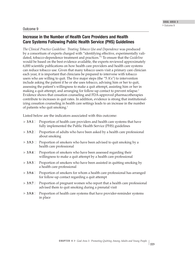## Outcome 9

# **Increase in the Number of Health Care Providers and Health Care Systems Following Public Health Service (PHS) Guidelines**

*The Clinical Practice Guideline: Treating Tobacco Use and Dependence* was produced by a consortium of experts charged with "identifying effective, experimentally validated, tobacco-dependence treatment and practices."1 To ensure that the *Guideline* would be based on the best evidence available, the experts reviewed approximately 6,000 scientific publications on how health care providers and health care systems can reduce tobacco use. Given that many tobacco users visit a primary care clinician each year, it is important that clinicians be prepared to intervene with tobacco users who are willing to quit. The five major steps (the "5  $A\prime s$ ") to intervention include asking the patient if he or she uses tobacco, advising him or her to quit, assessing the patient's willingness to make a quit attempt, assisting him or her in making a quit attempt, and arranging for follow-up contact to prevent relapse.<sup>1</sup> Evidence shows that cessation counseling and FDA-approved pharmacotherapies contribute to increases in quit rates. In addition, evidence is strong that institutionalizing cessation counseling in health care settings leads to an increase in the number of patients who quit smoking.1

Listed below are the indicators associated with this outcome:

- $\blacktriangleright$  3.9.1 $\Box$ **3.9.1**� Proportion of health care providers and health care systems that have fully implemented the Public Health Service (PHS) guidelines
- $\blacktriangleright$ **3.9.2**� Proportion of adults who have been asked by a health care professional about smoking
- **► 3.9.3** Proportion of smokers who have been advised to quit smoking by a health care professional
- $\blacktriangleright$ **3.9.4**� Proportion of smokers who have been assessed regarding their willingness to make a quit attempt by a health care professional
- $\blacktriangleright$ **Proportion of smokers who have been assisted in quitting smoking by** a health care professional
- $\blacktriangleright$ **3.9.6**� Proportion of smokers for whom a health care professional has arranged for follow-up contact regarding a quit attempt
- $\blacktriangleright$ **3.9.7**� Proportion of pregnant women who report that a health care professional advised them to quit smoking during a prenatal visit
- $\blacktriangleright$ **3.9.8**� Proportion of health care systems that have provider-reminder systems in place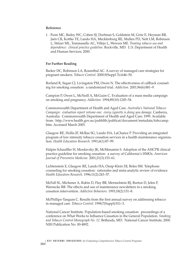### **Reference**

1. �Fiore MC, Bailey WC, Cohen SJ, Dorfman S, Goldstein M, Gritz E, Heyman RB, Jaén CR, Kottke TE, Lando HA, Mecklenburg RE, Mullen PD, Nett LM, Robinson L, Stitzer ML, Tommasello AC, Villejo L, Wewers ME. *Treating tobacco use and dependence: clinical practice guideline.* Rockville, MD: U.S. Department of Health and Human Services; 2000.

### **For Further Reading**

Barker DC, Robinson LA, Rosenthal AC. A survey of managed care strategies for pregnant smokers. *Tobacco Control.* 2000;9(Suppl 3):iii46–50.

Borland R, Segan CJ, Livingston PM, Owen N. The effectiveness of callback counseling for smoking cessation: a randomized trial. *Addiction.* 2001;96(6):881–9.

Campion P, Owen L, McNeill A, McGuire C. Evaluation of a mass media campaign on smoking and pregnancy. *Addiction.* 1994;89(10):1245–54.

Commonwealth Department of Health and Aged Care. *Australia's National Tobacco Campaign: evaluation report volume one: every cigarette is doing you damage.* Canberra, Australia: Commonwealth Department of Health and Aged Care; 1999. Available from: http://www.health.gov.au/pubhlth/publicat/document/metadata/tobccamp. htm. Accessed March 2005.

Glasgow RE, Hollis JF, McRae SG, Lando HA, LaChance P. Providing an integrated program of low intensity tobacco cessation services in a health maintenance organization. *Health Education Research.* 1991;6(1):87–99.

Halpin Schauffler H, Mordavsky JK, McMenamin S. Adoption of the AHCPR clinical practice guideline for smoking cessation: a survey of California's HMOs. *American Journal of Preventive Medicine.* 2001;21(3):153–61.

Lichtenstein E, Glasgow RE, Lando HA, Ossip-Klein DJ, Boles SM. Telephone counseling for smoking cessation: rationales and meta-analytic review of evidence. *Health Education Research.* 1996;11(2):243–57.

McFall SL, Michener A, Rubin D, Flay BR, Mermelstein RJ, Burton D, Jelen P, Warnecke RB. The effects and use of maintenance newsletters in a smoking cessation intervention. *Addictive Behaviors.* 1993;18(2):151–8.

McPhillips-Tangum C. Results from the first annual survey on addressing tobacco in managed care. *Tobacco Control.* 1998;7(Suppl):S11–3.

National Cancer Institute. Population-based smoking cessation: proceedings of a conference on What Works to Influence Cessation in the General Population. *Smoking and Tobacco Control Monograph No. 12.* Bethesda, MD: National Cancer Institute; 2000. NIH Publication No. 00-4892.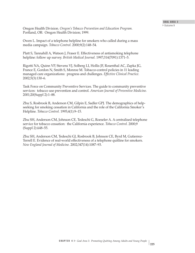Oregon Health Division. *Oregon's Tobacco Prevention and Education Program.* Portland, OR: Oregon Health Division; 1999.

Owen L. Impact of a telephone helpline for smokers who called during a mass media campaign. *Tobacco Control.* 2000;9(2):148–54.

Platt S, Tannahill A, Watson J, Fraser E. Effectiveness of antismoking telephone helpline: follow up survey. *British Medical Journal.* 1997;314(7091):1371–5.

Rigotti NA, Quinn VP, Stevens VJ, Solberg LI, Hollis JF, Rosenthal AC, Zapka JG, France E, Gordon N, Smith S, Monroe M. Tobacco-control policies in 11 leading managed care organizations: progress and challenges. *Effective Clinical Practice.*  2002;5(3):130–6.

Task Force on Community Preventive Services. The guide to community preventive services: tobacco use prevention and control. *American Journal of Preventive Medicine.*  2001;20(Suppl 2):1–88.

Zhu S, Rosbrook B, Anderson CM, Gilpin E, Sadler GPJ. The demographics of helpseeking for smoking cessation in California and the role of the California Smoker's Helpline. *Tobacco Control.* 1995;4(1):9–15.

Zhu SH, Anderson CM, Johnson CE, Tedeschi G, Roeseler A. A centralised telephone service for tobacco cessation: the California experience. *Tobacco Control.* 2000;9 (Suppl 2):ii48–55.

Zhu SH, Anderson CM, Tedeschi GJ, Rosbrook B, Johnson CE, Byrd M, Gutierrez-Terrell E. Evidence of real-world effectiveness of a telephone quitline for smokers. *New England Journal of Medicine.* 2002;347(14):1087–93.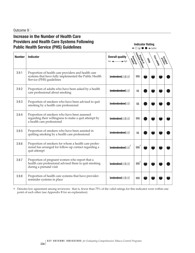Outcome 9<sup></sup>

# **Increase in the Number of Health Care Providers and Health Care Systems Following Indicator Rating Indicator Rating Indicator Rating Public Health Service (PHS) Guidelines but a service of**  $\bullet \rightarrow$  better

| <b>Number</b> | <b>Indicator</b>                                                                                                                         | <b>Overall quality</b><br>Resources<br>$low \leftarrow$<br>$\rightarrow$ high | executive vivence | Critics | Face values<br>procentice |  |
|---------------|------------------------------------------------------------------------------------------------------------------------------------------|-------------------------------------------------------------------------------|-------------------|---------|---------------------------|--|
| 3.9.1         | Proportion of health care providers and health care<br>systems that have fully implemented the Public Health<br>Service (PHS) guidelines |                                                                               | \$\$\$            |         |                           |  |
| 3.9.2         | Proportion of adults who have been asked by a health<br>care professional about smoking                                                  |                                                                               | \$\$              |         |                           |  |
| 3.9.3         | Proportion of smokers who have been advised to quit<br>smoking by a health care professional                                             |                                                                               | \$\$              |         |                           |  |
| 3.9.4         | Proportion of smokers who have been assessed<br>regarding their willingness to make a quit attempt by<br>a health care professional      |                                                                               | \$\$\$            |         |                           |  |
| 3.9.5         | Proportion of smokers who have been assisted in<br>quitting smoking by a health care professional                                        |                                                                               | \$\$              |         |                           |  |
| 3.9.6         | Proportion of smokers for whom a health care profes-<br>sional has arranged for follow-up contact regarding a<br>quit attempt            |                                                                               | \$\$\$            |         |                           |  |
| 3.9.7         | Proportion of pregnant women who report that a<br>health care professional advised them to quit smoking<br>during a prenatal visit       |                                                                               | $$$ \$\$ $^1$     |         |                           |  |
| 3.9.8         | Proportion of health care systems that have provider-<br>reminder systems in place                                                       |                                                                               | \$\$\$            |         |                           |  |

† Denotes low agreement among reviewers: that is, fewer than 75% of the valid ratings for this indicator were within one point of each other (see Appendix B for an explanation).

**226**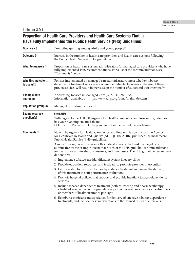# **Proportion of Health Care Providers and Health Care Systems That** � **Have Fully Implemented the Public Health Service (PHS) Guidelines**�

| Goal area 3                               | Promoting quitting among adults and young people $\square$                                                                                                                                                                                                                |
|-------------------------------------------|---------------------------------------------------------------------------------------------------------------------------------------------------------------------------------------------------------------------------------------------------------------------------|
| Outcome 9                                 | Increase in the number of health care providers and health care systems following<br>the Public Health Service (PHS) guidelines                                                                                                                                           |
| What to measure $\square$                 | Proportion of health care system administrators (or managed care providers) who have<br>fully implemented PHS recommendations. For a list of the recommendations, see<br>"Comments" below.                                                                                |
| Why this indicator<br>is useful $\square$ | Policies implemented by managed care administrators affect whether tobacco-<br>dependence treatment services are offered to patients. Increases in the use of these<br>proven services will result in increases in the number of successful quit attempts. <sup>1,2</sup> |
| <b>Example data</b><br>source(s)          | Addressing Tobacco in Managed Care (ATMC), 1997-1998<br>Information available at: http://www.aahp.org/atmc/mainindex.cfm                                                                                                                                                  |
| <b>Population group(s)</b>                | Managed care administrators $\square$                                                                                                                                                                                                                                     |
| <b>Example survey</b><br>question(s)      | <b>From ATMC</b><br>With regard to the AHCPR [Agency for Health Care Policy and Research] guidelines,<br>has your plan implemented them:<br>$\Box$ Fully $\Box$ Partially $\Box$ The plan has not implemented the guidelines                                              |
| $Comments$                                | Note: The Agency for Health Care Policy and Research is now named the Agency<br>for Healthcare Research and Quality (AHRQ). The AHRQ published the most recent<br>Public Health Service (PHS) guidelines.                                                                 |
|                                           | A more thorough way to measure this indicator would be to ask managed care<br>administrators the example question for each of the PHS guideline recommendations<br>for health care administrators, insurers, and purchasers. The PHS guideline recommen-<br>dations are:  |
|                                           | 1. Implement a tobacco-use identification system in every clinic                                                                                                                                                                                                          |
|                                           | 2. Provide education, resources, and feedback to promote provider intervention                                                                                                                                                                                            |
|                                           | 3. Dedicate staff to provide tobacco-dependence treatment and assess the delivery<br>of this treatment in staff performance evaluations                                                                                                                                   |
|                                           | 4. Promote hospital policies that support and provide inpatient tobacco-dependence<br>services                                                                                                                                                                            |
|                                           | 5. Include tobacco-dependence treatment (both counseling and pharmacotherapy)<br>identified as effective in this guideline as paid or covered services for all subscribers<br>or members of health insurance packages                                                     |
|                                           | 6. Reimburse clinicians and specialists for delivery of effective tobacco-dependence<br>treatments, and include these interventions in the defined duties of clinicians                                                                                                   |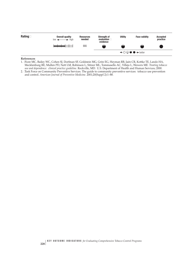| Rating $\Box$ | Overall quality<br>$low \leftarrow \rightarrow high$ | <b>Resources</b><br>needed | Strength of<br>evaluation $\square$<br>evidence | <b>Utility</b> | <b>Face validity</b>                                        | <b>Accepted</b><br>practice |
|---------------|------------------------------------------------------|----------------------------|-------------------------------------------------|----------------|-------------------------------------------------------------|-----------------------------|
|               |                                                      | \$\$\$                     |                                                 |                |                                                             |                             |
|               |                                                      |                            |                                                 |                | $\leftarrow$ $\circ$ $\circ$ $\bullet$ $\rightarrow$ better |                             |

#### **References**

- 1. �Fiore MC, Bailey WC, Cohen SJ, Dorfman SF, Goldstein MG, Gritz EG, Heyman RB, Jaén CR, Kottke TE, Lando HA, Mecklenburg RE, Mullen PD, Nett LM, Robinson L, Stitzer ML, Tommasello AC, Villejo L, Wewers ME. *Treating tobacco use and dependence: clinical practice guideline.* Rockville, MD: U.S. Department of Health and Human Services; 2000.
- 2. Task Force on Community Preventive Services. The guide to community preventive services: tobacco use prevention and control. *American Journal of Preventive Medicine.* 2001;20(Suppl 2):1–88.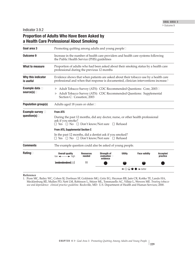# **Proportion of Adults Who Have Been Asked by a Health Care Professional About Smoking**

| Goal area 3                            | Promoting quitting among adults and young people□                                                                                                                                         |                                                                                                                                                                         |                                                     |                |                                                                   |                             |  |  |
|----------------------------------------|-------------------------------------------------------------------------------------------------------------------------------------------------------------------------------------------|-------------------------------------------------------------------------------------------------------------------------------------------------------------------------|-----------------------------------------------------|----------------|-------------------------------------------------------------------|-----------------------------|--|--|
| <b>Outcome 9</b>                       |                                                                                                                                                                                           | Increase in the number of health care providers and health care systems following<br>the Public Health Service (PHS) guidelines                                         |                                                     |                |                                                                   |                             |  |  |
| What to measure                        | Proportion of adults who had been asked about their smoking status by a health care<br>professional during the previous 12 months                                                         |                                                                                                                                                                         |                                                     |                |                                                                   |                             |  |  |
| Why this indicator<br>is useful        | Evidence shows that when patients are asked about their tobacco use by a health care<br>professional and when that response is documented, clinician interventions increase. <sup>1</sup> |                                                                                                                                                                         |                                                     |                |                                                                   |                             |  |  |
| Example data D<br>source(s) $\Box$     |                                                                                                                                                                                           | Adult Tobacco Survey (ATS): CDC Recommended Questions: Core, 2003□<br>Adult Tobacco Survey (ATS): CDC Recommended Questions: Supplemental<br>Section C: Cessation, 2003 |                                                     |                |                                                                   |                             |  |  |
| <b>Population group(s)</b>             |                                                                                                                                                                                           | Adults aged 18 years or older□                                                                                                                                          |                                                     |                |                                                                   |                             |  |  |
| Example survey D<br>question(s) $\Box$ | <b>From ATS</b><br>During the past 12 months, did any doctor, nurse, or other health professional<br>ask if you smoke?<br>$\Box$ Yes $\Box$ No $\Box$ Don't know/Not sure $\Box$ Refused  |                                                                                                                                                                         |                                                     |                |                                                                   |                             |  |  |
|                                        | <b>From ATS, Supplemental Section C</b>                                                                                                                                                   |                                                                                                                                                                         |                                                     |                |                                                                   |                             |  |  |
|                                        | In the past 12 months, did a dentist ask if you smoked?<br>$\Box$ Yes $\Box$ No $\Box$ Don't know/Not sure $\Box$ Refused                                                                 |                                                                                                                                                                         |                                                     |                |                                                                   |                             |  |  |
| <b>Comments</b>                        | The example question could also be asked of young people.                                                                                                                                 |                                                                                                                                                                         |                                                     |                |                                                                   |                             |  |  |
| Rating $\square$                       | <b>Overall quality</b><br>$low \leftarrow \rightarrow high$                                                                                                                               | <b>Resources</b><br>needed                                                                                                                                              | <b>Strength of</b><br>evaluation $\Box$<br>evidence | <b>Utility</b> | <b>Face validity</b>                                              | <b>Accepted</b><br>practice |  |  |
|                                        |                                                                                                                                                                                           | \$\$                                                                                                                                                                    |                                                     |                |                                                                   |                             |  |  |
|                                        |                                                                                                                                                                                           |                                                                                                                                                                         |                                                     |                | $\leftarrow$ $\bigcirc$ $\bigcirc$ $\bullet$ $\rightarrow$ better |                             |  |  |

**Reference**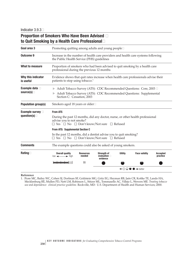# **Proportion of Smokers Who Have Been Advised** � **to Quit Smoking by a Health Care Professional**�

| Goal area 3                            | Promoting quitting among adults and young people□                                                                                                                                               |                                                                                                                                                                          |                                                     |                |                                                                   |                             |  |  |
|----------------------------------------|-------------------------------------------------------------------------------------------------------------------------------------------------------------------------------------------------|--------------------------------------------------------------------------------------------------------------------------------------------------------------------------|-----------------------------------------------------|----------------|-------------------------------------------------------------------|-----------------------------|--|--|
| <b>Outcome 9</b>                       |                                                                                                                                                                                                 | Increase in the number of health care providers and health care systems following<br>the Public Health Service (PHS) guidelines                                          |                                                     |                |                                                                   |                             |  |  |
| <b>What to measure</b>                 | Proportion of smokers who had been advised to quit smoking by a health care<br>professional during the previous 12 months                                                                       |                                                                                                                                                                          |                                                     |                |                                                                   |                             |  |  |
| Why this indicator<br>is useful        | Evidence shows that quit rates increase when health care professionals advise their<br>patients to stop using tobacco. <sup>1</sup>                                                             |                                                                                                                                                                          |                                                     |                |                                                                   |                             |  |  |
| Example data D<br>source(s) $\Box$     |                                                                                                                                                                                                 | Adult Tobacco Survey (ATS): CDC Recommended Questions: Core, 2003 □<br>Adult Tobacco Survey (ATS): CDC Recommended Questions: Supplemental<br>Section C: Cessation, 2003 |                                                     |                |                                                                   |                             |  |  |
| <b>Population group(s)</b>             |                                                                                                                                                                                                 | Smokers aged 18 years or older $\square$                                                                                                                                 |                                                     |                |                                                                   |                             |  |  |
| Example survey D<br>question(s) $\Box$ | <b>From ATS</b><br>During the past 12 months, did any doctor, nurse, or other health professional<br>advise you to not smoke?<br>$\Box$ Yes $\Box$ No $\Box$ Don't know/Not sure $\Box$ Refused |                                                                                                                                                                          |                                                     |                |                                                                   |                             |  |  |
|                                        | From ATS: Supplemental Section C<br>In the past 12 months, did a dentist advise you to quit smoking?<br>$\Box$ Yes $\Box$ No $\Box$ Don't know/Not sure $\Box$ Refused                          |                                                                                                                                                                          |                                                     |                |                                                                   |                             |  |  |
| <b>Comments</b>                        | The example questions could also be asked of young smokers.                                                                                                                                     |                                                                                                                                                                          |                                                     |                |                                                                   |                             |  |  |
| Rating $\Box$                          | <b>Overall quality</b><br>$low \leftarrow \rightarrow high$                                                                                                                                     | <b>Resources</b><br>needed                                                                                                                                               | <b>Strength of</b><br>evaluation $\Box$<br>evidence | <b>Utility</b> | <b>Face validity</b>                                              | <b>Accepted</b><br>practice |  |  |
|                                        |                                                                                                                                                                                                 | \$\$                                                                                                                                                                     |                                                     |                |                                                                   |                             |  |  |
|                                        |                                                                                                                                                                                                 |                                                                                                                                                                          |                                                     |                | $\leftarrow \bigcirc \bigcirc \bullet \bullet \rightarrow$ better |                             |  |  |

#### **Reference**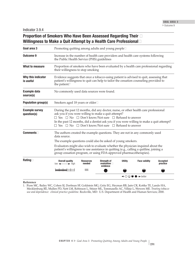# **Proportion of Smokers Who Have Been Assessed Regarding Their** � **Willingness to Make a Quit Attempt by a Health Care Professional**�

| Goal area 3                          |                                                                                                                                                                                                                                                                                                                                                                                                                  | Promoting quitting among adults and young people□                                                                                                                               |                                                        |                |                                                                   |                             |  |  |
|--------------------------------------|------------------------------------------------------------------------------------------------------------------------------------------------------------------------------------------------------------------------------------------------------------------------------------------------------------------------------------------------------------------------------------------------------------------|---------------------------------------------------------------------------------------------------------------------------------------------------------------------------------|--------------------------------------------------------|----------------|-------------------------------------------------------------------|-----------------------------|--|--|
| Outcome 9                            |                                                                                                                                                                                                                                                                                                                                                                                                                  | Increase in the number of health care providers and health care systems following<br>the Public Health Service (PHS) guidelines                                                 |                                                        |                |                                                                   |                             |  |  |
| What to measure                      | Proportion of smokers who have been evaluated by a health care professional regarding<br>their willingness to stop smoking                                                                                                                                                                                                                                                                                       |                                                                                                                                                                                 |                                                        |                |                                                                   |                             |  |  |
| Why this indicator<br>is useful      | the patient. $1$                                                                                                                                                                                                                                                                                                                                                                                                 | Evidence suggests that once a tobacco-using patient is advised to quit, assessing that<br>patient's willingness to quit can help to tailor the cessation counseling provided to |                                                        |                |                                                                   |                             |  |  |
| <b>Example data</b><br>source(s)     | No commonly used data sources were found.                                                                                                                                                                                                                                                                                                                                                                        |                                                                                                                                                                                 |                                                        |                |                                                                   |                             |  |  |
| <b>Population group(s)</b>           | Smokers aged 18 years or older□                                                                                                                                                                                                                                                                                                                                                                                  |                                                                                                                                                                                 |                                                        |                |                                                                   |                             |  |  |
| <b>Example survey</b><br>question(s) | During the past 12 months, did any doctor, nurse, or other health care professional<br>ask you if you were willing to make a quit attempt?<br>$\Box$ Yes $\Box$ No $\Box$ Don't know/Not sure $\Box$ Refused to answer<br>In the past 12 months, did a dentist ask you if you were willing to make a quit attempt?<br>$\Box$ Yes $\Box$ No $\Box$ Don't know/Not sure $\Box$ Refused to answer                   |                                                                                                                                                                                 |                                                        |                |                                                                   |                             |  |  |
| $Comments$                           | The authors created the example questions. They are not in any commonly used<br>data source.<br>The example questions could also be asked of young smokers.<br>Evaluators might also wish to evaluate whether the physician inquired about the<br>patient's willingness to use assistance in quitting (e.g., calling a quitline, joining a<br>group cessation program, or using FDA-approved pharmacotherapies). |                                                                                                                                                                                 |                                                        |                |                                                                   |                             |  |  |
| Rating $\square$                     | <b>Overall quality</b><br>$low \leftarrow \rightarrow high$                                                                                                                                                                                                                                                                                                                                                      | <b>Resources</b><br>needed                                                                                                                                                      | <b>Strength of</b><br>evaluation $\square$<br>evidence | <b>Utility</b> | <b>Face validity</b>                                              | <b>Accepted</b><br>practice |  |  |
|                                      |                                                                                                                                                                                                                                                                                                                                                                                                                  | \$\$\$                                                                                                                                                                          |                                                        |                |                                                                   |                             |  |  |
|                                      |                                                                                                                                                                                                                                                                                                                                                                                                                  |                                                                                                                                                                                 |                                                        |                | $\leftarrow$ $\bigcirc$ $\bigcirc$ $\bullet$ $\rightarrow$ better |                             |  |  |

**Reference**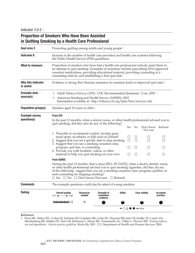# **Proportion of Smokers Who Have Been Assisted in Quitting Smoking by a Health Care Professional**

| Goal area 3                          | Promoting quitting among adults and young people□                                                                                                                                                                                                                                                                           |                                                                                                                                                                                                  |                                                                                                                                                                                                                                                                                                                                              |                                                             |              |                        |                             |  |
|--------------------------------------|-----------------------------------------------------------------------------------------------------------------------------------------------------------------------------------------------------------------------------------------------------------------------------------------------------------------------------|--------------------------------------------------------------------------------------------------------------------------------------------------------------------------------------------------|----------------------------------------------------------------------------------------------------------------------------------------------------------------------------------------------------------------------------------------------------------------------------------------------------------------------------------------------|-------------------------------------------------------------|--------------|------------------------|-----------------------------|--|
| <b>Outcome 9</b>                     | Increase in the number of health care providers and health care systems following<br>the Public Health Service (PHS) guidelines                                                                                                                                                                                             |                                                                                                                                                                                                  |                                                                                                                                                                                                                                                                                                                                              |                                                             |              |                        |                             |  |
| What to measure $\square$            | Proportion of smokers who have had a health care professional actively assist them in<br>an attempt to quit smoking. Examples of assistance include prescribing FDA-approved<br>cessation medications, providing educational material, providing counseling or a<br>counseling referral, and establishing a firm quit date. |                                                                                                                                                                                                  |                                                                                                                                                                                                                                                                                                                                              |                                                             |              |                        |                             |  |
| Why this indicator<br>is useful      |                                                                                                                                                                                                                                                                                                                             |                                                                                                                                                                                                  | Evidence is strong that clinician assistance in cessation leads to improved quit rates. <sup>1</sup>                                                                                                                                                                                                                                         |                                                             |              |                        |                             |  |
| Example data D<br>source(s) $\Box$   |                                                                                                                                                                                                                                                                                                                             | Adult Tobacco Survey (ATS): CDC Recommended Questions: Core, 2003 □<br>American Smoking and Health Survey (ASHES), 2003<br>Information available at: http://tobacco.rti.org/data/New/surveys.cfm |                                                                                                                                                                                                                                                                                                                                              |                                                             |              |                        |                             |  |
| <b>Population group(s)</b>           |                                                                                                                                                                                                                                                                                                                             | Smokers aged 18 years or older□                                                                                                                                                                  |                                                                                                                                                                                                                                                                                                                                              |                                                             |              |                        |                             |  |
| <b>Example survey</b><br>question(s) | <b>From ATS</b>                                                                                                                                                                                                                                                                                                             |                                                                                                                                                                                                  | In the past 12 months, when a doctor, nurse, or other health professional advised you to<br>quit smoking, did they also do any of the following?                                                                                                                                                                                             |                                                             |              |                        |                             |  |
|                                      |                                                                                                                                                                                                                                                                                                                             |                                                                                                                                                                                                  |                                                                                                                                                                                                                                                                                                                                              | Yes                                                         | No           | Don't know<br>Not sure | Refused                     |  |
|                                      |                                                                                                                                                                                                                                                                                                                             |                                                                                                                                                                                                  | 1. Prescribe or recommend a patch, nicotine gum,<br>nasal spray, an inhaler, or pills such as Zyban®<br>2. Suggest that you set a specific date to stop smoking<br>3. Suggest that you use a smoking cessation class,                                                                                                                        | П                                                           | $\Box$       | $\sqcup$               |                             |  |
|                                      | program, quit line, or counseling<br>4. Provide you with booklets, videos, or other                                                                                                                                                                                                                                         |                                                                                                                                                                                                  | material to help you quit smoking on your own                                                                                                                                                                                                                                                                                                |                                                             | $\mathsf{L}$ | $\Box$<br>$\mathsf{L}$ |                             |  |
|                                      | <b>From ASHES</b>                                                                                                                                                                                                                                                                                                           |                                                                                                                                                                                                  |                                                                                                                                                                                                                                                                                                                                              |                                                             |              |                        |                             |  |
|                                      | seek counseling for stopping smoking?                                                                                                                                                                                                                                                                                       |                                                                                                                                                                                                  | During the past 12 months, that is since [FILL IN DATE], when a doctor, dentist, nurse,<br>or other health professional advised you to quit smoking cigarettes, did they do any<br>of the following: suggest that you use a smoking cessation class, program, quitline, or<br>$\Box$ Yes $\Box$ No $\Box$ Don't know/Not sure $\Box$ Refused |                                                             |              |                        |                             |  |
| <b>Comments</b>                      |                                                                                                                                                                                                                                                                                                                             |                                                                                                                                                                                                  | The example questions could also be asked of young smokers.                                                                                                                                                                                                                                                                                  |                                                             |              |                        |                             |  |
| Rating $\Box$                        | <b>Overall quality</b><br>$low \leftarrow \rightarrow high$                                                                                                                                                                                                                                                                 | <b>Resources</b><br>needed                                                                                                                                                                       | <b>Utility</b><br><b>Strength of</b><br>evaluation $\square$<br>evidence                                                                                                                                                                                                                                                                     |                                                             |              | <b>Face validity</b>   | <b>Accepted</b><br>practice |  |
|                                      |                                                                                                                                                                                                                                                                                                                             | \$\$                                                                                                                                                                                             |                                                                                                                                                                                                                                                                                                                                              |                                                             |              |                        |                             |  |
|                                      |                                                                                                                                                                                                                                                                                                                             |                                                                                                                                                                                                  |                                                                                                                                                                                                                                                                                                                                              | $\leftarrow$ $\circ$ $\circ$ $\bullet$ $\rightarrow$ better |              |                        |                             |  |

#### **Reference**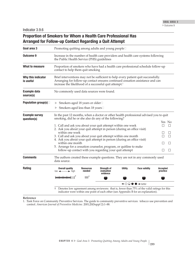# **Proportion of Smokers for Whom a Health Care Professional Has Arranged for Follow-up Contact Regarding a Quit Attempt**

| Goal area 3                          |                                                                                                                                                                                                                                                                                                                                                                                            | Promoting quitting among adults and young people□ |                                                        |                |                                                                                    |                             |  |  |
|--------------------------------------|--------------------------------------------------------------------------------------------------------------------------------------------------------------------------------------------------------------------------------------------------------------------------------------------------------------------------------------------------------------------------------------------|---------------------------------------------------|--------------------------------------------------------|----------------|------------------------------------------------------------------------------------|-----------------------------|--|--|
| <b>Outcome 9</b>                     | Increase in the number of health care providers and health care systems following<br>the Public Health Service (PHS) guidelines                                                                                                                                                                                                                                                            |                                                   |                                                        |                |                                                                                    |                             |  |  |
| What to measure                      | Proportion of smokers who have had a health care professional schedule follow-up<br>contact to help them quit smoking                                                                                                                                                                                                                                                                      |                                                   |                                                        |                |                                                                                    |                             |  |  |
| Why this indicator<br>is useful      | Brief interventions may not be sufficient to help every patient quit successfully.<br>Arranging for follow-up contact ensures continued cessation assistance and can<br>increase the likelihood of a successful quit attempt. <sup>1</sup>                                                                                                                                                 |                                                   |                                                        |                |                                                                                    |                             |  |  |
| <b>Example data</b><br>source(s)     | No commonly used data sources were found.                                                                                                                                                                                                                                                                                                                                                  |                                                   |                                                        |                |                                                                                    |                             |  |  |
| Population group(s)                  | Smokers aged 18 years or older□                                                                                                                                                                                                                                                                                                                                                            |                                                   |                                                        |                |                                                                                    |                             |  |  |
|                                      | Smokers aged less than 18 years□                                                                                                                                                                                                                                                                                                                                                           |                                                   |                                                        |                |                                                                                    |                             |  |  |
| <b>Example survey</b><br>question(s) | In the past 12 months, when a doctor or other health professional advised you to quit<br>smoking, did he or she also do any of the following?                                                                                                                                                                                                                                              |                                                   |                                                        |                |                                                                                    |                             |  |  |
|                                      | 1. Call and ask you about your quit attempt within one week<br>2. Ask you about your quit attempt in person (during an office visit)<br>within one week<br>3. Call and ask you about your quit attempt within one month<br>4. Ask you about your quit attempt in person (during an office visit)<br>within one month<br>5. Arrange for a cessation counselor, program, or quitline to make |                                                   | follow-up contact with you regarding your quit attempt |                |                                                                                    | Yes No<br>$\mathsf{L}$      |  |  |
| <b>Comments</b>                      | The authors created these example questions. They are not in any commonly used<br>data source.                                                                                                                                                                                                                                                                                             |                                                   |                                                        |                |                                                                                    |                             |  |  |
| Rating                               | <b>Overall quality</b><br>$low \leftarrow \rightarrow high$                                                                                                                                                                                                                                                                                                                                | <b>Resources</b><br>needed                        | <b>Strength of</b><br>evaluation<br>evidence           | <b>Utility</b> | <b>Face validity</b>                                                               | <b>Accepted</b><br>practice |  |  |
|                                      |                                                                                                                                                                                                                                                                                                                                                                                            | \$\$\$ $^+$                                       |                                                        |                |                                                                                    |                             |  |  |
|                                      |                                                                                                                                                                                                                                                                                                                                                                                            |                                                   |                                                        |                | $\leftarrow$ $\circ$ $\circ$ $\bullet$ $\rightarrow$ better                        |                             |  |  |
|                                      | + Denotes low agreement among reviewers: that is, fewer than 75% of the valid ratings for this                                                                                                                                                                                                                                                                                             |                                                   |                                                        |                | indicator were within one point of each other (see Appendix B for an explanation). |                             |  |  |

#### **Reference**

1. �Task Force on Community Preventive Services. The guide to community preventive services: tobacco use prevention and control. *American Journal of Preventive Medicine.* 2001;20(Suppl 2):1–88.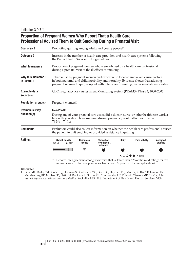# **Proportion of Pregnant Women Who Report That a Health Care Professional Advised Them to Quit Smoking During a Prenatal Visit**

| Goal area 3                            |                                                                                                                                                                                                                           | Promoting quitting among adults and young people□                                                                                                                                                                                                                         |  |  |                                                                                                                                                                                    |  |  |  |
|----------------------------------------|---------------------------------------------------------------------------------------------------------------------------------------------------------------------------------------------------------------------------|---------------------------------------------------------------------------------------------------------------------------------------------------------------------------------------------------------------------------------------------------------------------------|--|--|------------------------------------------------------------------------------------------------------------------------------------------------------------------------------------|--|--|--|
| <b>Outcome 9</b>                       |                                                                                                                                                                                                                           | Increase in the number of health care providers and health care systems following<br>the Public Health Service (PHS) guidelines                                                                                                                                           |  |  |                                                                                                                                                                                    |  |  |  |
| What to measure                        |                                                                                                                                                                                                                           | Proportion of pregnant women who were advised by a health care professional<br>during a prenatal visit of the ill effects of smoking                                                                                                                                      |  |  |                                                                                                                                                                                    |  |  |  |
| Why this indicator<br>is useful $\Box$ |                                                                                                                                                                                                                           | Tobacco use by pregnant women and exposure to tobacco smoke are causal factors<br>in both maternal and child morbidity and mortality. Evidence shows that advising<br>pregnant women to quit, coupled with intensive counseling, increases abstinence rates. <sup>1</sup> |  |  |                                                                                                                                                                                    |  |  |  |
| <b>Example data</b><br>source(s)       |                                                                                                                                                                                                                           | CDC Pregnancy Risk Assessment Monitoring System (PRAMS), Phase 4, 2000–2003                                                                                                                                                                                               |  |  |                                                                                                                                                                                    |  |  |  |
| <b>Population group(s)</b>             | Pregnant women□                                                                                                                                                                                                           |                                                                                                                                                                                                                                                                           |  |  |                                                                                                                                                                                    |  |  |  |
| <b>Example survey</b><br>question(s)   | <b>From PRAMS</b><br>During any of your prenatal care visits, did a doctor, nurse, or other health care worker<br>talk with you about how smoking during pregnancy could affect your baby?<br>$\Box$ No $\Box$ Yes        |                                                                                                                                                                                                                                                                           |  |  |                                                                                                                                                                                    |  |  |  |
| <b>Comments</b>                        | Evaluators could also collect information on whether the health care professional advised<br>the patient to quit smoking or provided assistance in quitting.                                                              |                                                                                                                                                                                                                                                                           |  |  |                                                                                                                                                                                    |  |  |  |
| Rating $\square$                       | <b>Overall quality</b><br><b>Utility</b><br><b>Face validity</b><br><b>Accepted</b><br><b>Resources</b><br><b>Strength of</b><br>evaluation $\Box$<br>$low \leftarrow \rightarrow high$<br>needed<br>practice<br>evidence |                                                                                                                                                                                                                                                                           |  |  |                                                                                                                                                                                    |  |  |  |
|                                        |                                                                                                                                                                                                                           | $$$ \$\$ $^{\dagger}$                                                                                                                                                                                                                                                     |  |  |                                                                                                                                                                                    |  |  |  |
|                                        | $\leftarrow$ $\circ$ $\circ$ $\bullet$ $\rightarrow$ better                                                                                                                                                               |                                                                                                                                                                                                                                                                           |  |  |                                                                                                                                                                                    |  |  |  |
|                                        | Ť.                                                                                                                                                                                                                        |                                                                                                                                                                                                                                                                           |  |  | Denotes low agreement among reviewers: that is, fewer than 75% of the valid ratings for this<br>indicator were within one point of each other (see Appendix B for an explanation). |  |  |  |

**Reference**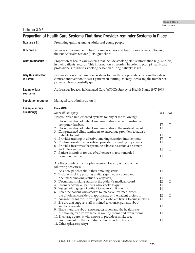|                                      | Proportion of Health Care Systems That Have Provider-reminder Systems in Place                                                                                                                                                                               |                   |        |  |  |  |  |  |
|--------------------------------------|--------------------------------------------------------------------------------------------------------------------------------------------------------------------------------------------------------------------------------------------------------------|-------------------|--------|--|--|--|--|--|
| Goal area 3                          | Promoting quitting among adults and young people                                                                                                                                                                                                             |                   |        |  |  |  |  |  |
| <b>Outcome 9</b>                     | Increase in the number of health care providers and health care systems following<br>the Public Health Service (PHS) guidelines                                                                                                                              |                   |        |  |  |  |  |  |
| What to measure $\square$            | Proportion of health care systems that include smoking status information (e.g., stickers)<br>in their patients' records. This information is recorded in order to prompt health care<br>professionals to discuss smoking cessation during patients' visits. |                   |        |  |  |  |  |  |
| Why this indicator<br>is useful      | Evidence shows that reminder systems for health care providers increase the rate of<br>clinician intervention to assist patients in quitting, thereby increasing the number of<br>patients who successfully quit. <sup>1,2</sup>                             |                   |        |  |  |  |  |  |
| <b>Example data</b><br>source(s)     | Addressing Tobacco in Managed Care (ATMC), Survey of Health Plans, 1997-1998                                                                                                                                                                                 |                   |        |  |  |  |  |  |
| <b>Population group(s)</b>           | Managed care administrators□                                                                                                                                                                                                                                 |                   |        |  |  |  |  |  |
| <b>Example survey</b><br>question(s) | <b>From ATMC</b><br>Mark all that apply                                                                                                                                                                                                                      | Yes               | No     |  |  |  |  |  |
|                                      | Has your plan implemented systems for any of the following?                                                                                                                                                                                                  |                   |        |  |  |  |  |  |
|                                      | 1. Documentation of patient smoking status in an administrative                                                                                                                                                                                              |                   |        |  |  |  |  |  |
|                                      | computer database                                                                                                                                                                                                                                            |                   |        |  |  |  |  |  |
|                                      | 2. Documentation of patient smoking status in the medical record                                                                                                                                                                                             |                   |        |  |  |  |  |  |
|                                      | 3. Computerized clinic reminders to encourage providers to advise<br>patients to quit                                                                                                                                                                        |                   |        |  |  |  |  |  |
|                                      | 4. Provider training in effective smoking cessation interventions                                                                                                                                                                                            |                   | П      |  |  |  |  |  |
|                                      | 5. Routine cessation advice/brief provider counseling of patients                                                                                                                                                                                            | П                 | П      |  |  |  |  |  |
|                                      | 6. Provider incentives that promote tobacco cessation assessment<br>and intervention                                                                                                                                                                         | Ш                 | $\Box$ |  |  |  |  |  |
|                                      | 7. Patient incentives for use of/adherence to recommended                                                                                                                                                                                                    |                   |        |  |  |  |  |  |
|                                      | cessation treatment                                                                                                                                                                                                                                          | Ш                 | $\Box$ |  |  |  |  |  |
|                                      | Are the providers in your plan required to carry out any of the<br>following activities?                                                                                                                                                                     |                   |        |  |  |  |  |  |
|                                      | 1. EAsk new patients about their smoking status                                                                                                                                                                                                              | $\vert \ \ \vert$ | Ш      |  |  |  |  |  |
|                                      | 2. Include smoking status as a vital sign (i.e., ask about and<br>document smoking status at every visit)                                                                                                                                                    |                   |        |  |  |  |  |  |
|                                      | 3. Document smoking status in the patient's medical record                                                                                                                                                                                                   |                   |        |  |  |  |  |  |
|                                      | 4. Estrongly advise all patients who smoke to quit                                                                                                                                                                                                           |                   |        |  |  |  |  |  |
|                                      | 5. DAssess willingness of patient to make a quit attempt                                                                                                                                                                                                     |                   |        |  |  |  |  |  |
|                                      | 6. Exefer the patient who smokes to intensive treatment when<br>the physician considers it appropriate or the patient prefers it                                                                                                                             |                   |        |  |  |  |  |  |
|                                      | 7. EArrange for follow-up with patients who are trying to quit smoking                                                                                                                                                                                       | $\Box$            |        |  |  |  |  |  |
|                                      | 8. Ensure that support staff is trained to counsel patients about                                                                                                                                                                                            |                   |        |  |  |  |  |  |
|                                      | smoking cessation                                                                                                                                                                                                                                            |                   |        |  |  |  |  |  |
|                                      | 9. Have literature about smoking cessation and the health risks<br>of smoking readily available in waiting rooms and exam rooms                                                                                                                              | $\Box$            |        |  |  |  |  |  |
|                                      | 10. Encourage parents who smoke to provide a smoke-free                                                                                                                                                                                                      |                   |        |  |  |  |  |  |
|                                      | environment for their children at home and in day care<br>11. Other (please specify)                                                                                                                                                                         |                   |        |  |  |  |  |  |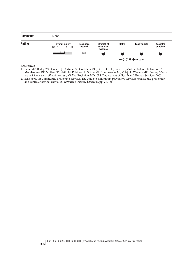

#### **References**

1. �Fiore MC, Bailey WC, Cohen SJ, Dorfman SF, Goldstein MG, Gritz EG, Heyman RB, Jaén CR, Kottke TE, Lando HA, Mecklenburg RE, Mullen PD, Nett LM, Robinson L, Stitzer ML, Tommasello AC, Villejo L, Wewers ME. *Treating tobacco use and dependence: clinical practice guideline.* Rockville, MD: U.S. Department of Health and Human Services; 2000.

2. �Task Force on Community Preventive Services. The guide to community preventive services: tobacco use prevention and control. *American Journal of Preventive Medicine.* 2001;20(Suppl 2):1–88.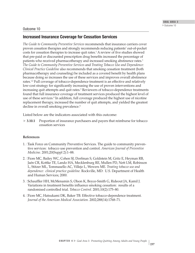## Outcome 10

## **Increased Insurance Coverage for Cessation Services**

*The Guide to Community Preventive Services* recommends that insurance carriers cover proven cessation therapies and strongly recommends reducing patients' out-of-pocket costs for cessation therapies to increase quit rates.1 A review of five studies showed that pre-paid or discounted prescription drug benefits increased the percentage of patients who received pharmacotherapy and increased smoking abstinence rates.1 *The Guide to Community Preventive Services* and *Treating Tobacco Use and Dependence: Clinical Practice Guideline* also recommends that smoking cessation treatment (both pharmacotherapy and counseling) be included as a covered benefit by health plans because doing so increases the use of these services and improves overall abstinence rates.<sup>1,2</sup> Full coverage of tobacco-dependence treatment is an effective and relatively low-cost strategy for significantly increasing the use of proven interventions and increasing quit attempts and quit rates.<sup>3</sup> Reviewers of tobacco-dependence treatments found that full insurance coverage of treatment services produced the highest level of use of these services.<sup>4</sup> In addition, full coverage produced the highest use of nicotine replacement therapy, increased the number of quit attempts, and yielded the greatest decline in overall smoking prevalence.<sup>4</sup>

Listed below are the indicators associated with this outcome:

 $\blacktriangleright$  3.10.1 **3.10.1** Proportion of insurance purchasers and payers that reimburse for tobacco cessation services

## **References**

- 1. �Task Force on Community Preventive Services. The guide to community preventive services: tobacco use prevention and control. *American Journal of Preventive Medicine.* 2001;20(Suppl 2):1–88.
- 2. �Fiore MC, Bailey WC, Cohen SJ, Dorfman S, Goldstein M, Gritz E, Heyman RB, Jaén CR, Kottke TE, Lando HA, Mecklenburg RE, Mullen PD, Nett LM, Robinson L, Stitzer ML, Tommasello AC, Villejo L, Wewers ME. *Treating tobacco use and dependence: clinical practice guideline.* Rockville, MD: U.S. Department of Health and Human Services; 2000.
- 3. [Schauffler HH, McMenamin S, Olson K, Boyce-Smith G, Rideout JA, Kamil J. Variations in treatment benefits influence smoking cessation: results of a randomised controlled trial. *Tobacco Control.* 2001;10(2):175–80.
- 4. �Fiore MC, Hatsukami DK, Baker TB. Effective tobacco-dependence treatment. *Journal of the American Medical Association.* 2002;288(14):1768–71.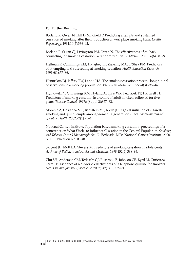#### **For Further Reading**

Borland R, Owen N, Hill D, Schofield P. Predicting attempts and sustained cessation of smoking after the introduction of workplace smoking bans. *Health Psychology.* 1991;10(5):336–42.

Borland R, Segan CJ, Livingston PM, Owen N. The effectiveness of callback counseling for smoking cessation: a randomized trial. *Addiction.* 2001;96(6):881–9.

Hellman R, Cummings KM, Haughey BP, Zielezny MA, O'Shea RM. Predictors of attempting and succeeding at smoking cessation. *Health Education Research.* 1991;6(1):77–86.

Hennrikus DJ, Jeffery RW, Lando HA. The smoking cessation process: longitudinal observations in a working population. *Preventive Medicine.* 1995;24(3):235–44.

Hymowitz N, Cummings KM, Hyland A, Lynn WR, Pechacek TF, Hartwell TD. Predictors of smoking cessation in a cohort of adult smokers followed for five years. *Tobacco Control.* 1997;6(Suppl 2):S57–62.

Morabia A, Costanza MC, Bernstein MS, Rielle JC. Ages at initiation of cigarette smoking and quit attempts among women: a generation effect. *American Journal of Public Health.* 2002;92(1):71–4.

National Cancer Institute. Population-based smoking cessation: proceedings of a conference on What Works to Influence Cessation in the General Population. *Smoking and Tobacco Control Monograph No. 12.* Bethesda, MD: National Cancer Institute; 2000. NIH Publication No. 00-4892.

Sargent JD, Mott LA, Stevens M. Predictors of smoking cessation in adolescents. *Archives of Pediatric and Adolescent Medicine.* 1998;152(4):388–93.

Zhu SH, Anderson CM, Tedeschi GJ, Rosbrook B, Johnson CE, Byrd M, Gutierrez-Terrell E. Evidence of real-world effectiveness of a telephone quitline for smokers. *New England Journal of Medicine.* 2002;347(14):1087–93.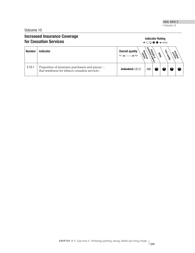Outcome 10

# **Increased Insurance Coverage Indicator Rating Indicator Rating Indicator Rating Indicator Rating 4–0000**  $\rightarrow$  **better for Cessation Services**



| <b>Number</b> | <b>Indicator</b>                                                                                      | <b>Overall quality</b><br>Resources<br>$\blacktriangleright$ high | est endrike | n on dence | ಕಿಂ<br><b>Usilist</b> | Magico<br><b>Lubilistics</b> |  |
|---------------|-------------------------------------------------------------------------------------------------------|-------------------------------------------------------------------|-------------|------------|-----------------------|------------------------------|--|
| 3.10.1        | Proportion of insurance purchasers and payers $\Box$<br>that reimburse for tobacco cessation services |                                                                   | \$\$\$      |            |                       |                              |  |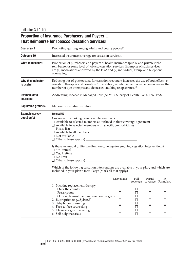Indicator  $3.10.1\Box$ 

# **Proportion of Insurance Purchasers and Payers** � **That Reimburse for Tobacco Cessation Services**�

| Goal area 3                          | Promoting quitting among adults and young people□                                                                                                                                                                                                                                                                                                                                                                                                                                                                                                                                                                                                              |                                                                         |           |                   |                                                                                               |  |  |  |
|--------------------------------------|----------------------------------------------------------------------------------------------------------------------------------------------------------------------------------------------------------------------------------------------------------------------------------------------------------------------------------------------------------------------------------------------------------------------------------------------------------------------------------------------------------------------------------------------------------------------------------------------------------------------------------------------------------------|-------------------------------------------------------------------------|-----------|-------------------|-----------------------------------------------------------------------------------------------|--|--|--|
| <b>Outcome 10</b>                    | Increased insurance coverage for cessation services□                                                                                                                                                                                                                                                                                                                                                                                                                                                                                                                                                                                                           |                                                                         |           |                   |                                                                                               |  |  |  |
| What to measure $\square$            | Proportion of purchasers and payers of health insurance (public and private) who<br>reimburse for some level of tobacco cessation services. Examples of such services<br>are (1) medications approved by the FDA and (2) individual, group, and telephone<br>counseling.                                                                                                                                                                                                                                                                                                                                                                                       |                                                                         |           |                   |                                                                                               |  |  |  |
| Why this indicator<br>is useful      | Reducing out-of-pocket costs for cessation treatment increases the use of both effective<br>cessation therapies and cessation. <sup>1</sup> In addition, reimbursement of expenses increases the<br>number of quit attempts and decreases smoking relapse rates. <sup>2,3</sup>                                                                                                                                                                                                                                                                                                                                                                                |                                                                         |           |                   |                                                                                               |  |  |  |
| <b>Example data</b><br>source(s)     | Addressing Tobacco in Managed Care (ATMC), Survey of Health Plans, 1997-1998                                                                                                                                                                                                                                                                                                                                                                                                                                                                                                                                                                                   |                                                                         |           |                   |                                                                                               |  |  |  |
| <b>Population group(s)</b>           | Managed care administrators□                                                                                                                                                                                                                                                                                                                                                                                                                                                                                                                                                                                                                                   |                                                                         |           |                   |                                                                                               |  |  |  |
| <b>Example survey</b><br>question(s) | <b>From ATMC</b><br>Coverage for smoking cessation intervention is:<br>$\Box$ Available to selected members as outlined in their coverage agreement<br>$\Box$ Available to selected members with specific co-morbidities<br>Please list:<br>$\Box$ Available to all members<br>$\Box$ Not available<br>$\Box$ Other (please specify) $\Box$<br>Is there an annual or lifetime limit on coverage for smoking cessation interventions?<br>$\Box$ Yes, annual<br>$\Box$ Yes, lifetime<br>$\Box$ No limit<br>Which of the following cessation interventions are available in your plan, and which are<br>included in your plan's formulary? (Mark all that apply.) |                                                                         |           |                   |                                                                                               |  |  |  |
|                                      | 1. Nicotine replacement therapy<br>Over-the-counter<br>Prescription<br>Only with enrollment in cessation program<br>2. Buproprion (e.g., Zyban®)<br>3. Telephone counseling<br>4. Face-to-face counseling<br>5. Classes or group meeting<br>6. Self-help materials                                                                                                                                                                                                                                                                                                                                                                                             | Unavailable<br>$\Box$<br>$\Box$<br>$\Box$<br>$\Box$<br>$\Box$<br>$\Box$ | Full<br>□ | Partial<br>$\Box$ | In<br>coverage coverage Formulary<br>$\Box$<br>$\Box$<br>$\Box$<br>$\Box$<br>$\Box$<br>$\Box$ |  |  |  |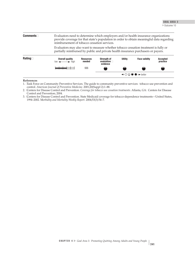| <b>Comments</b>  | Evaluators need to determine which employers and/or health insurance organizations<br>provide coverage for that state's population in order to obtain meaningful data regarding<br>reimbursement of tobacco cessation services. |                            |                                                     |                |                      |                      |
|------------------|---------------------------------------------------------------------------------------------------------------------------------------------------------------------------------------------------------------------------------|----------------------------|-----------------------------------------------------|----------------|----------------------|----------------------|
|                  | Evaluators may also want to measure whether tobacco cessation treatment is fully or<br>partially reimbursed by public and private health insurance purchasers or payers.                                                        |                            |                                                     |                |                      |                      |
| Rating $\square$ | <b>Overall quality</b><br>$low \leftarrow \rightarrow high$                                                                                                                                                                     | <b>Resources</b><br>needed | <b>Strenath of</b><br>evaluation $\Box$<br>evidence | <b>Utility</b> | <b>Face validity</b> | Accepted<br>practice |
|                  |                                                                                                                                                                                                                                 | \$\$\$                     |                                                     |                |                      |                      |
|                  | $\leftarrow \bigcirc \bigcirc \bullet \bullet \rightarrow$ hetter                                                                                                                                                               |                            |                                                     |                |                      |                      |

#### **References**

1. �Task Force on Community Preventive Services. The guide to community preventive services: tobacco use prevention and control. *American Journal of Preventive Medicine.* 2001;20(Suppl 2):1–88.

2. �Centers for Disease Control and Prevention. *Coverage for tobacco use cessation treatments.* Atlanta, GA: Centers for Disease Control and Prevention; 2004.

3. �Centers for Disease Control and Prevention. State Medicaid coverage for tobacco-dependence treatments—United States, 1994–2002. M*orbidity and Mortality Weekly Report.* 2004;53(3):54–7.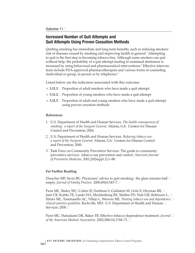## **Increased Number of Quit Attempts and Quit Attempts Using Proven Cessation Methods**

Quitting smoking has immediate and long-term benefits, such as reducing smokers' risk of diseases caused by smoking and improving health in general.<sup>1</sup> Attempting to quit is the first step in becoming tobacco-free. Although some smokers can quit without help, the probability of a quit attempt leading to sustained abstinence is increased by using behavioral and pharmaceutical interventions.<sup>2</sup> Effective interventions include FDA-approved pharmacotherapies and various forms of counseling (individual or group, in person or by telephone).3

Listed below are the indicators associated with this outcome:

- ▶ 3.11.1□ Proportion of adult smokers who have made a quit attempt
- **► 3.11.2** Proportion of young smokers who have made a quit attempt
- $\triangleright$  3.11.3 $\Box$  Proportion of adult and young smokers who have made a quit attempt using proven cessation methods

### **References**

- 1. �U.S. Department of Health and Human Services. *The health consequences of smoking: a report of the Surgeon General.* Atlanta, GA: Centers for Disease Control and Prevention; 2004.
- 2. �U.S. Department of Health and Human Services. *Reducing tobacco use: a report of the Surgeon General.* Atlanta, GA: Centers for Disease Control and Prevention; 2000.
- 3. �Task Force on Community Preventive Services. The guide to community preventive services: tobacco use prevention and control. *American Journal of Preventive Medicine.* 2001;20(Suppl 2):1–88.

## **For Further Reading**

Doescher MP, Saver BG. Physicians' advice to quit smoking: the glass remains half  $\Box$ empty. *Journal of Family Practice*. 2000;49(6):543-7.□

Fiore MC, Bailey WC, Cohen SJ, Dorfman S, Goldstein M, Gritz E, Heyman RB,  $\Box$ Jaén CR, Kottke TE, Lando HA, Mecklenburg RE, Mullen PD, Nett LM, Robinson L,  $\Box$ Stitzer ML, Tommasello AC, Villejo L, Wewers ME. *Treating tobacco use and dependence:* � *clinical practice guideline.* Rockville, MD: U.S. Department of Health and Human � Services; 2000.□

Fiore MC, Hatsukami DK, Baker TB. Effective tobacco-dependence treatment. *Journal* � *of the American Medical Association.* 2002;288(14):1768–71.�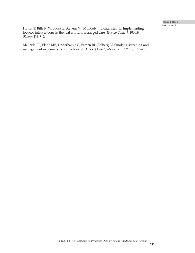Hollis JF, Bills R, Whitlock E, Stevens VJ, Mullooly J, Lichtenstein E. Implementing tobacco interventions in the real world of managed care. *Tobacco Control.* 2000;9 (Suppl 1):i18–24.

McBride PE, Plane MB, Underbakke G, Brown RL, Solberg LI. Smoking screening and management in primary care practices. *Archives of Family Medicine.* 1997;6(2):165–72.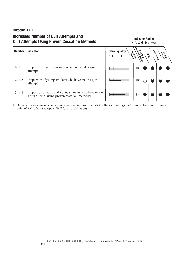Outcome 11<sup> $\Box$ </sup>

# **Increased Number of Quit Attempts and Quit Attempts Using Proven Cessation Methods**

#### **Indicator Rating**  $\leftarrow$   $\circ$   $\circ$   $\bullet$   $\rightarrow$  better

| <b>Number</b> | <b>Indicator</b>                                                                                                | <b>Overall quality</b><br>Repayde<br>$\blacktriangleright$ high | e de endre dien<br>Stende dien<br>evidence | <b>Usiliko</b> | Face valuem<br>pragnee |  |
|---------------|-----------------------------------------------------------------------------------------------------------------|-----------------------------------------------------------------|--------------------------------------------|----------------|------------------------|--|
| 3.11.1        | Proportion of adult smokers who have made a quit<br>attempt                                                     |                                                                 | \$\$                                       |                |                        |  |
| 3.11.2        | Proportion of young smokers who have made a quit<br>attempt□                                                    |                                                                 | \$\$                                       |                |                        |  |
| 3.11.3        | Proportion of a<br>dult and young smokers who have made a quit attempt using proven cessation methods<br>$\Box$ |                                                                 | \$\$                                       |                |                        |  |

† Denotes low agreement among reviewers: that is, fewer than 75% of the valid ratings for this indicator were within one point of each other (see Appendix B for an explanation).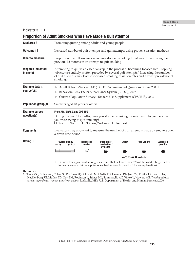Indicator 3.11.1

|                                           | <b>Proportion of Adult Smokers Who Have Made a Quit Attempt</b>                                                                                                                                                                                                                                              |  |  |  |  |  |  |  |
|-------------------------------------------|--------------------------------------------------------------------------------------------------------------------------------------------------------------------------------------------------------------------------------------------------------------------------------------------------------------|--|--|--|--|--|--|--|
| Goal area 3                               | Promoting quitting among adults and young people                                                                                                                                                                                                                                                             |  |  |  |  |  |  |  |
| <b>Outcome 11</b>                         | Increased number of quit attempts and quit attempts using proven cessation methods                                                                                                                                                                                                                           |  |  |  |  |  |  |  |
| What to measure                           | Proportion of adult smokers who have stopped smoking for at least 1 day during the<br>previous 12 months in an attempt to quit smoking                                                                                                                                                                       |  |  |  |  |  |  |  |
| Why this indicator<br>is useful $\square$ | Attempting to quit is an essential step in the process of becoming tobacco-free. Stopping<br>tobacco use entirely is often preceded by several quit attempts. <sup>1</sup> Increasing the number<br>of quit attempts may lead to increased smoking cessation rates and a lower prevalence of<br>smoking. $1$ |  |  |  |  |  |  |  |
| Example data<br>source(s) $\Box$          | Adult Tobacco Survey (ATS): CDC Recommended Questions: Core, 2003 □<br>Behavioral Risk Factor Surveillance System (BRFSS), 2002<br>Current Population Survey: Tobacco Use Supplement (CPS TUS), 2003                                                                                                         |  |  |  |  |  |  |  |
| <b>Population group(s)</b>                | Smokers aged 18 years or older□                                                                                                                                                                                                                                                                              |  |  |  |  |  |  |  |
| <b>Example survey</b><br>question(s)      | From ATS, BRFSS, and CPS TUS<br>During the past 12 months, have you stopped smoking for one day or longer because<br>you were trying to quit smoking?<br>$\Box$ Yes $\Box$ No $\Box$ Don't know/Not sure $\Box$ Refused                                                                                      |  |  |  |  |  |  |  |
| <b>Comments</b>                           | Evaluators may also want to measure the number of quit attempts made by smokers over<br>a given time period.                                                                                                                                                                                                 |  |  |  |  |  |  |  |
| Rating $\Box$                             | <b>Overall quality</b><br><b>Utility</b><br><b>Face validity</b><br><b>Strength of</b><br><b>Accepted</b><br><b>Resources</b><br>evaluation $\Box$<br>$low \leftarrow \rightarrow high$<br>needed<br>practice<br>evidence<br>$ss^+$                                                                          |  |  |  |  |  |  |  |
|                                           | $\leftarrow$ $\bigcirc$ $\bigcirc$ $\bullet$ $\rightarrow$ better                                                                                                                                                                                                                                            |  |  |  |  |  |  |  |
|                                           | Denotes low agreement among reviewers: that is, fewer than 75% of the valid ratings for this<br>$^+$<br>indicator were within one point of each other (see Appendix B for an explanation).                                                                                                                   |  |  |  |  |  |  |  |

#### **Reference**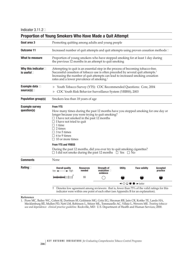Indicator 3.11.2

| <b>Proportion of Young Smokers Who Have Made a Quit Attempt</b> |                                                                                                                                                                                                                                                                                                                                                                                                                                                                                                                                          |                            |                                                           |                |                                                                                                                                                                                    |                             |  |  |  |  |
|-----------------------------------------------------------------|------------------------------------------------------------------------------------------------------------------------------------------------------------------------------------------------------------------------------------------------------------------------------------------------------------------------------------------------------------------------------------------------------------------------------------------------------------------------------------------------------------------------------------------|----------------------------|-----------------------------------------------------------|----------------|------------------------------------------------------------------------------------------------------------------------------------------------------------------------------------|-----------------------------|--|--|--|--|
| Goal area 3                                                     | Promoting quitting among adults and young people                                                                                                                                                                                                                                                                                                                                                                                                                                                                                         |                            |                                                           |                |                                                                                                                                                                                    |                             |  |  |  |  |
| <b>Outcome 11</b>                                               | Increased number of quit attempts and quit attempts using proven cessation methods□                                                                                                                                                                                                                                                                                                                                                                                                                                                      |                            |                                                           |                |                                                                                                                                                                                    |                             |  |  |  |  |
| What to measure                                                 | Proportion of young smokers who have stopped smoking for at least 1 day during<br>the previous 12 months in an attempt to quit smoking                                                                                                                                                                                                                                                                                                                                                                                                   |                            |                                                           |                |                                                                                                                                                                                    |                             |  |  |  |  |
| Why this indicator $\square$<br>is useful $\Box$                | Attempting to quit is an essential step in the process of becoming tobacco-free.<br>Successful cessation of tobacco use is often preceded by several quit attempts. <sup>1</sup><br>Increasing the number of quit attempts can lead to increased smoking cessation<br>rates and a lower prevalence of smoking. <sup>1</sup>                                                                                                                                                                                                              |                            |                                                           |                |                                                                                                                                                                                    |                             |  |  |  |  |
| Example data                                                    | Youth Tobacco Survey (YTS): CDC Recommended Questions: Core, 2004<br>▶                                                                                                                                                                                                                                                                                                                                                                                                                                                                   |                            |                                                           |                |                                                                                                                                                                                    |                             |  |  |  |  |
| source(s) $\Box$                                                |                                                                                                                                                                                                                                                                                                                                                                                                                                                                                                                                          |                            | CDC Youth Risk Behavior Surveillance System (YRBSS), 2003 |                |                                                                                                                                                                                    |                             |  |  |  |  |
| Population group(s)                                             | Smokers less than 18 years of age                                                                                                                                                                                                                                                                                                                                                                                                                                                                                                        |                            |                                                           |                |                                                                                                                                                                                    |                             |  |  |  |  |
| <b>Example survey</b><br>question(s)                            | <b>From YTS</b><br>How many times during the past 12 months have you stopped smoking for one day or<br>longer because you were trying to quit smoking?<br>$\Box$ I have not smoked in the past 12 months<br>$\Box$ I have not tried to quit<br>$\Box$ 1 time<br>$\Box$ 2 times<br>$\Box$ 3 to 5 times<br>$\Box$ 6 to 9 times<br>$\Box$ 10 or more times<br><b>From YTS and YRBSS</b><br>During the past 12 months, did you ever try to quit smoking cigarettes?<br>$\Box$ I did not smoke during the past 12 months $\Box$ Yes $\Box$ No |                            |                                                           |                |                                                                                                                                                                                    |                             |  |  |  |  |
| <b>Comments</b>                                                 | None                                                                                                                                                                                                                                                                                                                                                                                                                                                                                                                                     |                            |                                                           |                |                                                                                                                                                                                    |                             |  |  |  |  |
| Rating $\Box$                                                   | <b>Overall quality</b><br>$low \leftarrow$<br>$\rightarrow$ high                                                                                                                                                                                                                                                                                                                                                                                                                                                                         | <b>Resources</b><br>needed | Strength of<br>evaluation <b>D</b><br>evidence            | <b>Utility</b> | <b>Face validity</b>                                                                                                                                                               | <b>Accepted</b><br>practice |  |  |  |  |
|                                                                 |                                                                                                                                                                                                                                                                                                                                                                                                                                                                                                                                          | \$\$                       |                                                           |                |                                                                                                                                                                                    |                             |  |  |  |  |
|                                                                 | ◂◯◒◒<br>$\bullet \rightarrow$ better                                                                                                                                                                                                                                                                                                                                                                                                                                                                                                     |                            |                                                           |                |                                                                                                                                                                                    |                             |  |  |  |  |
|                                                                 | t.                                                                                                                                                                                                                                                                                                                                                                                                                                                                                                                                       |                            |                                                           |                | Denotes low agreement among reviewers: that is, fewer than 75% of the valid ratings for this<br>indicator were within one point of each other (see Appendix B for an explanation). |                             |  |  |  |  |

#### **Reference**

1. �Fiore MC, Bailey WC, Cohen SJ, Dorfman SF, Goldstein MG, Gritz EG, Heyman RB, Jaén CR, Kottke TE, Lando HA, Mecklenburg RE, Mullen PD, Nett LM, Robinson L, Stitzer ML, Tommasello AC, Villejo L, Wewers ME. *Treating tobacco use and dependence: clinical practice guideline.* Rockville, MD: U.S. Department of Health and Human Services; 2000.

**246**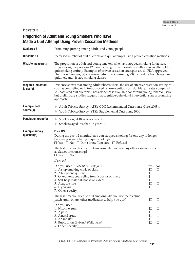Indicator 3.11.3

# **Proportion of Adult and Young Smokers Who Have Made a Quit Attempt Using Proven Cessation Methods**

| Goal area 3                                         | Promoting quitting among adults and young people                                                                                                                                                                                                                                                                                                                                                           |                                                  |                                                                       |  |  |  |  |
|-----------------------------------------------------|------------------------------------------------------------------------------------------------------------------------------------------------------------------------------------------------------------------------------------------------------------------------------------------------------------------------------------------------------------------------------------------------------------|--------------------------------------------------|-----------------------------------------------------------------------|--|--|--|--|
| <b>Outcome 11</b>                                   | Increased number of quit attempts and quit attempts using proven cessation methods□                                                                                                                                                                                                                                                                                                                        |                                                  |                                                                       |  |  |  |  |
| What to measure $\square$                           | The proportion of adult and young smokers who have stopped smoking for at least<br>1 day during the previous 12 months using proven cessation methods in an attempt to<br>quit smoking entirely. Examples of proven cessation strategies are (1) FDA-approved<br>pharmacotherapies, (2) in-person individual counseling, (3) counseling from telephone<br>quitlines, and (4) stop-smoking classes.         |                                                  |                                                                       |  |  |  |  |
| Why this indicator $\square$<br>is useful $\square$ | Evidence shows that among adult tobacco users, the use of effective cessation strategies<br>such as counseling or FDA-approved pharmaceuticals can double quit rates compared<br>to unassisted quit attempts. <sup>1</sup> Less evidence is available concerning young tobacco users,<br>but preliminary studies suggest that cognitive-behavioral interventions are a promising<br>approach. <sup>2</sup> |                                                  |                                                                       |  |  |  |  |
| <b>Example data</b><br>source(s)                    | Adult Tobacco Survey (ATS): CDC Recommended Questions: Core, 2003 □<br>Youth Tobacco Survey (YTS): Supplemental Questions, 2004                                                                                                                                                                                                                                                                            |                                                  |                                                                       |  |  |  |  |
| Population group(s)                                 | Smokers aged 18 years or older $\square$<br>▶<br>Smokers aged less than 18 years $\Box$                                                                                                                                                                                                                                                                                                                    |                                                  |                                                                       |  |  |  |  |
| <b>Example survey</b><br>question(s)                | <b>From ATS</b><br>During the past 12 months, have you stopped smoking for one day or longer<br>because you were trying to quit smoking?<br>$\Box$ Yes $\Box$ No $\Box$ Don't know/Not sure $\Box$ Refused                                                                                                                                                                                                 |                                                  |                                                                       |  |  |  |  |
|                                                     | The last time you tried to quit smoking, did you use any other assistance such<br>as classes or counseling?<br>$\Box$ Yes $\Box$ No                                                                                                                                                                                                                                                                        |                                                  |                                                                       |  |  |  |  |
|                                                     | If yes, ask                                                                                                                                                                                                                                                                                                                                                                                                |                                                  |                                                                       |  |  |  |  |
|                                                     | Did you use? (Check all that apply) $\square$<br>1. A stop-smoking clinic or class<br>2. A telephone quitline<br>3. One-on-one counseling from a doctor or nurse<br>4. Self-help material, books or videos<br>5. Acupuncture<br>6. Hypnosis<br>7. Other, specify_                                                                                                                                          | Yes<br>$\Box$<br>□<br>$\Box$<br>$\Box$<br>$\Box$ | N <sub>0</sub><br>$\Box$<br>$\Box$<br>□<br>$\Box$<br>$\Box$<br>$\Box$ |  |  |  |  |
|                                                     | The last time you tried to quit smoking, did you use the nicotine<br>patch, gum, or any other medication to help you quit?                                                                                                                                                                                                                                                                                 | $\Box$                                           | $\Box$                                                                |  |  |  |  |
|                                                     | Did you use?<br>1. Nicotine gum<br>2. A patch<br>3. A nasal spray<br>4. An inhaler<br>5. Buproprion, Zyban, <sup>®</sup> Wellbutrin®<br>5. Other, specify                                                                                                                                                                                                                                                  | $\Box$<br>$\Box$<br>$\Box$<br>П                  | ⊔<br>$\Box$<br>$\Box$<br>$\Box$<br>$\Box$                             |  |  |  |  |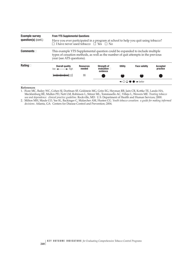| <b>Example survey</b><br>question(s) (cont.) | <b>From YTS Supplemental Questions</b><br>Have you ever participated in a program at school to help you quit using tobacco?<br>$\Box$ I have never used to bacco $\Box$ Yes $\Box$ No           |                                                                   |                                                     |                |                      |                             |  |  |
|----------------------------------------------|-------------------------------------------------------------------------------------------------------------------------------------------------------------------------------------------------|-------------------------------------------------------------------|-----------------------------------------------------|----------------|----------------------|-----------------------------|--|--|
| Commonents                                   | This example YTS Supplemental question could be expanded to include multiple<br>types of cessation methods, as well as the number of quit attempts in the previous<br>year (see ATS questions). |                                                                   |                                                     |                |                      |                             |  |  |
| Rating $\square$                             | Overall quality<br>$low \leftarrow \rightarrow high$                                                                                                                                            | <b>Resources</b><br>needed                                        | <b>Strength of</b><br>evaluation $\Box$<br>evidence | <b>Utility</b> | <b>Face validity</b> | <b>Accepted</b><br>practice |  |  |
|                                              |                                                                                                                                                                                                 | \$\$                                                              |                                                     |                |                      |                             |  |  |
|                                              |                                                                                                                                                                                                 | $\leftarrow \bigcirc \bigcirc \bullet \bullet \rightarrow$ hetter |                                                     |                |                      |                             |  |  |

#### **References**

- 1. �Fiore MC, Bailey WC, Cohen SJ, Dorfman SF, Goldstein MG, Gritz EG, Heyman RB, Jaén CR, Kottke TE, Lando HA, Mecklenburg RE, Mullen PD, Nett LM, Robinson L, Stitzer ML, Tommasello AC, Villejo L, Wewers ME. *Treating tobacco use and dependence: clinical practice guideline.* Rockville, MD: U.S. Department of Health and Human Services; 2000.
- 2. �Milton MH, Maule CO, Yee SL, Backinger C, Malarcher AM, Husten CG. *Youth tobacco cessation: a guide for making informed decisions.* Atlanta, GA: Centers for Disease Control and Prevention; 2004.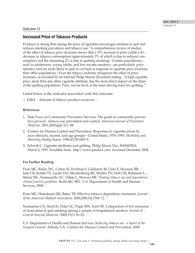## Outcome 12

## **Increased Price of Tobacco Products**

Evidence is strong that raising the price of cigarettes encourages smokers to quit and reduces smoking prevalence and tobacco use.1 A comprehensive review of studies of the effect of tobacco price increases shows that a 10% increase in price yields a 4% decrease in tobacco consumption (approximately 2% of which is due to reduced consumption and the remaining  $2\%$  is due to quitting smoking).<sup>1</sup> Certain populations such as adolescents, young adults, and low-income smokers—are particularly price sensitive and are more likely to quit or cut back in response to cigarette price increases than other populations.2 Even the tobacco industry recognizes the effect of price increases, as revealed by an internal Philip Morris document stating, "A high cigarette price, more than any other cigarette attribute, has the most direct impact on the share of the quitting population. Price, not tar level, is the main driving force for quitting."3

Listed below is the indicator associated with this outcome:

▶ **3.12.1** Amount of tobacco product excise tax□

## **References**

- 1. �Task Force on Community Preventive Services. The guide to community preventive services: tobacco use prevention and control. *American Journal of Preventive Medicine.* 2001;20(Suppl 2):1–88.
- 2. �Centers for Disease Control and Prevention. Responses to cigarette prices by race/ethnicity, income, and age groups—United States, 1976–1993. *Morbidity and Mortality Weekly Report.* 1998;47(29):605–9.
- 3. **Example C.** Cigarette attributes and quitting. Philip Morris Doc. 2045447810, March 4, 1993. Available from: http://www.pmdocs.com. Accessed December 2004.

## **For Further Reading**

Fiore MC, Bailey WC, Cohen SJ, Dorfman S, Goldstein M, Gritz E, Heyman RB,  $\Box$ Jaén CR, Kottke TE, Lando HA, Mecklenburg RE, Mullen PD, Nett LM, Robinson L,  $\Box$ Stitzer ML, Tommasello AC, Villejo L, Wewers ME. *Treating tobacco use and dependence:* � *clinical practice guideline.* Rockville, MD: U.S. Department of Health and Human � Services; 2000.<del></del>

Fiore MC, Hatsukami DK, Baker TB. Effective tobacco dependence treatment. *Journal* � *of the American Medical Association.* 2002;288(14):1768–71.�

Sciamanna CN, Hoch JS, Duke GC, Fogle MN, Ford DE. Comparison of five measures  $\Box$ of motivation to quit smoking among a sample of hospitalized smokers. *Journal of* � *General Internal Medicine.* 2000;15(1):16–23.�

U.S. Department of Health and Human Services. *Reducing tobacco use: a report of the Surgeon General.* Atlanta, GA: Centers for Disease Control and Prevention; 2000.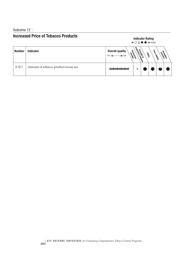## Outcome 12<sup>1</sup>

# **Increased Price of Tobacco Products Indicator Rating**



| <b>Number</b> | <b>Indicator</b>                     | <b>Overall quality</b><br>Resources<br>$\blacktriangleright$ high | e strengt of deres | <b>Usilica</b> | Face values | practice |
|---------------|--------------------------------------|-------------------------------------------------------------------|--------------------|----------------|-------------|----------|
| 3.12.1        | Amount of tobacco product excise tax |                                                                   | \$                 |                |             |          |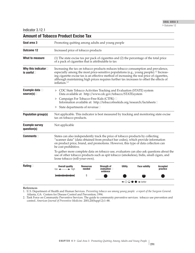▶ Outcome 12 GOAL AREA 3

Indicator 3.12.1

| Goal area 3                                                                                                                                                                                                            | Promoting quitting among adults and young people                                                                                                                                                                                                                                                                                                                                                         |                                     |                                                 |                |                                                                   |                      |  |  |  |  |
|------------------------------------------------------------------------------------------------------------------------------------------------------------------------------------------------------------------------|----------------------------------------------------------------------------------------------------------------------------------------------------------------------------------------------------------------------------------------------------------------------------------------------------------------------------------------------------------------------------------------------------------|-------------------------------------|-------------------------------------------------|----------------|-------------------------------------------------------------------|----------------------|--|--|--|--|
| <b>Outcome 12</b>                                                                                                                                                                                                      |                                                                                                                                                                                                                                                                                                                                                                                                          | Increased price of tobacco products |                                                 |                |                                                                   |                      |  |  |  |  |
| What to measure                                                                                                                                                                                                        | (1) The state excise tax per pack of cigarettes and (2) the percentage of the total price<br>of a pack of cigarettes that is attributable to tax                                                                                                                                                                                                                                                         |                                     |                                                 |                |                                                                   |                      |  |  |  |  |
| Why this indicator<br>is useful $\Box$                                                                                                                                                                                 | Increasing the tax on tobacco products reduces tobacco consumption and prevalence,<br>especially among the most price-sensitive populations (e.g., young people). <sup>1,2</sup> Increas-<br>ing cigarette excise tax is an effective method of increasing the real price of cigarettes,<br>although maintaining high prices requires further tax increases to offset the effects of<br>inflation. $1,2$ |                                     |                                                 |                |                                                                   |                      |  |  |  |  |
| Example data D<br>source(s) $\Box$                                                                                                                                                                                     | CDC State Tobacco Activities Tracking and Evaluation (STATE) system                                                                                                                                                                                                                                                                                                                                      |                                     |                                                 |                |                                                                   |                      |  |  |  |  |
| Data available at: http://www.cdc.gov/tobacco/STATEsystem<br>Campaign For Tobacco-Free Kids (CTFK) □<br>Information available at: http://tobaccofreekids.org/research/factsheets                                       |                                                                                                                                                                                                                                                                                                                                                                                                          |                                     |                                                 |                |                                                                   |                      |  |  |  |  |
|                                                                                                                                                                                                                        | State departments of revenue□<br>Þ.                                                                                                                                                                                                                                                                                                                                                                      |                                     |                                                 |                |                                                                   |                      |  |  |  |  |
| <b>Population group(s)</b>                                                                                                                                                                                             | Not applicable. This indicator is best measured by tracking and monitoring state excise<br>tax on tobacco products.                                                                                                                                                                                                                                                                                      |                                     |                                                 |                |                                                                   |                      |  |  |  |  |
| <b>Example survey</b><br>question(s)                                                                                                                                                                                   | Not applicable                                                                                                                                                                                                                                                                                                                                                                                           |                                     |                                                 |                |                                                                   |                      |  |  |  |  |
| Comments $\Box$                                                                                                                                                                                                        | States can also independently track the price of tobacco products by collecting<br>"scanner data" (data obtained from product bar codes), which provide information<br>on product price, brand, and promotions. However, this type of data collection can<br>be cost prohibitive.                                                                                                                        |                                     |                                                 |                |                                                                   |                      |  |  |  |  |
| To gather more complete data on tobacco use, evaluators can also ask questions about the<br>use of other tobacco products such as spit tobacco (smokeless), bidis, small cigars, and<br>loose tobacco (roll-your-own). |                                                                                                                                                                                                                                                                                                                                                                                                          |                                     |                                                 |                |                                                                   |                      |  |  |  |  |
| Rating $\Box$                                                                                                                                                                                                          | <b>Overall quality</b><br>$\longrightarrow$ high<br>$low \leftarrow$                                                                                                                                                                                                                                                                                                                                     | <b>Resources</b><br>needed          | Strength of<br>evaluation $\square$<br>evidence | <b>Utility</b> | <b>Face validity</b>                                              | Accepted<br>practice |  |  |  |  |
|                                                                                                                                                                                                                        |                                                                                                                                                                                                                                                                                                                                                                                                          | \$                                  |                                                 |                |                                                                   |                      |  |  |  |  |
|                                                                                                                                                                                                                        |                                                                                                                                                                                                                                                                                                                                                                                                          |                                     |                                                 |                | $\leftarrow$ $\bigcirc$ $\bigcirc$ $\bullet$ $\rightarrow$ better |                      |  |  |  |  |

### **Amount of Tobacco Product Excise Tax**

#### **References**

1. �U.S. Department of Health and Human Services. *Preventing tobacco use among young people: a report of the Surgeon General.*  Atlanta, GA: Centers for Disease Control and Prevention; 1994.

2. �Task Force on Community Preventive Services. The guide to community preventive services: tobacco use prevention and control. *American Journal of Preventive Medicine.* 2001;20(Suppl 2):1–88.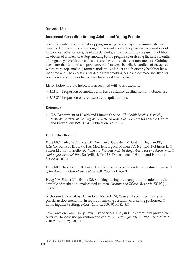## **Increased Cessation Among Adults and Young People**

Scientific evidence shows that stopping smoking yields major and immediate health benefits. Former smokers live longer than smokers and they have a decreased risk of lung cancer, other cancers, heart attack, stroke, and chronic lung disease.<sup>1</sup> In addition, newborns of women who stop smoking before pregnancy or during the first 3 months of pregnancy have birth weights that are the same as those of nonsmokers.1 Quitting even later than 3 months in pregnancy confers some benefit. Regardless of the age at which they stop smoking, former smokers live longer and frequently healthier lives than smokers. The excess risk of death from smoking begins to decrease shortly after cessation and continues to decrease for at least 10–15 years.<sup>1</sup>

Listed below are the indicators associated with this outcome:

- $\triangleright$  3.13.1 **3.13.1** Proportion of smokers who have sustained abstinence from tobacco use
- > 3.13.2<sup>NR</sup> Proportion of recent successful quit attempts

#### **Reference**

1. �U.S. Department of Health and Human Services. *The health benefits of smoking cessation: a report of the Surgeon General.* Atlanta, GA: Centers for Disease Control and Prevention; 1990. CDC Publication No. 90-8416.

#### **For Further Reading**

Fiore MC, Bailey WC, Cohen SJ, Dorfman S, Goldstein M, Gritz E, Heyman RB,  $\Box$ Jaén CR, Kottke TE, Lando HA, Mecklenburg RE, Mullen PD, Nett LM, Robinson L, □ Stitzer ML, Tommasello AC, Villejo L, Wewers ME. *Treating tobacco use and dependence:* � *clinical practice guideline.* Rockville, MD: U.S. Department of Health and Human � Services; 2000.<del></del>

Fiore MC, Hatsukami DK, Baker TB. Effective tobacco dependence treatment. *Journal* � *of the American Medical Association.* 2002;288(14):1768–71.�

Haug NA, Stitzer ML, Svikis DS. Smoking during pregnancy and intention to quit:  $\Box$ a profile of methadone-maintained women. *Nicotine and Tobacco Research.* 2001;3(4):� 333–9.

Nicholson J, Hennrikus D, Lando H, McCarty M, Vessey J. Patient recall versus  $\Box$ physician documentation in report of smoking cessation counseling performed  $\Box$ in the inpatient setting. *Tobacco Control.* 2000;9(4):382–8.�

Task Force on Community Preventive Services. The guide to community preventive  $\Box$ services: tobacco use prevention and control. *American Journal of Preventive Medicine.*� 2001;20(Suppl 2):1–88.□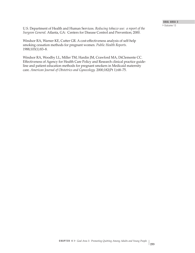U.S. Department of Health and Human Services. *Reducing tobacco use: a report of the Surgeon General.* Atlanta, GA: Centers for Disease Control and Prevention; 2000.

Windsor RA, Warner KE, Cutter GR. A cost-effectiveness analysis of self-help smoking cessation methods for pregnant women. *Public Health Reports.* 1988;103(1):83–8.

Windsor RA, Woodby LL, Miller TM, Hardin JM, Crawford MA, DiClemente CC. Effectiveness of Agency for Health Care Policy and Research clinical practice guideline and patient education methods for pregnant smokers in Medicaid maternity care. *American Journal of Obstetrics and Gynecology.* 2000;182(Pt 1):68–75.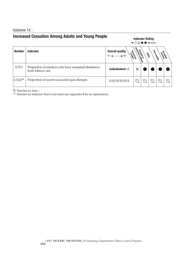## Outcome 13<sup></sup>

# **Increased Cessation Among Adults and Young People Indicator Rating**

|                      |                                                                         | <b>Illuluatul natiliy</b><br>$\leftarrow$ $\bigcirc$ $\bigcirc$ $\bullet$ $\rightarrow$ better |                            |                |             |           |  |
|----------------------|-------------------------------------------------------------------------|------------------------------------------------------------------------------------------------|----------------------------|----------------|-------------|-----------|--|
| <b>Number</b>        | <b>Indicator</b>                                                        | <b>Overall quality</b><br>Resources<br>high                                                    | <b>Republica Privation</b> | <b>Usility</b> | Face values | programse |  |
| 3.13.1               | Proportion of smokers who have sustained abstinence<br>from tobacco use |                                                                                                | \$\$                       |                |             |           |  |
| 3.13.2 <sup>NR</sup> | Proportion of recent successful quit attempts                           |                                                                                                |                            |                |             |           |  |

Denotes no data.□

 $N\mathbb{R}$  Denotes an indicator that is not rated (see Appendix B for an explanation). $\Box$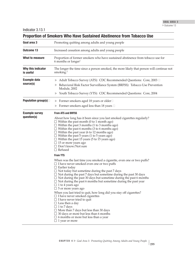Indicator 3.13.1

| Goal area 3                          | Promoting quitting among adults and young people                                                                                                                                                                                                                                                                                                                                                                                                                                                                                                                                                                                                                                                                                                                                                                                                                                 |  |  |  |  |  |  |
|--------------------------------------|----------------------------------------------------------------------------------------------------------------------------------------------------------------------------------------------------------------------------------------------------------------------------------------------------------------------------------------------------------------------------------------------------------------------------------------------------------------------------------------------------------------------------------------------------------------------------------------------------------------------------------------------------------------------------------------------------------------------------------------------------------------------------------------------------------------------------------------------------------------------------------|--|--|--|--|--|--|
| Outcome 13                           | Increased cessation among adults and young people                                                                                                                                                                                                                                                                                                                                                                                                                                                                                                                                                                                                                                                                                                                                                                                                                                |  |  |  |  |  |  |
| What to measure                      | Proportion of former smokers who have sustained abstinence from tobacco use for<br>6 months or longer <sup>1</sup>                                                                                                                                                                                                                                                                                                                                                                                                                                                                                                                                                                                                                                                                                                                                                               |  |  |  |  |  |  |
| Why this indicator<br>is useful      | The longer the time since a person smoked, the more likely that person will continue not<br>smoking. <sup>2</sup>                                                                                                                                                                                                                                                                                                                                                                                                                                                                                                                                                                                                                                                                                                                                                                |  |  |  |  |  |  |
| <b>Example data</b><br>source(s)     | Adult Tobacco Survey (ATS): CDC Recommended Questions: Core, 2003 □<br>Behavioral Risk Factor Surveillance System (BRFSS): Tobacco Use Prevention<br>Module, 2002<br>Youth Tobacco Survey (YTS): CDC Recommended Questions: Core, 2004                                                                                                                                                                                                                                                                                                                                                                                                                                                                                                                                                                                                                                           |  |  |  |  |  |  |
| Population group(s) $\Box$           | Former smokers aged 18 years or older $\square$<br>Former smokers aged less than 18 years $\Box$                                                                                                                                                                                                                                                                                                                                                                                                                                                                                                                                                                                                                                                                                                                                                                                 |  |  |  |  |  |  |
| <b>Example survey</b><br>question(s) | <b>From ATS and BRFSS</b><br>About how long has it been since you last smoked cigarettes regularly?<br>$\Box$ Within the past month (0 to 1 month ago)<br>$\Box$ Within the past 3 months (1 to 3 months ago)<br>$\Box$ Within the past 6 months (3 to 6 months ago)<br>$\Box$ Within the past year (6 to 12 months ago)<br>$\Box$ Within the past 5 years (1 to 5 years ago)<br>$\Box$ Within the past 15 years (5 to 15 years ago)<br>$\Box$ 15 or more years ago<br>$\Box$ Don't know/Not sure<br>$\Box$ Refused                                                                                                                                                                                                                                                                                                                                                              |  |  |  |  |  |  |
|                                      | <b>From YTS</b>                                                                                                                                                                                                                                                                                                                                                                                                                                                                                                                                                                                                                                                                                                                                                                                                                                                                  |  |  |  |  |  |  |
|                                      | When was the last time you smoked a cigarette, even one or two puffs?<br>$\Box$ I have never smoked even one or two puffs<br>$\Box$ Earlier today<br>$\Box$ Not today but sometime during the past 7 days<br>$\Box$ Not during the past 7 days but sometime during the past 30 days<br>$\Box$ Not during the past 30 days but sometime during the past 6 months<br>$\Box$ Not during the past 6 months but sometime during the past year<br>$\Box$ 1 to 4 years ago<br>$\Box$ 5 or more years ago<br>When you last tried to quit, how long did you stay off cigarettes?<br>$\Box$ I have never smoked cigarettes<br>$\Box$ I have never tried to quit<br>$\Box$ Less then a day<br>$\Box$ 1 to 7 days<br>$\Box$ More than 7 days but less than 30 days<br>$\Box$ 30 days or more but less than 6 months<br>$\Box$ 6 months or more but less than a year<br>$\Box$ 1 year or more |  |  |  |  |  |  |

# **Proportion of Smokers Who Have Sustained Abstinence from Tobacco Use**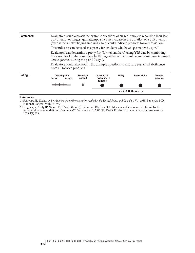| Commonents       | Evaluators could also ask the example questions of current smokers regarding their last<br>quit attempt or longest quit attempt, since an increase in the duration of a quit attempt<br>(even if the smoker begins smoking again) could indicate progress toward cessation. |                            |                                                        |                |                      |                             |  |  |
|------------------|-----------------------------------------------------------------------------------------------------------------------------------------------------------------------------------------------------------------------------------------------------------------------------|----------------------------|--------------------------------------------------------|----------------|----------------------|-----------------------------|--|--|
|                  | This indicator can be used as a proxy for smokers who have "permanently quit."                                                                                                                                                                                              |                            |                                                        |                |                      |                             |  |  |
|                  | Evaluators can determine a proxy for "former smokers" using YTS data by combining<br>the variable of lifetime smoking ( $\geq 100$ cigarettes) and current cigarette smoking (smoked<br>zero cigarettes during the past 30 days).                                           |                            |                                                        |                |                      |                             |  |  |
|                  | Evaluators could also modify the example questions to measure sustained abstinence<br>from all tobacco products.                                                                                                                                                            |                            |                                                        |                |                      |                             |  |  |
| Rating $\square$ | <b>Overall quality</b><br>$low \leftarrow \rightarrow high$                                                                                                                                                                                                                 | <b>Resources</b><br>needed | <b>Strength of</b><br>evaluation $\square$<br>evidence | <b>Utility</b> | <b>Face validity</b> | <b>Accepted</b><br>practice |  |  |
|                  |                                                                                                                                                                                                                                                                             | \$\$                       |                                                        |                |                      |                             |  |  |
|                  |                                                                                                                                                                                                                                                                             |                            | $\rightarrow$ hetter                                   |                |                      |                             |  |  |

#### **References**

1. �Schwartz JL. *Review and evaluation of smoking cessation methods: the United States and Canada, 1978–1985.* Bethesda, MD: National Cancer Institute; 1987.

2. �Hughes JR, Keely JP, Niaura RS, Ossip-Klein DJ, Richmond RL, Swan GE. Measures of abstinence in clinical trials: issues and recommendations. *Nicotine and Tobacco Research.* 2003;5(1):13–25. Erratum in: *Nicotine and Tobacco Research*. 2003;5(4):603.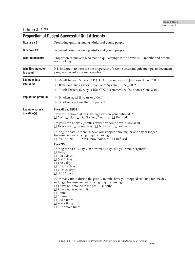Indicator  $3.13.2<sup>NR</sup>$ <br>Preparties of Pace

| <b>Proportion of Recent Successful Quit Attempts</b>                                                                                                                                                                                                                                                                                 |
|--------------------------------------------------------------------------------------------------------------------------------------------------------------------------------------------------------------------------------------------------------------------------------------------------------------------------------------|
| Promoting quitting among adults and young people                                                                                                                                                                                                                                                                                     |
| Increased cessation among adults and young people                                                                                                                                                                                                                                                                                    |
| Proportion of smokers who made a quit attempt in the previous 12 months and are still<br>not smoking                                                                                                                                                                                                                                 |
| It is important to measure the proportion of recent successful quit attempts to document<br>progress toward increased cessation. <sup>1</sup>                                                                                                                                                                                        |
| Adult Tobacco Survey (ATS): CDC Recommended Questions: Core, 2003 □<br>Behavioral Risk Factor Surveillance System (BRFSS), 2002<br>Youth Tobacco Survey (YTS): CDC Recommended Questions: Core, 2004                                                                                                                                 |
| Smokers aged 18 years or older□                                                                                                                                                                                                                                                                                                      |
| Smokers aged less than 18 years □                                                                                                                                                                                                                                                                                                    |
| <b>From ATS and BRFSS</b><br>Have you smoked at least 100 cigarettes in your entire life?<br>$\Box$ Yes $\Box$ No $\Box$ Don't know/Not sure $\Box$ Refused                                                                                                                                                                          |
| Do you now smoke cigarettes every day, some days, or not at all?<br>$\Box$ Everyday $\Box$ Some days $\Box$ Not at all $\Box$ Refused                                                                                                                                                                                                |
| During the past 12 months, have you stopped smoking for one day or longer<br>because you were trying to quit smoking?<br>$\Box$ Yes $\Box$ No $\Box$ Don't know/Not sure $\Box$ Refused                                                                                                                                              |
| <b>From YTS</b>                                                                                                                                                                                                                                                                                                                      |
| During the past 30 days, on how many days did you smoke cigarettes?<br>$\Box$ 0 days<br>$\Box$ 1 or 2 days<br>$\Box$ 3 to 5 days<br>$\Box$ 6 to 9 days<br>$\Box$ 10 to 19 days<br>$\Box$ 20 to 29 days<br>$\Box$ All 30 days                                                                                                         |
| How many times during the past 12 months have you stopped smoking for one day<br>or longer because you were trying to quit smoking?<br>$\Box$ I have not smoked in the past 12 months<br>$\Box$ I have not tried to quit<br>$\Box$ 1 time<br>$\Box$ 2 times<br>$\Box$ 3 to 5 times<br>$\Box$ 6 to 9 times<br>$\Box$ 10 or more times |
|                                                                                                                                                                                                                                                                                                                                      |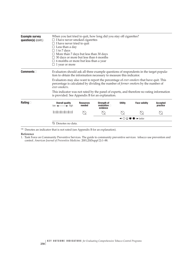| <b>Example survey</b><br>question(s) (cont.) | When you last tried to quit, how long did you stay off cigarettes?<br>$\Box$ I have never smoked cigarettes<br>$\Box$ I have never tried to quit<br>$\Box$ Less than a day<br>$\Box$ 1 to 7 days<br>$\Box$ More than 7 days but less than 30 days<br>$\Box$ 30 days or more but less than 6 months<br>$\Box$ 6 months or more but less than a year<br>$\Box$ 1 year or more |                            |                                                        |                |                      |                             |  |  |
|----------------------------------------------|-----------------------------------------------------------------------------------------------------------------------------------------------------------------------------------------------------------------------------------------------------------------------------------------------------------------------------------------------------------------------------|----------------------------|--------------------------------------------------------|----------------|----------------------|-----------------------------|--|--|
| <b>Comments</b>                              | Evaluators should ask all three example questions of respondents in the target popula-<br>tion to obtain the information necessary to measure this indicator.<br>Evaluators may also want to report the percentage of <i>ever-smokers</i> that have quit. This<br>percentage is calculated by dividing the number of former smokers by the number of                        |                            |                                                        |                |                      |                             |  |  |
|                                              | ever-smokers.<br>This indicator was not rated by the panel of experts, and therefore no rating information<br>is provided. See Appendix B for an explanation.                                                                                                                                                                                                               |                            |                                                        |                |                      |                             |  |  |
| Rating $\Box$                                | <b>Overall quality</b><br>$low \leftarrow \rightarrow high$                                                                                                                                                                                                                                                                                                                 | <b>Resources</b><br>needed | <b>Strength of</b><br>evaluation $\square$<br>evidence | <b>Utility</b> | <b>Face validity</b> | <b>Accepted</b><br>practice |  |  |
|                                              |                                                                                                                                                                                                                                                                                                                                                                             |                            |                                                        |                |                      |                             |  |  |
|                                              | ਿ⊖<br>$\rightarrow$ hetter                                                                                                                                                                                                                                                                                                                                                  |                            |                                                        |                |                      |                             |  |  |
|                                              | Denotes no data.                                                                                                                                                                                                                                                                                                                                                            |                            |                                                        |                |                      |                             |  |  |

 $N\!R$  Denotes an indicator that is not rated (see Appendix B for an explanation).

### **Reference**

<sup>1.</sup> �Task Force on Community Preventive Services. The guide to community preventive services: tobacco use prevention and control. *American Journal of Preventive Medicine.* 2001;20(Suppl 2):1–88.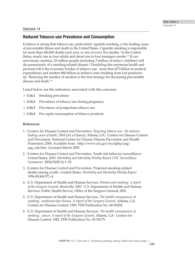## Outcome 14

## **Reduced Tobacco-use Prevalence and Consumption**

Evidence is strong that tobacco use, particularly cigarette smoking, is the leading cause of preventable illness and death in the United States. Cigarette smoking is responsible for more than 440,000 deaths each year, or one of every five deaths.<sup>1</sup> In the United States, nearly one in four adults and about one in four teenagers smoke.<sup>1,2</sup> If current trends continue, 25 million people (including 5 million of today's children) will die prematurely of a smoking-related disease.3 Paralleling this enormous health and personal toll is the economic burden of tobacco use: more than \$75 billion in medical expenditures and another \$80 billion in indirect costs resulting from lost productivity.<sup>1</sup> Reducing the number of smokers is the best strategy for decreasing preventable disease and death.<sup>4-6</sup>

Listed below are the indicators associated with this outcome:

- ▲**3.14.1** Smoking prevalence
- **► 3.14.2** Prevalence of tobacco use during pregnancy
- **► 3.14.3** Prevalence of postpartum tobacco use
- $\blacktriangleright$ **3.14.4** Per capita consumption of tobacco products

## **References**

- 1. �Centers for Disease Control and Prevention. *Targeting tobacco use: the nation's leading cause of death, 2004* [At a Glance]. Atlanta, GA: Centers for Disease Control and Prevention, National Center for Chronic Disease Prevention and Health Promotion; 2004. Available from: http://www.cdc.gov/nccdphp/aag/ aag\_osh.htm. Accessed March 2005.
- 2. Centers for Disease Control and Prevention. Youth risk behavior surveillance– United States, 2003. *Morbidity and Mortality Weekly Report CDC Surveillance Summaries.* 2004;53(SS-2):1–29.
- 3. Centers for Disease Control and Prevention. Projected smoking-related deaths among youth—United States. *Morbidity and Mortality Weekly Report.* 1996;45(44):971–4.
- 4. �U.S. Department of Health and Human Services. *Women and smoking: a report of the Surgeon General.* Rockville, MD: U.S. Department of Health and Human Services, Public Health Service, Office of the Surgeon General; 2001.
- 5. �U.S. Department of Health and Human Services. *The health consequences of smoking: cardiovascular disease. A report of the Surgeon General.* Atlanta, GA: Centers for Disease Control; 1983. PHS Publication No. 84-50204.
- 6. �U.S. Department of Health and Human Services. *The health consequences of smoking: cancer. A report of the Surgeon General.* Atlanta, GA: Centers for Disease Control; 1982. PHS Publication No. 82-50179.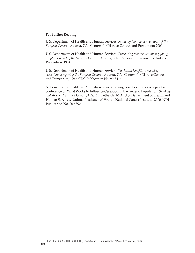#### **For Further Reading**

U.S. Department of Health and Human Services. *Reducing tobacco use: a report of the Surgeon General.* Atlanta, GA: Centers for Disease Control and Prevention; 2000.

U.S. Department of Health and Human Services. *Preventing tobacco use among young people: a report of the Surgeon General.* Atlanta, GA: Centers for Disease Control and Prevention; 1994.

U.S. Department of Health and Human Services. *The health benefits of smoking cessation: a report of the Surgeon General.* Atlanta, GA: Centers for Disease Control and Prevention; 1990. CDC Publication No. 90-8416.

National Cancer Institute. Population based smoking cessation: proceedings of a conference on What Works to Influence Cessation in the General Population. *Smoking and Tobacco Control Monograph No. 12.* Bethesda, MD: U.S. Department of Health and Human Services, National Institutes of Health, National Cancer Institute; 2000. NIH Publication No. 00-4892.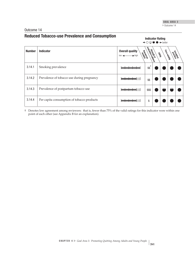## Outcome 14

# **Reduced Tobacco-use Prevalence and Consumption Indicator Rating**

 $\leftarrow$   $\bigcirc$   $\bigcirc$   $\bullet$   $\rightarrow$  better

| <b>Number</b> | <b>Indicator</b>                           | <b>Overall quality</b><br>Resources<br>$\rightarrow$ high<br>$low -$ | extendar of accel<br>streng of above | <b>Usilica</b> | Face values<br>Magnitoe<br>Accorditoe |  |
|---------------|--------------------------------------------|----------------------------------------------------------------------|--------------------------------------|----------------|---------------------------------------|--|
| 3.14.1        | Smoking prevalence                         |                                                                      | \$\$                                 |                |                                       |  |
| 3.14.2        | Prevalence of tobacco use during pregnancy |                                                                      | \$\$                                 |                |                                       |  |
| 3.14.3        | Prevalence of postpartum tobacco use       |                                                                      | \$\$\$                               |                |                                       |  |
| 3.14.4        | Per capita consumption of tobacco products |                                                                      | \$                                   |                |                                       |  |

† Denotes low agreement among reviewers: that is, fewer than 75% of the valid ratings for this indicator were within one point of each other (see Appendix B for an explanation).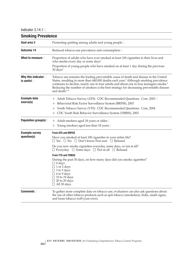Indicator  $3.14.1\Box$ 

| <b>Smoking Prevalence</b>                           |                                                                                                                                                                                                                                                                                                                                                                                                                         |  |  |  |  |
|-----------------------------------------------------|-------------------------------------------------------------------------------------------------------------------------------------------------------------------------------------------------------------------------------------------------------------------------------------------------------------------------------------------------------------------------------------------------------------------------|--|--|--|--|
| Goal area 3                                         | Promoting quitting among adults and young people□                                                                                                                                                                                                                                                                                                                                                                       |  |  |  |  |
| <b>Outcome 14</b>                                   | Reduced tobacco-use prevalence and consumption□                                                                                                                                                                                                                                                                                                                                                                         |  |  |  |  |
| What to measure $\square$                           | Proportion of adults who have ever smoked at least 100 cigarettes in their lives and<br>who smoke every day or some days <sup>1</sup>                                                                                                                                                                                                                                                                                   |  |  |  |  |
|                                                     | Proportion of young people who have smoked on at least 1 day during the previous<br>$30 \text{ days}^2$                                                                                                                                                                                                                                                                                                                 |  |  |  |  |
| Why this indicator $\square$<br>is useful $\square$ | Tobacco use remains the leading preventable cause of death and disease in the United<br>States, resulting in more than 440,000 deaths each year. <sup>3</sup> Although smoking prevalence<br>continues to decline, nearly one in four adults and about one in four teenagers smoke. <sup>4</sup><br>Reducing the number of smokers is the best strategy for decreasing preventable disease<br>and death. <sup>6-8</sup> |  |  |  |  |
| <b>Example data</b><br>source(s)                    | Adult Tobacco Survey (ATS): CDC Recommended Questions: Core, 2003<br>▶                                                                                                                                                                                                                                                                                                                                                  |  |  |  |  |
|                                                     | Behavioral Risk Factor Surveillance System (BRFSS), 2003<br>▶                                                                                                                                                                                                                                                                                                                                                           |  |  |  |  |
|                                                     | Youth Tobacco Survey (YTS): CDC Recommended Questions: Core, 2004<br>▶                                                                                                                                                                                                                                                                                                                                                  |  |  |  |  |
|                                                     | CDC Youth Risk Behavior Surveillance System (YRBSS), 2003                                                                                                                                                                                                                                                                                                                                                               |  |  |  |  |
| Population group(s) $\Box$                          | Adult smokers aged 18 years or older□<br>▶                                                                                                                                                                                                                                                                                                                                                                              |  |  |  |  |
|                                                     | Young smokers aged less than 18 years□                                                                                                                                                                                                                                                                                                                                                                                  |  |  |  |  |
| <b>Example survey</b>                               | <b>From ATS and BRFSS</b>                                                                                                                                                                                                                                                                                                                                                                                               |  |  |  |  |
| question(s)                                         | Have you smoked at least 100 cigarettes in your entire life?<br>$\Box$ Yes $\Box$ No $\Box$ Don't know/Not sure $\Box$ Refused                                                                                                                                                                                                                                                                                          |  |  |  |  |
|                                                     | Do you now smoke cigarettes everyday, some days, or not at all?<br>$\Box$ Everyday $\Box$ Some days $\Box$ Not at all $\Box$ Refused                                                                                                                                                                                                                                                                                    |  |  |  |  |
|                                                     | <b>From YTS and YRBSS</b>                                                                                                                                                                                                                                                                                                                                                                                               |  |  |  |  |
|                                                     | During the past 30 days, on how many days did you smoke cigarettes?<br>$\Box$ 0 days<br>$\Box$ 1 or 2 days<br>$\Box$ 3 to 5 days<br>$\Box$ 6 to 9 days<br>$\Box$ 10 to 19 days<br>$20$ to $29$ days<br>All 30 days                                                                                                                                                                                                      |  |  |  |  |
| <b>Comments</b>                                     | To gather more complete data on tobacco use, evaluators can also ask questions about<br>the use of other tobacco products such as spit tobacco (smokeless), bidis, small cigars,<br>and loose tobacco (roll-your-own).                                                                                                                                                                                                  |  |  |  |  |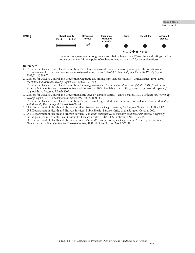▶ Outcome 14



#### **References**

- 1. �Centers for Disease Control and Prevention. Prevalence of current cigarette smoking among adults and changes in prevalence of current and some-day smoking—United States, 1996–2001. *Morbidity and Mortality Weekly Report.*  2003;52(14):303–7.
- 2. �Centers for Disease Control and Prevention. Cigarette use among high school students—United States, 1991–2003. *Morbidity and Mortality Weekly Report.* 2004;53(23);499–502.
- 3. �Centers for Disease Control and Prevention. *Targeting tobacco use: the nation's leading cause of death, 2004* [At a Glance]. Atlanta, GA: Centers for Disease Control and Prevention; 2004. Available from: http://www.cdc.gov/nccdphp/aag/ aag\_osh.htm. Accessed March 2005.
- 4. �Centers for Disease Control and Prevention. State laws on tobacco control—United States, 1998. *Morbidity and Mortality Weekly Report CDC Surveillance Summaries.* 1999;48(SS-3):21–40.
- 5. �Centers for Disease Control and Prevention. Projected smoking-related deaths among youth—United States. *Morbidity and Mortality Weekly Report.* 1996;45(44):971–4.
- 6. �U.S. Department of Health and Human Services. *Women and smoking: a report of the Surgeon General.* Rockville, MD: U.S. Department of Health and Human Services, Public Health Service, Office of the Surgeon General; 2001.
- 7. �U.S. Department of Health and Human Services. *The health consequences of smoking: cardiovascular disease. A report of the Surgeon General.* Atlanta, GA: Centers for Disease Control; 1983. PHS Publication No. 84-50204.
- 8. �U.S. Department of Health and Human Services. *The health consequences of smoking: cancer. A report of the Surgeon General.* Atlanta, GA: Centers for Disease Control; 1982. PHS Publication No. 82-50179.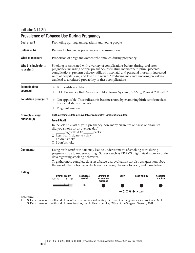Indicator 3.14.2

| <b>Prevalence of Tobacco Use During Pregnancy</b> |                                                                                                                                                                                                                                                                                                                                                                                                                              |                            |                                              |                |                                                             |                             |  |  |
|---------------------------------------------------|------------------------------------------------------------------------------------------------------------------------------------------------------------------------------------------------------------------------------------------------------------------------------------------------------------------------------------------------------------------------------------------------------------------------------|----------------------------|----------------------------------------------|----------------|-------------------------------------------------------------|-----------------------------|--|--|
| Goal area 3                                       | Promoting quitting among adults and young people                                                                                                                                                                                                                                                                                                                                                                             |                            |                                              |                |                                                             |                             |  |  |
| Outcome 14                                        | Reduced tobacco-use prevalence and consumption                                                                                                                                                                                                                                                                                                                                                                               |                            |                                              |                |                                                             |                             |  |  |
| What to measure                                   | Proportion of pregnant women who smoked during pregnancy                                                                                                                                                                                                                                                                                                                                                                     |                            |                                              |                |                                                             |                             |  |  |
| Why this indicator<br>is useful $\Box$            | Smoking is associated with a variety of complications before, during, and after<br>pregnancy, including ectopic pregnancy, premature membrane rupture, placental<br>complications, preterm delivery, stillbirth, neonatal and perinatal mortality, increased<br>rates of hospital care, and low birth weight. <sup>1</sup> Reducing maternal smoking prevalence<br>can lead to a reduced probability of these complications. |                            |                                              |                |                                                             |                             |  |  |
| <b>Example data</b>                               | Birth certificate data<br>▶                                                                                                                                                                                                                                                                                                                                                                                                  |                            |                                              |                |                                                             |                             |  |  |
| source(s)                                         | CDC Pregnancy Risk Assessment Monitoring System (PRAMS), Phase 4, 2000–2003 □                                                                                                                                                                                                                                                                                                                                                |                            |                                              |                |                                                             |                             |  |  |
| Population group(s) $\Box$                        | $\triangleright$ Not applicable. This indicator is best measured by examining birth certificate data<br>from vital statistic records.                                                                                                                                                                                                                                                                                        |                            |                                              |                |                                                             |                             |  |  |
|                                                   | Pregnant women<br>Þ.                                                                                                                                                                                                                                                                                                                                                                                                         |                            |                                              |                |                                                             |                             |  |  |
| <b>Example survey</b><br>question(s)              | Birth certificate data are available from states' vital statistics data.<br><b>From PRAMS</b>                                                                                                                                                                                                                                                                                                                                |                            |                                              |                |                                                             |                             |  |  |
|                                                   |                                                                                                                                                                                                                                                                                                                                                                                                                              |                            |                                              |                |                                                             |                             |  |  |
| <b>Comments</b>                                   | Using birth certificate data may lead to underestimates of smoking rates during<br>pregnancy due to underreporting. <sup>1</sup> Surveys such as PRAMS might yield more accurate<br>data regarding smoking behaviors.                                                                                                                                                                                                        |                            |                                              |                |                                                             |                             |  |  |
|                                                   | To gather more complete data on tobacco use, evaluators can also ask questions about<br>the use of other tobacco products such as cigars, chewing tobacco, and loose tobacco.                                                                                                                                                                                                                                                |                            |                                              |                |                                                             |                             |  |  |
| Rating                                            |                                                                                                                                                                                                                                                                                                                                                                                                                              |                            |                                              |                |                                                             |                             |  |  |
|                                                   | <b>Overall quality</b><br>$low \leftarrow \rightarrow high$                                                                                                                                                                                                                                                                                                                                                                  | <b>Resources</b><br>needed | <b>Strength of</b><br>evaluation<br>evidence | <b>Utility</b> | <b>Face validity</b>                                        | <b>Accepted</b><br>practice |  |  |
|                                                   |                                                                                                                                                                                                                                                                                                                                                                                                                              |                            | \$\$                                         |                |                                                             |                             |  |  |
|                                                   |                                                                                                                                                                                                                                                                                                                                                                                                                              |                            |                                              |                | $\leftarrow$ $\circ$ $\circ$ $\bullet$ $\rightarrow$ better |                             |  |  |

**Reference**

1. U.S. Department of Health and Human Services. *Women and smoking: a report of the Surgeon General.* Rockville, MD: U.S. Department of Health and Human Services, Public Health Service, Office of the Surgeon General; 2001.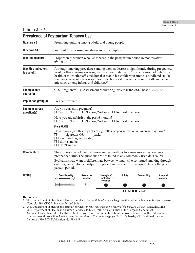Indicator 3.14.3

| <b>Prevalence of Postpartum Tobacco Use</b> |                                                                                                                                                                                                                                                                                                                                                                                                                                          |                            |                                                 |                                                             |                      |                             |  |  |
|---------------------------------------------|------------------------------------------------------------------------------------------------------------------------------------------------------------------------------------------------------------------------------------------------------------------------------------------------------------------------------------------------------------------------------------------------------------------------------------------|----------------------------|-------------------------------------------------|-------------------------------------------------------------|----------------------|-----------------------------|--|--|
| Goal area 3                                 | Promoting quitting among adults and young people                                                                                                                                                                                                                                                                                                                                                                                         |                            |                                                 |                                                             |                      |                             |  |  |
| <b>Outcome 14</b>                           | Reduced tobacco-use prevalence and consumption                                                                                                                                                                                                                                                                                                                                                                                           |                            |                                                 |                                                             |                      |                             |  |  |
| What to measure                             | Proportion of women who use tobacco in the postpartum period (6 months after<br>giving birth)                                                                                                                                                                                                                                                                                                                                            |                            |                                                 |                                                             |                      |                             |  |  |
| Why this indicator<br>is useful $\square$   | Although smoking prevalence among women decreases significantly during pregnancy,<br>most mothers resume smoking within a year of delivery. <sup>1,2</sup> In such cases, not only is the<br>health of the mother affected, but also that of her child; exposure to second hand smoke<br>is a major cause of lower respiratory infections, asthma, and chronic middle inner ear<br>infections among infants and children. <sup>2,3</sup> |                            |                                                 |                                                             |                      |                             |  |  |
| <b>Example data</b><br>source(s)            | CDC Pregnancy Risk Assessment Monitoring System (PRAMS), Phase 4, 2000–2003                                                                                                                                                                                                                                                                                                                                                              |                            |                                                 |                                                             |                      |                             |  |  |
| <b>Population group(s)</b>                  | Pregnant women□                                                                                                                                                                                                                                                                                                                                                                                                                          |                            |                                                 |                                                             |                      |                             |  |  |
| <b>Example survey</b><br>question(s)        | Are you currently pregnant?<br>$\Box$ Yes $\Box$ No $\Box$ Don't know/Not sure $\Box$ Refused to answer                                                                                                                                                                                                                                                                                                                                  |                            |                                                 |                                                             |                      |                             |  |  |
|                                             | Have you given birth in the past 6 months?<br>$\Box$ Yes $\Box$ No $\Box$ Don't know/Not sure $\Box$ Refused to answer                                                                                                                                                                                                                                                                                                                   |                            |                                                 |                                                             |                      |                             |  |  |
|                                             | <b>From PRAMS</b>                                                                                                                                                                                                                                                                                                                                                                                                                        |                            |                                                 |                                                             |                      |                             |  |  |
|                                             | How many cigarettes or packs of cigarettes do you smoke on an average day now?<br>cigarettes OR ______packs<br>$\Box$ Less than 1 cigarette a day<br>$\Box$ I didn't smoke<br>$\Box$ I don't smoke                                                                                                                                                                                                                                       |                            |                                                 |                                                             |                      |                             |  |  |
| ${\tt Comments}$ $\Box$                     | The authors created the first two example questions to screen survey respondents for<br>pregnancy status. The questions are not found in any commonly used data source.                                                                                                                                                                                                                                                                  |                            |                                                 |                                                             |                      |                             |  |  |
|                                             | Evaluators may want to differentiate between women who continued smoking through-<br>out pregnancy into the postpartum period and women who relapsed during the post-<br>partum period.                                                                                                                                                                                                                                                  |                            |                                                 |                                                             |                      |                             |  |  |
| Rating $\Box$                               | <b>Overall quality</b><br>$low \longrightarrow$ high                                                                                                                                                                                                                                                                                                                                                                                     | <b>Resources</b><br>needed | Strength of<br>evaluation $\square$<br>evidence | <b>Utility</b>                                              | <b>Face validity</b> | <b>Accepted</b><br>practice |  |  |
|                                             |                                                                                                                                                                                                                                                                                                                                                                                                                                          | \$\$\$                     |                                                 |                                                             |                      |                             |  |  |
|                                             |                                                                                                                                                                                                                                                                                                                                                                                                                                          |                            |                                                 | $\leftarrow$ $\circ$ $\circ$ $\bullet$ $\rightarrow$ better |                      |                             |  |  |
| References                                  |                                                                                                                                                                                                                                                                                                                                                                                                                                          |                            |                                                 |                                                             |                      |                             |  |  |

### **References**

1. �U.S. Department of Health and Human Services. *The health benefits of smoking cessation.* Atlanta, GA: Centers for Disease Control; 1990. CDC Publication No. 90-8416.

2. U.S. Department of Health and Human Services. *Women and smoking: a report of the Surgeon General.* Rockville, MD: U.S. Department of Health and Human Services, Public Health Service, Office of the Surgeon General; 2001.

3. �National Cancer Institute. Health effects of exposure to environmental tobacco smoke: the report of the California Environmental Protection Agency. *Smoking and Tobacco Control Monograph No. 10.* Bethesda, MD: National Cancer Institute; 1999. NIH Publication No. 99-4645.